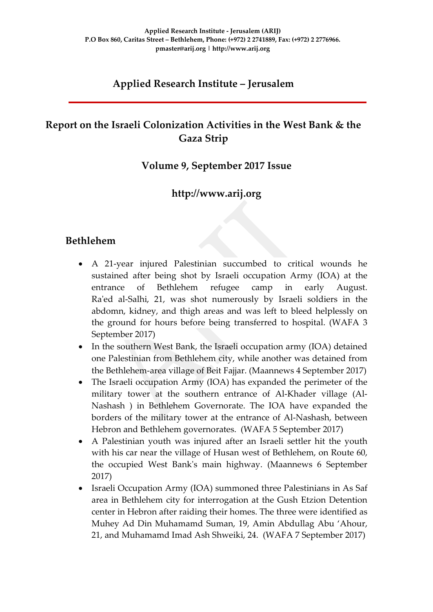# **Applied Research Institute – Jerusalem**

# **Report on the Israeli Colonization Activities in the West Bank & the Gaza Strip**

### **Volume 9, September 2017 Issue**

## **http://www.arij.org**

### **Bethlehem**

- A 21-year injured Palestinian succumbed to critical wounds he sustained after being shot by Israeli occupation Army (IOA) at the entrance of Bethlehem refugee camp in early August. Ra'ed al-Salhi, 21, was shot numerously by Israeli soldiers in the abdomn, kidney, and thigh areas and was left to bleed helplessly on the ground for hours before being transferred to hospital. (WAFA 3 September 2017)
- In the southern West Bank, the Israeli occupation army (IOA) detained one Palestinian from Bethlehem city, while another was detained from the Bethlehem-area village of Beit Fajjar. (Maannews 4 September 2017)
- The Israeli occupation Army (IOA) has expanded the perimeter of the military tower at the southern entrance of Al-Khader village (Al-Nashash ) in Bethlehem Governorate. The IOA have expanded the borders of the military tower at the entrance of Al-Nashash, between Hebron and Bethlehem governorates. (WAFA 5 September 2017)
- A Palestinian youth was injured after an Israeli settler hit the youth with his car near the village of Husan west of Bethlehem, on Route 60, the occupied West Bank's main highway. (Maannews 6 September 2017)
- Israeli Occupation Army (IOA) summoned three Palestinians in As Saf area in Bethlehem city for interrogation at the Gush Etzion Detention center in Hebron after raiding their homes. The three were identified as Muhey Ad Din Muhamamd Suman, 19, Amin Abdullag Abu 'Ahour, 21, and Muhamamd Imad Ash Shweiki, 24. (WAFA 7 September 2017)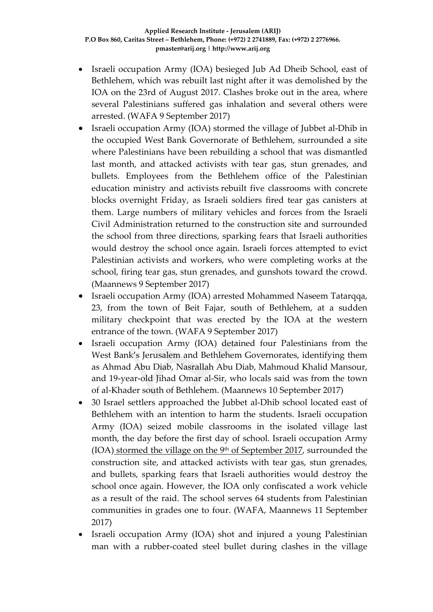- Israeli occupation Army (IOA) besieged Jub Ad Dheib School, east of Bethlehem, which was rebuilt last night after it was demolished by the IOA on the 23rd of August 2017. Clashes broke out in the area, where several Palestinians suffered gas inhalation and several others were arrested. (WAFA 9 September 2017)
- Israeli occupation Army (IOA) stormed the village of Jubbet al-Dhib in the occupied West Bank Governorate of Bethlehem, surrounded a site where Palestinians have been rebuilding a school that was dismantled last month, and attacked activists with tear gas, stun grenades, and bullets. Employees from the Bethlehem office of the Palestinian education ministry and activists rebuilt five [classrooms](http://www.maannews.com/Content.aspx?id=779029) with concrete blocks [overnight](http://www.maannews.com/Content.aspx?id=779029) Friday, as Israeli soldiers fired tear gas canisters at them. Large numbers of military vehicles and forces from the Israeli Civil Administration returned to the construction site and surrounded the school from three directions, sparking fears that Israeli authorities would destroy the school once again. Israeli forces attempted to evict Palestinian activists and workers, who were completing works at the school, firing tear gas, stun grenades, and gunshots toward the crowd. (Maannews 9 September 2017)
- Israeli occupation Army (IOA) arrested Mohammed Naseem Tatarqqa, 23, from the town of Beit Fajar, south of Bethlehem, at a sudden military checkpoint that was erected by the IOA at the western entrance of the town. (WAFA 9 September 2017)
- Israeli occupation Army (IOA) detained four Palestinians from the West Bank's Jerusalem and Bethlehem Governorates, identifying them as Ahmad Abu Diab, Nasrallah Abu Diab, Mahmoud Khalid Mansour, and 19-year-old Jihad Omar al-Sir, who locals said was from the town of al-Khader south of Bethlehem. (Maannews 10 September 2017)
- 30 Israel settlers approached the Jubbet al-Dhib school located east of Bethlehem with an intention to harm the students. Israeli occupation Army (IOA) seized mobile classrooms in the isolated village last month, the day before the first day of school. Israeli occupation Army (IOA) stormed the village on the  $9<sup>th</sup>$  of September 2017, surrounded the construction site, and attacked activists with tear gas, stun grenades, and bullets, sparking fears that Israeli authorities would destroy the school once again. However, the IOA only confiscated a work vehicle as a result of the raid. The school serves 64 students from Palestinian communities in grades one to four. (WAFA, Maannews 11 September 2017)
- Israeli occupation Army (IOA) shot and injured a young Palestinian man with a rubber-coated steel bullet during clashes in the village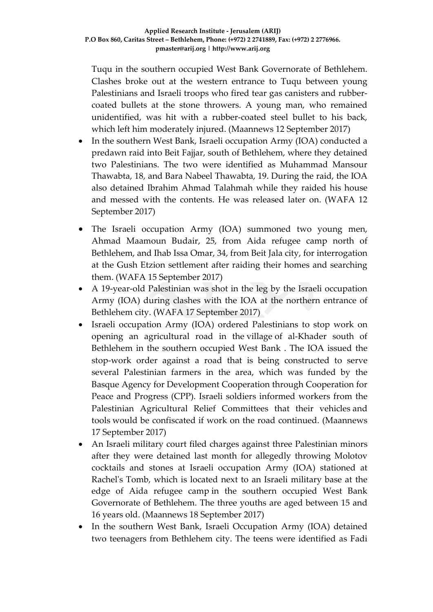Tuqu in the southern occupied West Bank Governorate of Bethlehem. Clashes broke out at the western entrance to Tuqu between young Palestinians and Israeli troops who fired tear gas canisters and rubbercoated bullets at the stone throwers. A young man, who remained unidentified, was hit with a rubber-coated steel bullet to his back, which left him moderately injured. (Maannews 12 September 2017)

- In the southern West Bank, Israeli occupation Army (IOA) conducted a predawn raid into Beit Fajjar, south of Bethlehem, where they detained two Palestinians. The two were identified as Muhammad Mansour Thawabta, 18, and Bara Nabeel Thawabta, 19. During the raid, the IOA also detained Ibrahim Ahmad Talahmah while they raided his house and messed with the contents. He was released later on. (WAFA 12 September 2017)
- The Israeli occupation Army (IOA) summoned two young men, Ahmad Maamoun Budair, 25, from Aida refugee camp north of Bethlehem, and Ihab Issa Omar, 34, from Beit Jala city, for interrogation at the Gush Etzion settlement after raiding their homes and searching them. (WAFA 15 September 2017)
- A 19-year-old Palestinian was shot in the leg by the Israeli occupation Army (IOA) during clashes with the IOA at the northern entrance of Bethlehem city. (WAFA 17 September 2017)
- Israeli occupation Army (IOA) ordered Palestinians to stop work on opening an agricultural road in the village of al-Khader south of Bethlehem in the southern occupied West Bank . The IOA issued the stop-work order against a road that is being constructed to serve several Palestinian farmers in the area, which was funded by the Basque Agency for Development Cooperation through Cooperation for Peace and Progress (CPP). Israeli soldiers informed workers from the Palestinian Agricultural Relief Committees that their vehicles and tools would be confiscated if work on the road continued. (Maannews 17 September 2017)
- An Israeli military court filed charges against three Palestinian minors after they were detained last month for allegedly throwing Molotov cocktails and stones at Israeli occupation Army (IOA) stationed at Rachel's Tomb, which is located next to an Israeli military base at the edge of Aida refugee camp in the southern occupied West Bank Governorate of Bethlehem. The three youths are aged between 15 and 16 years old. (Maannews 18 September 2017)
- In the southern West Bank, Israeli Occupation Army (IOA) detained two teenagers from Bethlehem city. The teens were identified as Fadi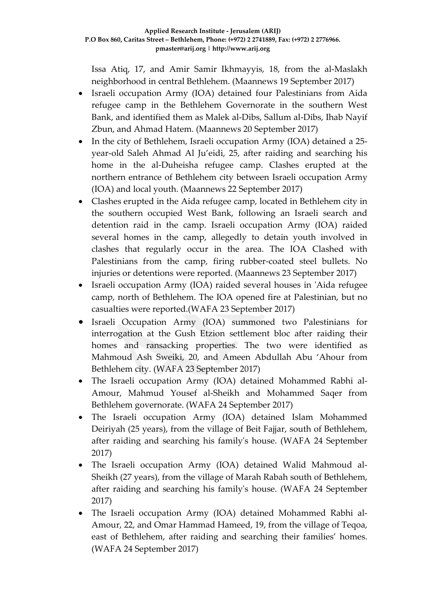Issa Atiq, 17, and Amir Samir Ikhmayyis, 18, from the al-Maslakh neighborhood in central Bethlehem. (Maannews 19 September 2017)

- Israeli occupation Army (IOA) detained four Palestinians from Aida refugee camp in the Bethlehem Governorate in the southern West Bank, and identified them as Malek al-Dibs, Sallum al-Dibs, Ihab Nayif Zbun, and Ahmad Hatem. (Maannews 20 September 2017)
- In the city of Bethlehem, Israeli occupation Army (IOA) detained a 25 year-old Saleh Ahmad Al Ju'eidi, 25, after raiding and searching his home in the al-Duheisha refugee camp. Clashes erupted at the northern entrance of Bethlehem city between Israeli occupation Army (IOA) and local youth. (Maannews 22 September 2017)
- Clashes erupted in the Aida refugee camp, located in Bethlehem city in the southern occupied West Bank, following an Israeli search and detention raid in the camp. Israeli occupation Army (IOA) raided several homes in the camp, allegedly to detain youth involved in clashes that regularly occur in the area. The IOA Clashed with Palestinians from the camp, firing rubber-coated steel bullets. No injuries or detentions were reported. (Maannews 23 September 2017)
- Israeli occupation Army (IOA) raided several houses in 'Aida refugee camp, north of Bethlehem. The IOA opened fire at Palestinian, but no casualties were reported.(WAFA 23 September 2017)
- Israeli Occupation Army (IOA) summoned two Palestinians for interrogation at the Gush Etzion settlement bloc after raiding their homes and ransacking properties. The two were identified as Mahmoud Ash Sweiki, 20, and Ameen Abdullah Abu 'Ahour from Bethlehem city. (WAFA 23 September 2017)
- The Israeli occupation Army (IOA) detained Mohammed Rabhi al-Amour, Mahmud Yousef al-Sheikh and Mohammed Saqer from Bethlehem governorate. (WAFA 24 September 2017)
- The Israeli occupation Army (IOA) detained Islam Mohammed Deiriyah (25 years), from the village of Beit Fajjar, south of Bethlehem, after raiding and searching his family's house. (WAFA 24 September 2017)
- The Israeli occupation Army (IOA) detained Walid Mahmoud al-Sheikh (27 years), from the village of Marah Rabah south of Bethlehem, after raiding and searching his family's house. (WAFA 24 September 2017)
- The Israeli occupation Army (IOA) detained Mohammed Rabhi al-Amour, 22, and Omar Hammad Hameed, 19, from the village of Teqoa, east of Bethlehem, after raiding and searching their families' homes. (WAFA 24 September 2017)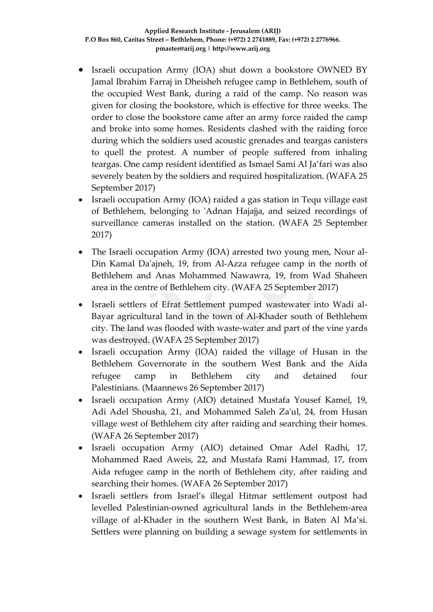- Israeli occupation Army (IOA) shut down a bookstore OWNED BY Jamal Ibrahim Farraj in Dheisheh refugee camp in Bethlehem, south of the occupied West Bank, during a raid of the camp. No reason was given for closing the bookstore, which is effective for three weeks. The order to close the bookstore came after an army force raided the camp and broke into some homes. Residents clashed with the raiding force during which the soldiers used acoustic grenades and teargas canisters to quell the protest. A number of people suffered from inhaling teargas. One camp resident identified as Ismael Sami Al Ja'fari was also severely beaten by the soldiers and required hospitalization. (WAFA 25 September 2017)
- Israeli occupation Army (IOA) raided a gas station in Tequ village east of Bethlehem, belonging to 'Adnan Hajajja, and seized recordings of surveillance cameras installed on the station. (WAFA 25 September 2017)
- The Israeli occupation Army (IOA) arrested two young men, Nour al-Din Kamal Da'ajneh, 19, from Al-Azza refugee camp in the north of Bethlehem and Anas Mohammed Nawawra, 19, from Wad Shaheen area in the centre of Bethlehem city. (WAFA 25 September 2017)
- Israeli settlers of Efrat Settlement pumped wastewater into Wadi al-Bayar agricultural land in the town of Al-Khader south of Bethlehem city. The land was flooded with waste-water and part of the vine yards was destroyed. (WAFA 25 September 2017)
- Israeli occupation Army (IOA) raided the village of Husan in the Bethlehem Governorate in the southern West Bank and the Aida refugee camp in Bethlehem city and detained four Palestinians. (Maannews 26 September 2017)
- Israeli occupation Army (AIO) detained Mustafa Yousef Kamel, 19, Adi Adel Shousha, 21, and Mohammed Saleh Za'ul, 24, from Husan village west of Bethlehem city after raiding and searching their homes. (WAFA 26 September 2017)
- Israeli occupation Army (AIO) detained Omar Adel Radhi, 17, Mohammed Raed Aweis, 22, and Mustafa Rami Hammad, 17, from Aida refugee camp in the north of Bethlehem city, after raiding and searching their homes. (WAFA 26 September 2017)
- Israeli settlers from Israel's illegal Hitmar settlement outpost had levelled Palestinian-owned agricultural lands in the Bethlehem-area village of al-Khader in the southern West Bank, in Baten Al Ma'si. Settlers were planning on building a sewage system for settlements in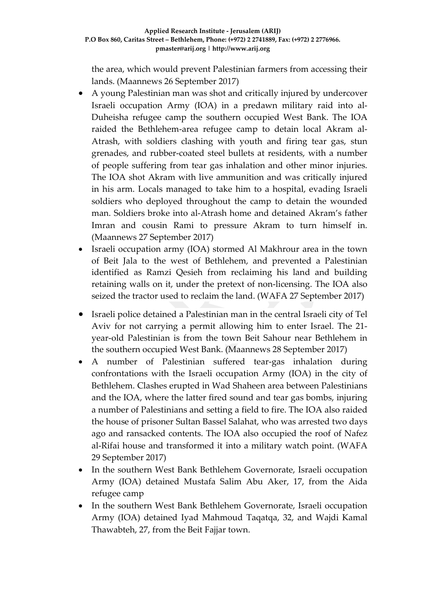the area, which would prevent Palestinian farmers from accessing their lands. (Maannews 26 September 2017)

- A young Palestinian man was shot and critically injured by undercover Israeli occupation Army (IOA) in a predawn military raid into al-Duheisha refugee camp the southern occupied West Bank. The IOA raided the Bethlehem-area refugee camp to detain local Akram al-Atrash, with soldiers clashing with youth and firing tear gas, stun grenades, and rubber-coated steel bullets at residents, with a number of people suffering from tear gas inhalation and other minor injuries. The IOA shot Akram with live ammunition and was critically injured in his arm. Locals managed to take him to a hospital, evading Israeli soldiers who deployed throughout the camp to detain the wounded man. Soldiers broke into al-Atrash home and detained Akram's father Imran and cousin Rami to pressure Akram to turn himself in. (Maannews 27 September 2017)
- Israeli occupation army (IOA) stormed Al Makhrour area in the town of Beit Jala to the west of Bethlehem, and prevented a Palestinian identified as Ramzi Qesieh from reclaiming his land and building retaining walls on it, under the pretext of non-licensing. The IOA also seized the tractor used to reclaim the land. (WAFA 27 September 2017)
- Israeli police detained a Palestinian man in the central Israeli city of Tel Aviv for not carrying a permit allowing him to enter Israel. The 21 year-old Palestinian is from the town Beit Sahour near Bethlehem in the southern occupied West Bank. (Maannews 28 September 2017)
- A number of Palestinian suffered tear-gas inhalation during confrontations with the Israeli occupation Army (IOA) in the city of Bethlehem. Clashes erupted in Wad Shaheen area between Palestinians and the IOA, where the latter fired sound and tear gas bombs, injuring a number of Palestinians and setting a field to fire. The IOA also raided the house of prisoner Sultan Bassel Salahat, who was arrested two days ago and ransacked contents. The IOA also occupied the roof of Nafez al-Rifai house and transformed it into a military watch point. (WAFA 29 September 2017)
- In the southern West Bank Bethlehem Governorate, Israeli occupation Army (IOA) detained Mustafa Salim Abu Aker, 17, from the Aida refugee camp
- In the southern West Bank Bethlehem Governorate, Israeli occupation Army (IOA) detained Iyad Mahmoud Taqatqa, 32, and Wajdi Kamal Thawabteh, 27, from the Beit Fajjar town.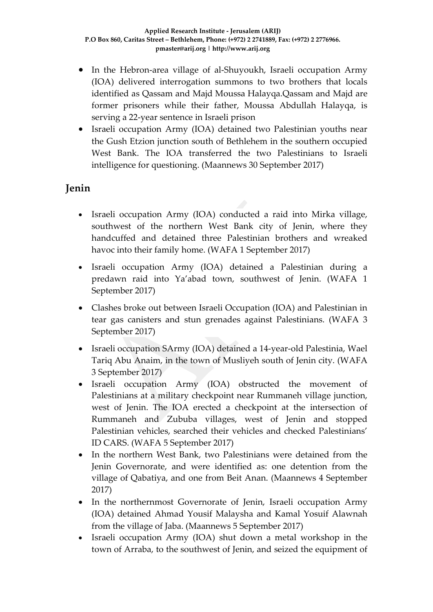- In the Hebron-area village of al-Shuyoukh, Israeli occupation Army (IOA) delivered interrogation summons to two brothers that locals identified as Qassam and Majd Moussa Halayqa.Qassam and Majd are former prisoners while their father, Moussa Abdullah Halayqa, is serving a 22-year sentence in Israeli prison
- Israeli occupation Army (IOA) detained two Palestinian youths near the Gush Etzion junction south of Bethlehem in the southern occupied West Bank. The IOA transferred the two Palestinians to Israeli intelligence for questioning. (Maannews 30 September 2017)

# **Jenin**

- Israeli occupation Army (IOA) conducted a raid into Mirka village, southwest of the northern West Bank city of Jenin, where they handcuffed and detained three Palestinian brothers and wreaked havoc into their family home. (WAFA 1 September 2017)
- Israeli occupation Army (IOA) detained a Palestinian during a predawn raid into Ya'abad town, southwest of Jenin. (WAFA 1 September 2017)
- Clashes broke out between Israeli Occupation (IOA) and Palestinian in tear gas canisters and stun grenades against Palestinians. (WAFA 3 September 2017)
- Israeli occupation SArmy (IOA) detained a 14-year-old Palestinia, Wael Tariq Abu Anaim, in the town of Musliyeh south of Jenin city. (WAFA 3 September 2017)
- Israeli occupation Army (IOA) obstructed the movement of Palestinians at a military checkpoint near Rummaneh village junction, west of Jenin. The IOA erected a checkpoint at the intersection of Rummaneh and Zububa villages, west of Jenin and stopped Palestinian vehicles, searched their vehicles and checked Palestinians' ID CARS. (WAFA 5 September 2017)
- In the northern West Bank, two Palestinians were detained from the Jenin Governorate, and were identified as: one detention from the village of Qabatiya, and one from Beit Anan. (Maannews 4 September 2017)
- In the northernmost Governorate of Jenin, Israeli occupation Army (IOA) detained Ahmad Yousif Malaysha and Kamal Yosuif Alawnah from the village of Jaba. (Maannews 5 September 2017)
- Israeli occupation Army (IOA) shut down a metal workshop in the town of Arraba, to the southwest of Jenin, and seized the equipment of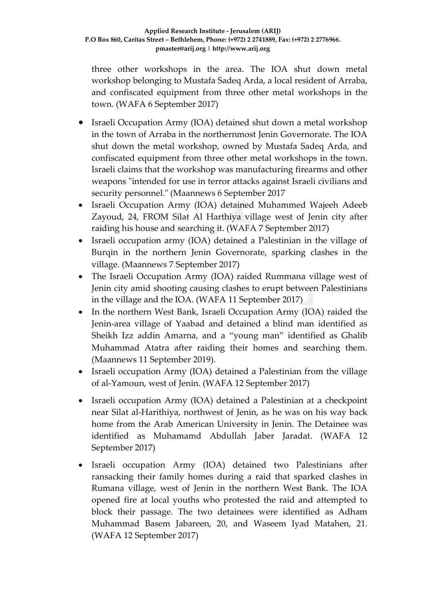three other workshops in the area. The IOA shut down metal workshop belonging to Mustafa Sadeq Arda, a local resident of Arraba, and confiscated equipment from three other metal workshops in the town. (WAFA 6 September 2017)

- Israeli Occupation Army (IOA) detained shut down a metal workshop in the town of Arraba in the northernmost Jenin Governorate. The IOA shut down the metal workshop, owned by Mustafa Sadeq Arda, and confiscated equipment from three other metal workshops in the town. Israeli claims that the workshop was manufacturing firearms and other weapons "intended for use in terror attacks against Israeli civilians and security personnel." (Maannews 6 September 2017
- Israeli Occupation Army (IOA) detained Muhammed Wajeeh Adeeb Zayoud, 24, FROM Silat Al Harthiya village west of Jenin city after raiding his house and searching it. (WAFA 7 September 2017)
- Israeli occupation army (IOA) detained a Palestinian in the village of Burqin in the northern Jenin Governorate, sparking clashes in the village. (Maannews 7 September 2017)
- The Israeli Occupation Army (IOA) raided Rummana village west of Jenin city amid shooting causing clashes to erupt between Palestinians in the village and the IOA. (WAFA 11 September 2017)
- In the northern West Bank, Israeli Occupation Army (IOA) raided the Jenin-area village of Yaabad and detained a blind man identified as Sheikh Izz addin Amarna, and a "young man" identified as Ghalib Muhammad Atatra after raiding their homes and searching them. (Maannews 11 September 2019).
- Israeli occupation Army (IOA) detained a Palestinian from the village of al-Yamoun, west of Jenin. (WAFA 12 September 2017)
- Israeli occupation Army (IOA) detained a Palestinian at a checkpoint near Silat al-Harithiya, northwest of Jenin, as he was on his way back home from the Arab American University in Jenin. The Detainee was identified as Muhamamd Abdullah Jaber Jaradat. (WAFA 12 September 2017)
- Israeli occupation Army (IOA) detained two Palestinians after ransacking their family homes during a raid that sparked clashes in Rumana village, west of Jenin in the northern West Bank. The IOA opened fire at local youths who protested the raid and attempted to block their passage. The two detainees were identified as Adham Muhammad Basem Jabareen, 20, and Waseem Iyad Matahen, 21. (WAFA 12 September 2017)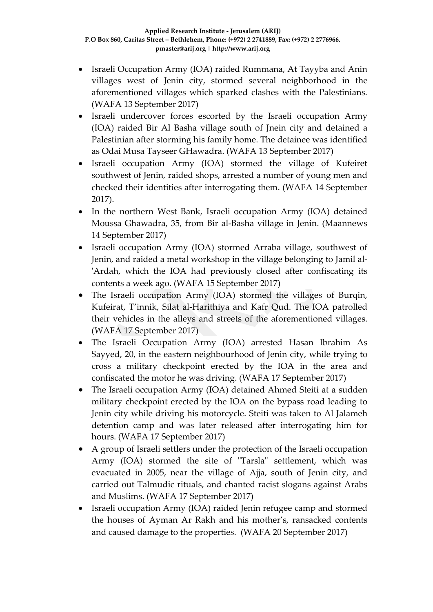- Israeli Occupation Army (IOA) raided Rummana, At Tayyba and Anin villages west of Jenin city, stormed several neighborhood in the aforementioned villages which sparked clashes with the Palestinians. (WAFA 13 September 2017)
- Israeli undercover forces escorted by the Israeli occupation Army (IOA) raided Bir Al Basha village south of Jnein city and detained a Palestinian after storming his family home. The detainee was identified as Odai Musa Tayseer GHawadra. (WAFA 13 September 2017)
- Israeli occupation Army (IOA) stormed the village of Kufeiret southwest of Jenin, raided shops, arrested a number of young men and checked their identities after interrogating them. (WAFA 14 September 2017).
- In the northern West Bank, Israeli occupation Army (IOA) detained Moussa Ghawadra, 35, from Bir al-Basha village in Jenin. (Maannews 14 September 2017)
- Israeli occupation Army (IOA) stormed Arraba village, southwest of Jenin, and raided a metal workshop in the village belonging to Jamil al- 'Ardah, which the IOA had previously closed after confiscating its contents a week ago. (WAFA 15 September 2017)
- The Israeli occupation Army (IOA) stormed the villages of Burqin, Kufeirat, T'innik, Silat al-Harithiya and Kafr Qud. The IOA patrolled their vehicles in the alleys and streets of the aforementioned villages. (WAFA 17 September 2017)
- The Israeli Occupation Army (IOA) arrested Hasan Ibrahim As Sayyed, 20, in the eastern neighbourhood of Jenin city, while trying to cross a military checkpoint erected by the IOA in the area and confiscated the motor he was driving. (WAFA 17 September 2017)
- The Israeli occupation Army (IOA) detained Ahmed Steiti at a sudden military checkpoint erected by the IOA on the bypass road leading to Jenin city while driving his motorcycle. Steiti was taken to Al Jalameh detention camp and was later released after interrogating him for hours. (WAFA 17 September 2017)
- A group of Israeli settlers under the protection of the Israeli occupation Army (IOA) stormed the site of "Tarsla" settlement, which was evacuated in 2005, near the village of Ajja, south of Jenin city, and carried out Talmudic rituals, and chanted racist slogans against Arabs and Muslims. (WAFA 17 September 2017)
- Israeli occupation Army (IOA) raided Jenin refugee camp and stormed the houses of Ayman Ar Rakh and his mother's, ransacked contents and caused damage to the properties. (WAFA 20 September 2017)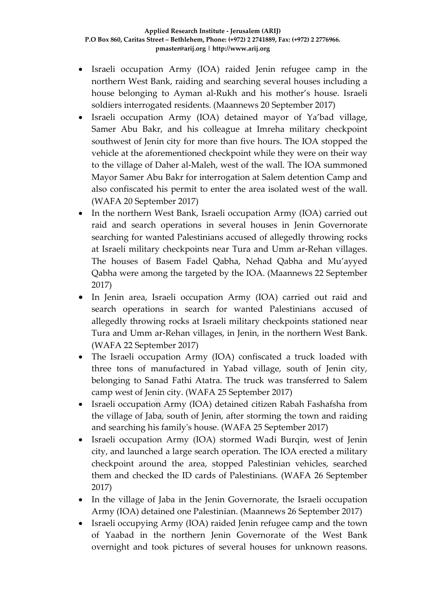- Israeli occupation Army (IOA) raided Jenin refugee camp in the northern West Bank, raiding and searching several houses including a house belonging to Ayman al-Rukh and his mother's house. Israeli soldiers interrogated residents. (Maannews 20 September 2017)
- Israeli occupation Army (IOA) detained mayor of Ya'bad village, Samer Abu Bakr, and his colleague at Imreha military checkpoint southwest of Jenin city for more than five hours. The IOA stopped the vehicle at the aforementioned checkpoint while they were on their way to the village of Daher al-Maleh, west of the wall. The IOA summoned Mayor Samer Abu Bakr for interrogation at Salem detention Camp and also confiscated his permit to enter the area isolated west of the wall. (WAFA 20 September 2017)
- In the northern West Bank, Israeli occupation Army (IOA) carried out raid and search operations in several houses in Jenin Governorate searching for wanted Palestinians accused of allegedly throwing rocks at Israeli military checkpoints near Tura and Umm ar-Rehan villages. The houses of Basem Fadel Qabha, Nehad Qabha and Mu'ayyed Qabha were among the targeted by the IOA. (Maannews 22 September 2017)
- In Jenin area, Israeli occupation Army (IOA) carried out raid and search operations in search for wanted Palestinians accused of allegedly throwing rocks at Israeli military checkpoints stationed near Tura and Umm ar-Rehan villages, in Jenin, in the northern West Bank. (WAFA 22 September 2017)
- The Israeli occupation Army (IOA) confiscated a truck loaded with three tons of manufactured in Yabad village, south of Jenin city, belonging to Sanad Fathi Atatra. The truck was transferred to Salem camp west of Jenin city. (WAFA 25 September 2017)
- Israeli occupation Army (IOA) detained citizen Rabah Fashafsha from the village of Jaba, south of Jenin, after storming the town and raiding and searching his family's house. (WAFA 25 September 2017)
- Israeli occupation Army (IOA) stormed Wadi Burqin, west of Jenin city, and launched a large search operation. The IOA erected a military checkpoint around the area, stopped Palestinian vehicles, searched them and checked the ID cards of Palestinians. (WAFA 26 September 2017)
- In the village of Jaba in the Jenin Governorate, the Israeli occupation Army (IOA) detained one Palestinian. (Maannews 26 September 2017)
- Israeli occupying Army (IOA) raided Jenin refugee camp and the town of Yaabad in the northern Jenin Governorate of the West Bank overnight and took pictures of several houses for unknown reasons.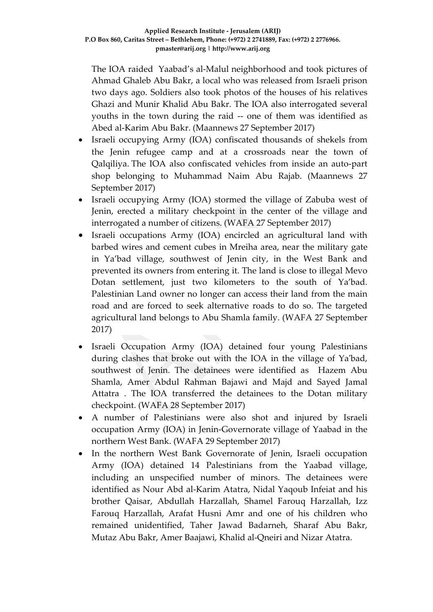The IOA raided Yaabad's al-Malul neighborhood and took pictures of Ahmad Ghaleb Abu Bakr, a local who was released from Israeli prison two days ago. Soldiers also took photos of the houses of his relatives Ghazi and Munir Khalid Abu Bakr. The IOA also interrogated several youths in the town during the raid -- one of them was identified as Abed al-Karim Abu Bakr. (Maannews 27 September 2017)

- Israeli occupying Army (IOA) confiscated thousands of shekels from the Jenin refugee camp and at a crossroads near the town of Qalqiliya. The IOA also confiscated vehicles from inside an auto-part shop belonging to Muhammad Naim Abu Rajab. (Maannews 27 September 2017)
- Israeli occupying Army (IOA) stormed the village of Zabuba west of Jenin, erected a military checkpoint in the center of the village and interrogated a number of citizens. (WAFA 27 September 2017)
- Israeli occupations Army (IOA) encircled an agricultural land with barbed wires and cement cubes in Mreiha area, near the military gate in Ya'bad village, southwest of Jenin city, in the West Bank and prevented its owners from entering it. The land is close to illegal Mevo Dotan settlement, just two kilometers to the south of Ya'bad. Palestinian Land owner no longer can access their land from the main road and are forced to seek alternative roads to do so. The targeted agricultural land belongs to Abu Shamla family. (WAFA 27 September 2017)
- Israeli Occupation Army (IOA) detained four young Palestinians during clashes that broke out with the IOA in the village of Ya'bad, southwest of Jenin. The detainees were identified as Hazem Abu Shamla, Amer Abdul Rahman Bajawi and Majd and Sayed Jamal Attatra . The IOA transferred the detainees to the Dotan military checkpoint. (WAFA 28 September 2017)
- A number of Palestinians were also shot and injured by Israeli occupation Army (IOA) in Jenin-Governorate village of Yaabad in the northern West Bank. (WAFA 29 September 2017)
- In the northern West Bank Governorate of Jenin, Israeli occupation Army (IOA) detained 14 Palestinians from the Yaabad village, including an unspecified number of minors. The detainees were identified as Nour Abd al-Karim Atatra, Nidal Yaqoub Infeiat and his brother Qaisar, Abdullah Harzallah, Shamel Farouq Harzallah, Izz Farouq Harzallah, Arafat Husni Amr and one of his children who remained unidentified, Taher Jawad Badarneh, Sharaf Abu Bakr, Mutaz Abu Bakr, Amer Baajawi, Khalid al-Qneiri and Nizar Atatra.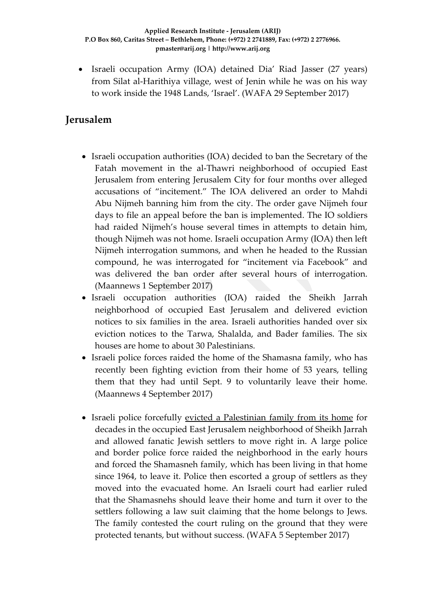• Israeli occupation Army (IOA) detained Dia' Riad Jasser (27 years) from Silat al-Harithiya village, west of Jenin while he was on his way to work inside the 1948 Lands, 'Israel'. (WAFA 29 September 2017)

## **Jerusalem**

- Israeli occupation authorities (IOA) decided to ban the Secretary of the Fatah movement in the al-Thawri neighborhood of occupied East Jerusalem from entering Jerusalem City for four months over alleged accusations of "incitement." The IOA delivered an order to Mahdi Abu Nijmeh banning him from the city. The order gave Nijmeh four days to file an appeal before the ban is implemented. The IO soldiers had raided Nijmeh's house several times in attempts to detain him, though Nijmeh was not home. Israeli occupation Army (IOA) then left Nijmeh interrogation summons, and when he headed to the Russian compound, he was interrogated for "incitement via Facebook" and was delivered the ban order after several hours of interrogation. (Maannews 1 September 2017)
- Israeli occupation authorities (IOA) raided the Sheikh Jarrah neighborhood of occupied East Jerusalem and delivered eviction notices to six families in the area. Israeli authorities handed over six eviction notices to the Tarwa, Shalalda, and Bader families. The six houses are home to about 30 Palestinians.
- Israeli police forces raided the home of the Shamasna family, who has recently been fighting eviction from their home of 53 years, telling them that they had until Sept. 9 to voluntarily leave their home. (Maannews 4 September 2017)
- Israeli police forcefully [evicted a Palestinian family from its home](http://www.haaretz.com/opinion/.premium-1.810974) for decades in the occupied East Jerusalem neighborhood of Sheikh Jarrah and allowed fanatic Jewish settlers to move right in. A large police and border police force raided the neighborhood in the early hours and forced the Shamasneh family, which has been living in that home since 1964, to leave it. Police then escorted a group of settlers as they moved into the evacuated home. An Israeli court had earlier ruled that the Shamasnehs should leave their home and turn it over to the settlers following a law suit claiming that the home belongs to Jews. The family contested the court ruling on the ground that they were protected tenants, but without success. (WAFA 5 September 2017)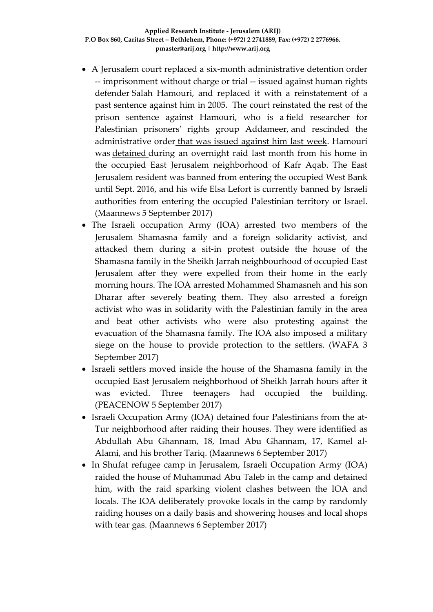- A Jerusalem court replaced a six-month administrative detention order -- imprisonment without charge or trial -- issued against human rights defender Salah Hamouri, and replaced it with a reinstatement of a past sentence against him in 2005. The court reinstated the rest of the prison sentence against Hamouri, who is a field researcher for Palestinian prisoners' rights group Addameer, and rescinded the administrative order that was issued [against](http://www.maannews.com/Content.aspx?id=778910) him last week. Hamouri was [detained](http://www.maannews.com/Content.aspx?id=778830) during an overnight raid last month from his home in the occupied East Jerusalem neighborhood of Kafr Aqab. The East Jerusalem resident was banned from entering the occupied West Bank until Sept. 2016, and his wife Elsa Lefort is currently banned by Israeli authorities from entering the occupied Palestinian territory or Israel. (Maannews 5 September 2017)
- The Israeli occupation Army (IOA) arrested two members of the Jerusalem Shamasna family and a foreign solidarity activist, and attacked them during a sit-in protest outside the house of the Shamasna family in the Sheikh Jarrah neighbourhood of occupied East Jerusalem after they were expelled from their home in the early morning hours. The IOA arrested Mohammed Shamasneh and his son Dharar after severely beating them. They also arrested a foreign activist who was in solidarity with the Palestinian family in the area and beat other activists who were also protesting against the evacuation of the Shamasna family. The IOA also imposed a military siege on the house to provide protection to the settlers. (WAFA 3 September 2017)
- Israeli settlers moved inside the house of the Shamasna family in the occupied East Jerusalem neighborhood of Sheikh Jarrah hours after it was evicted. Three teenagers had occupied the building. (PEACENOW 5 September 2017)
- Israeli Occupation Army (IOA) detained four Palestinians from the at-Tur neighborhood after raiding their houses. They were identified as Abdullah Abu Ghannam, 18, Imad Abu Ghannam, 17, Kamel al-Alami, and his brother Tariq. (Maannews 6 September 2017)
- In Shufat refugee camp in Jerusalem, Israeli Occupation Army (IOA) raided the house of Muhammad Abu Taleb in the camp and detained him, with the raid sparking violent clashes between the IOA and locals. The IOA deliberately provoke locals in the camp by randomly raiding houses on a daily basis and showering houses and local shops with tear gas. (Maannews 6 September 2017)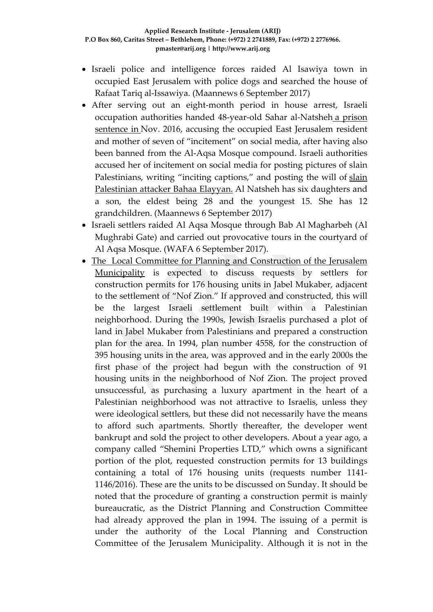- Israeli police and intelligence forces raided Al Isawiya town in occupied East Jerusalem with police dogs and searched the house of Rafaat Tariq al-Issawiya. (Maannews 6 September 2017)
- After serving out an eight-month period in house arrest, Israeli occupation authorities handed 48-year-old Sahar al-Natsheh a [prison](http://www.maannews.com/Content.aspx?id=774780) [sentence](http://www.maannews.com/Content.aspx?id=774780) in Nov. 2016, accusing the occupied East Jerusalem resident and mother of seven of "incitement" on social media, after having also been banned from the Al-Aqsa Mosque compound. Israeli authorities accused her of incitement on social media for posting pictures of slain Palestinians, writing "inciting captions," and posting the will of [slain](http://www.maannews.com/Content.aspx?id=772944) [Palestinian](http://www.maannews.com/Content.aspx?id=772944) attacker Bahaa Elayyan. Al Natsheh has six daughters and a son, the eldest being 28 and the youngest 15. She has 12 grandchildren. (Maannews 6 September 2017)
- Israeli settlers raided Al Aqsa Mosque through Bab Al Magharbeh (Al Mughrabi Gate) and carried out provocative tours in the courtyard of Al Aqsa Mosque. (WAFA 6 September 2017).
- [The Local Committee for Planning and Construction of the Jerusalem](http://www.haaretz.com/israel-news/1.810994)  [Municipality](http://www.haaretz.com/israel-news/1.810994) is expected to discuss requests by settlers for construction permits for 176 housing units in Jabel Mukaber, adjacent to the settlement of "Nof Zion." If approved and constructed, this will be the largest Israeli settlement built within a Palestinian neighborhood. During the 1990s, Jewish Israelis purchased a plot of land in Jabel Mukaber from Palestinians and prepared a construction plan for the area. In 1994, plan number 4558, for the construction of 395 housing units in the area, was approved and in the early 2000s the first phase of the project had begun with the construction of 91 housing units in the neighborhood of Nof Zion. The project proved unsuccessful, as purchasing a luxury apartment in the heart of a Palestinian neighborhood was not attractive to Israelis, unless they were ideological settlers, but these did not necessarily have the means to afford such apartments. Shortly thereafter, the developer went bankrupt and sold the project to other developers. About a year ago, a company called "Shemini Properties LTD," which owns a significant portion of the plot, requested construction permits for 13 buildings containing a total of 176 housing units (requests number 1141- 1146/2016). These are the units to be discussed on Sunday. It should be noted that the procedure of granting a construction permit is mainly bureaucratic, as the District Planning and Construction Committee had already approved the plan in 1994. The issuing of a permit is under the authority of the Local Planning and Construction Committee of the Jerusalem Municipality. Although it is not in the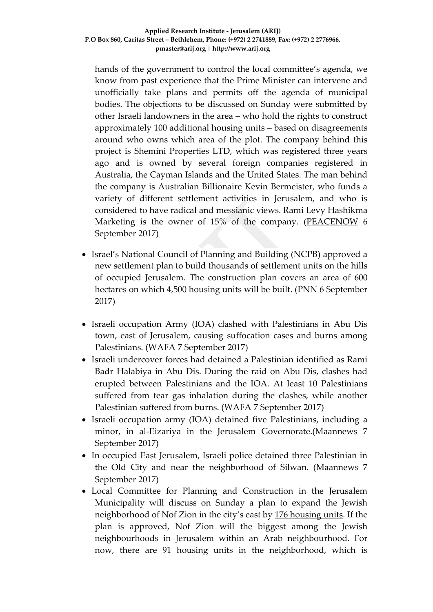hands of the government to control the local committee's agenda, we know from past experience that the Prime Minister can intervene and unofficially take plans and permits off the agenda of municipal bodies. The objections to be discussed on Sunday were submitted by other Israeli landowners in the area – who hold the rights to construct approximately 100 additional housing units – based on disagreements around who owns which area of the plot. The company behind this project is Shemini Properties LTD, which was registered three years ago and is owned by several foreign companies registered in Australia, the Cayman Islands and the United States. The man behind the company is Australian Billionaire Kevin Bermeister, who funds a variety of different settlement activities in Jerusalem, and who is considered to have radical and messianic views. Rami Levy Hashikma Marketing is the owner of 15% of the company. [\(PEACENOW](http://peacenow.org.il/en/jabel-mukaber-settlement) 6 September 2017)

- Israel's National Council of Planning and Building (NCPB) approved a new settlement plan to build thousands of settlement units on the hills of occupied Jerusalem. The construction plan covers an area of 600 hectares on which 4,500 housing units will be built. (PNN 6 September 2017)
- Israeli occupation Army (IOA) clashed with Palestinians in Abu Dis town, east of Jerusalem, causing suffocation cases and burns among Palestinians. (WAFA 7 September 2017)
- Israeli undercover forces had detained a Palestinian identified as Rami Badr Halabiya in Abu Dis. During the raid on Abu Dis, clashes had erupted between Palestinians and the IOA. At least 10 Palestinians suffered from tear gas inhalation during the clashes, while another Palestinian suffered from burns. (WAFA 7 September 2017)
- Israeli occupation army (IOA) detained five Palestinians, including a minor, in al-Eizariya in the Jerusalem Governorate.(Maannews 7 September 2017)
- In occupied East Jerusalem, Israeli police detained three Palestinian in the Old City and near the neighborhood of Silwan. (Maannews 7 September 2017)
- Local Committee for Planning and Construction in the Jerusalem Municipality will discuss on Sunday a plan to expand the Jewish neighborhood of Nof Zion in the city's east by [176 housing units.](http://www.haaretz.com/israel-news/1.810994) If the plan is approved, Nof Zion will the biggest among the Jewish neighbourhoods in Jerusalem within an Arab neighbourhood. For now, there are 91 housing units in the neighborhood, which is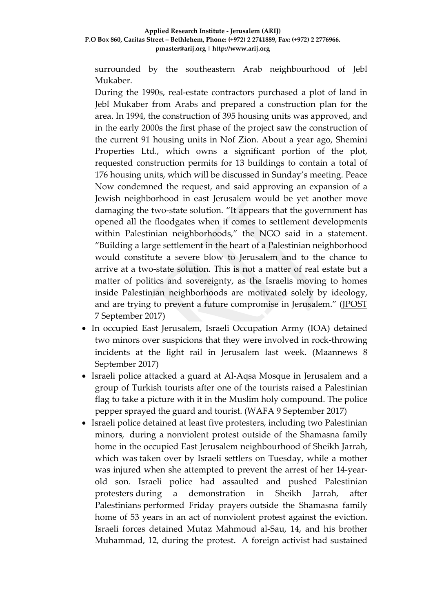surrounded by the southeastern Arab neighbourhood of Jebl Mukaber.

During the 1990s, real-estate contractors purchased a plot of land in Jebl Mukaber from Arabs and prepared a construction plan for the area. In 1994, the construction of 395 housing units was approved, and in the early 2000s the first phase of the project saw the construction of the current 91 housing units in Nof Zion. About a year ago, Shemini Properties Ltd., which owns a significant portion of the plot, requested construction permits for 13 buildings to contain a total of 176 housing units, which will be discussed in Sunday's meeting. Peace Now condemned the request, and said approving an expansion of a Jewish neighborhood in east Jerusalem would be yet another move damaging the two-state solution. "It appears that the government has opened all the floodgates when it comes to settlement developments within Palestinian neighborhoods," the NGO said in a statement. "Building a large settlement in the heart of a Palestinian neighborhood would constitute a severe blow to Jerusalem and to the chance to arrive at a two-state solution. This is not a matter of real estate but a matter of politics and sovereignty, as the Israelis moving to homes inside Palestinian neighborhoods are motivated solely by ideology, and are trying to prevent a future compromise in Jerusalem." [\(JPOST](http://www.jpost.com/Israel-News/Israeli-plan-to-expand-east-Jlm-neighborhood-a-severe-blow-to-two-state-solution-504472) 7 September 2017)

- In occupied East Jerusalem, Israeli Occupation Army (IOA) detained two minors over suspicions that they were involved in rock-throwing incidents at the light rail in Jerusalem last week. (Maannews 8 September 2017)
- Israeli police attacked a guard at Al-Aqsa Mosque in Jerusalem and a group of Turkish tourists after one of the tourists raised a Palestinian flag to take a picture with it in the Muslim holy compound. The police pepper sprayed the guard and tourist. (WAFA 9 September 2017)
- Israeli police detained at least five protesters, including two Palestinian minors, during a nonviolent protest outside of the Shamasna family home in the occupied East Jerusalem neighbourhood of Sheikh Jarrah, which was taken over by Israeli settlers on Tuesday, while a mother was injured when she attempted to prevent the arrest of her 14-yearold son. Israeli police had assaulted and pushed Palestinian protesters during a demonstration in Sheikh Jarrah, after Palestinians performed Friday prayers outside the Shamasna family home of 53 years in an act of nonviolent protest against the eviction. Israeli forces detained Mutaz Mahmoud al-Sau, 14, and his brother Muhammad, 12, during the protest. A foreign activist had sustained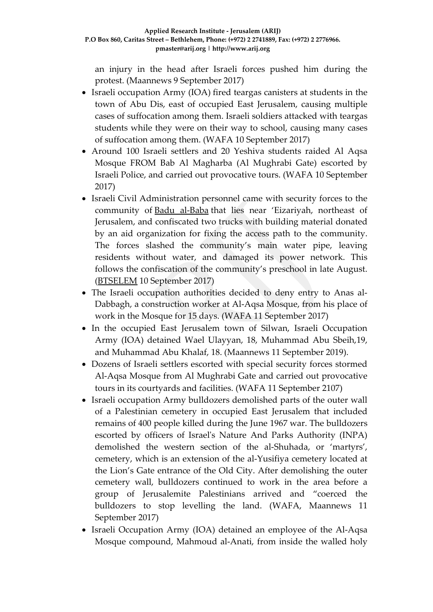an injury in the head after Israeli forces pushed him during the protest. (Maannews 9 September 2017)

- Israeli occupation Army (IOA) fired teargas canisters at students in the town of Abu Dis, east of occupied East Jerusalem, causing multiple cases of suffocation among them. Israeli soldiers attacked with teargas students while they were on their way to school, causing many cases of suffocation among them. (WAFA 10 September 2017)
- Around 100 Israeli settlers and 20 Yeshiva students raided Al Aqsa Mosque FROM Bab Al Magharba (Al Mughrabi Gate) escorted by Israeli Police, and carried out provocative tours. (WAFA 10 September 2017)
- Israeli Civil Administration personnel came with security forces to the community of [Badu al-Baba](http://www.btselem.org/facing_expulsion_blog?community=141128) that lies near 'Eizariyah, northeast of Jerusalem, and confiscated two trucks with building material donated by an aid organization for fixing the access path to the community. The forces slashed the community's main water pipe, leaving residents without water, and damaged its power network. This follows the confiscation of the community's preschool in late August. [\(BTSELEM](http://www.btselem.org/facing_expulsion_blog?nid=152634) 10 September 2017)
- The Israeli occupation authorities decided to deny entry to Anas al-Dabbagh, a construction worker at Al-Aqsa Mosque, from his place of work in the Mosque for 15 days. (WAFA 11 September 2017)
- In the occupied East Jerusalem town of Silwan, Israeli Occupation Army (IOA) detained Wael Ulayyan, 18, Muhammad Abu Sbeih,19, and Muhammad Abu Khalaf, 18. (Maannews 11 September 2019).
- Dozens of Israeli settlers escorted with special security forces stormed Al-Aqsa Mosque from Al Mughrabi Gate and carried out provocative tours in its courtyards and facilities. (WAFA 11 September 2107)
- Israeli occupation Army bulldozers demolished parts of the outer wall of a Palestinian cemetery in occupied East Jerusalem that included remains of 400 people killed during the June 1967 war. The bulldozers escorted by officers of Israel's Nature And Parks Authority (INPA) demolished the western section of the al-Shuhada, or 'martyrs', cemetery, which is an extension of the al-Yusifiya cemetery located at the Lion's Gate entrance of the Old City. After demolishing the outer cemetery wall, bulldozers continued to work in the area before a group of Jerusalemite Palestinians arrived and "coerced the bulldozers to stop levelling the land. (WAFA, Maannews 11 September 2017)
- Israeli Occupation Army (IOA) detained an employee of the Al-Aqsa Mosque compound, Mahmoud al-Anati, from inside the walled holy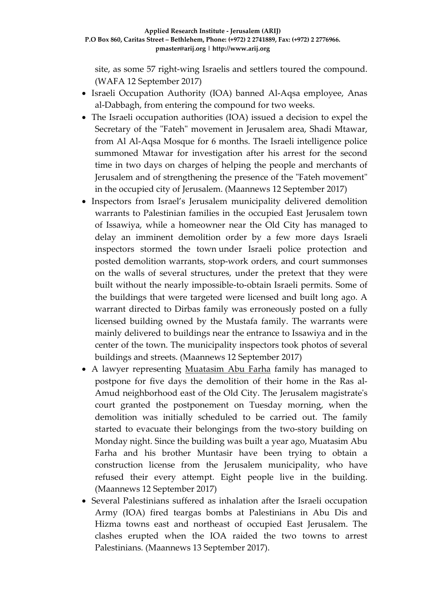site, as some 57 right-wing Israelis and settlers toured the compound. (WAFA 12 September 2017)

- Israeli Occupation Authority (IOA) banned Al-Aqsa employee, Anas al-Dabbagh, from entering the compound for two weeks.
- The Israeli occupation authorities (IOA) issued a decision to expel the Secretary of the "Fateh" movement in Jerusalem area, Shadi Mtawar, from Al Al-Aqsa Mosque for 6 months. The Israeli intelligence police summoned Mtawar for investigation after his arrest for the second time in two days on charges of helping the people and merchants of Jerusalem and of strengthening the presence of the "Fateh movement" in the occupied city of Jerusalem. (Maannews 12 September 2017)
- Inspectors from Israel's Jerusalem municipality delivered demolition warrants to Palestinian families in the occupied East Jerusalem town of Issawiya, while a homeowner near the Old City has managed to delay an imminent demolition order by a few more days Israeli inspectors stormed the town under Israeli police protection and posted demolition warrants, stop-work orders, and court summonses on the walls of several structures, under the pretext that they were built without the nearly impossible-to-obtain Israeli permits. Some of the buildings that were targeted were licensed and built long ago. A warrant directed to Dirbas family was erroneously posted on a fully licensed building owned by the Mustafa family. The warrants were mainly delivered to buildings near the entrance to Issawiya and in the center of the town. The municipality inspectors took photos of several buildings and streets. (Maannews 12 September 2017)
- A lawyer representing [Muatasim Abu Farha](http://www.wafa.ps/ar_page.aspx?id=Gv2oJRa798255227913aGv2oJR) family has managed to postpone for five days the demolition of their home in the Ras al-Amud neighborhood east of the Old City. The Jerusalem magistrate's court granted the postponement on Tuesday morning, when the demolition was initially scheduled to be carried out. The family started to evacuate their belongings from the two-story building on Monday night. Since the building was built a year ago, Muatasim Abu Farha and his brother Muntasir have been trying to obtain a construction license from the Jerusalem municipality, who have refused their every attempt. Eight people live in the building. (Maannews 12 September 2017)
- Several Palestinians suffered as inhalation after the Israeli occupation Army (IOA) fired teargas bombs at Palestinians in Abu Dis and Hizma towns east and northeast of occupied East Jerusalem. The clashes erupted when the IOA raided the two towns to arrest Palestinians. (Maannews 13 September 2017).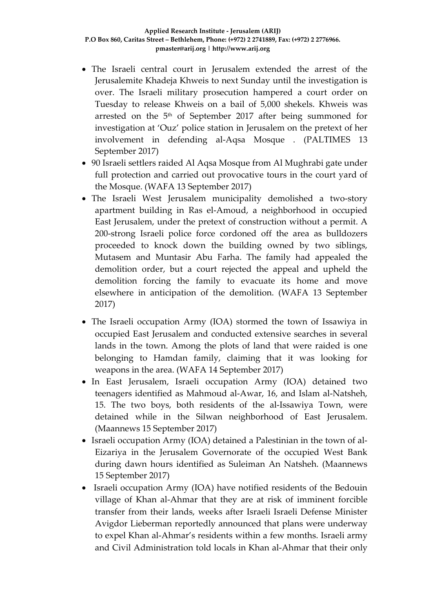- The Israeli central court in Jerusalem extended the arrest of the Jerusalemite Khadeja Khweis to next Sunday until the investigation is over. The Israeli military prosecution hampered a court order on Tuesday to release Khweis on a bail of 5,000 shekels. Khweis was arrested on the 5<sup>th</sup> of September 2017 after being summoned for investigation at 'Ouz' police station in Jerusalem on the pretext of her involvement in defending al-Aqsa Mosque . (PALTIMES 13 September 2017)
- 90 Israeli settlers raided Al Aqsa Mosque from Al Mughrabi gate under full protection and carried out provocative tours in the court yard of the Mosque. (WAFA 13 September 2017)
- The Israeli West Jerusalem municipality demolished a two-story apartment building in Ras el-Amoud, a neighborhood in occupied East Jerusalem, under the pretext of construction without a permit. A 200-strong Israeli police force cordoned off the area as bulldozers proceeded to knock down the building owned by two siblings, Mutasem and Muntasir Abu Farha. The family had appealed the demolition order, but a court rejected the appeal and upheld the demolition forcing the family to evacuate its home and move elsewhere in anticipation of the demolition. (WAFA 13 September 2017)
- The Israeli occupation Army (IOA) stormed the town of Issawiya in occupied East Jerusalem and conducted extensive searches in several lands in the town. Among the plots of land that were raided is one belonging to Hamdan family, claiming that it was looking for weapons in the area. (WAFA 14 September 2017)
- In East Jerusalem, Israeli occupation Army (IOA) detained two teenagers identified as Mahmoud al-Awar, 16, and Islam al-Natsheh, 15. The two boys, both residents of the al-Issawiya Town, were detained while in the Silwan neighborhood of East Jerusalem. (Maannews 15 September 2017)
- Israeli occupation Army (IOA) detained a Palestinian in the town of al-Eizariya in the Jerusalem Governorate of the occupied West Bank during dawn hours identified as Suleiman An Natsheh. (Maannews 15 September 2017)
- Israeli occupation Army (IOA) have notified residents of the Bedouin village of Khan al-Ahmar that they are at risk of imminent forcible transfer from their lands, weeks after Israeli Israeli Defense Minister Avigdor Lieberman reportedly announced that plans were underway to expel Khan al-Ahmar's residents within a few months. Israeli army and Civil Administration told locals in Khan al-Ahmar that their only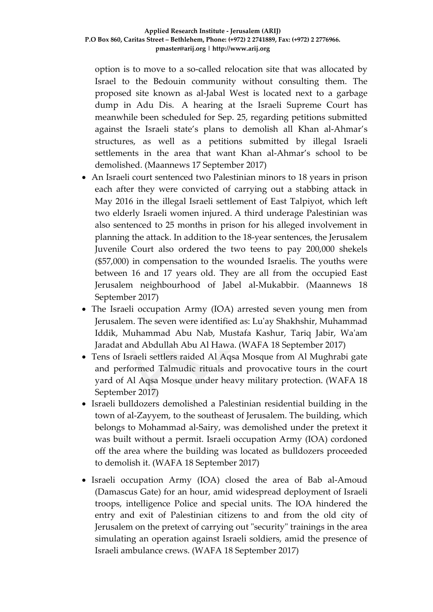option is to move to a so-called relocation site that was allocated by Israel to the Bedouin community without consulting them. The proposed site known as al-Jabal West is located next to a garbage dump in Adu Dis. A hearing at the Israeli Supreme Court has meanwhile been scheduled for Sep. 25, regarding petitions submitted against the Israeli state's plans to demolish all Khan al-Ahmar's structures, as well as a petitions submitted by illegal Israeli settlements in the area that want Khan al-Ahmar's school to be demolished. (Maannews 17 September 2017)

- An Israeli court sentenced two Palestinian minors to 18 years in prison each after they were convicted of carrying out a stabbing attack in May 2016 in the illegal Israeli settlement of East Talpiyot, which left two elderly Israeli women injured. A third underage Palestinian was also sentenced to 25 months in prison for his alleged involvement in planning the attack. In addition to the 18-year sentences, the Jerusalem Juvenile Court also ordered the two teens to pay 200,000 shekels (\$57,000) in compensation to the wounded Israelis. The youths were between 16 and 17 years old. They are all from the occupied East Jerusalem neighbourhood of Jabel al-Mukabbir. (Maannews 18 September 2017)
- The Israeli occupation Army (IOA) arrested seven young men from Jerusalem. The seven were identified as: Lu'ay Shakhshir, Muhammad Iddik, Muhammad Abu Nab, Mustafa Kashur, Tariq Jabir, Wa'am Jaradat and Abdullah Abu Al Hawa. (WAFA 18 September 2017)
- Tens of Israeli settlers raided Al Aqsa Mosque from Al Mughrabi gate and performed Talmudic rituals and provocative tours in the court yard of Al Aqsa Mosque under heavy military protection. (WAFA 18 September 2017)
- Israeli bulldozers demolished a Palestinian residential building in the town of al-Zayyem, to the southeast of Jerusalem. The building, which belongs to Mohammad al-Sairy, was demolished under the pretext it was built without a permit. Israeli occupation Army (IOA) cordoned off the area where the building was located as bulldozers proceeded to demolish it. (WAFA 18 September 2017)
- Israeli occupation Army (IOA) closed the area of Bab al-Amoud (Damascus Gate) for an hour, amid widespread deployment of Israeli troops, intelligence Police and special units. The IOA hindered the entry and exit of Palestinian citizens to and from the old city of Jerusalem on the pretext of carrying out "security" trainings in the area simulating an operation against Israeli soldiers, amid the presence of Israeli ambulance crews. (WAFA 18 September 2017)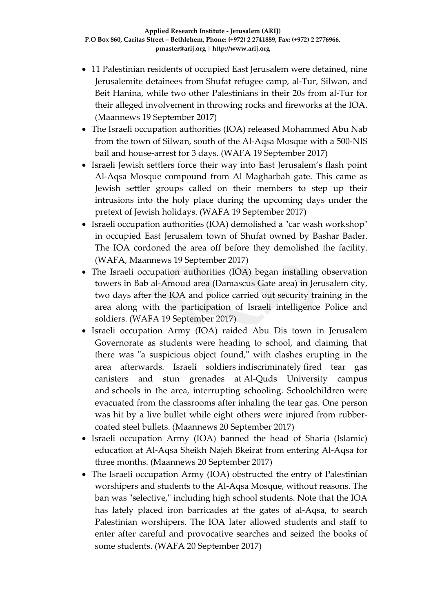- 11 Palestinian residents of occupied East Jerusalem were detained, nine Jerusalemite detainees from Shufat refugee camp, al-Tur, Silwan, and Beit Hanina, while two other Palestinians in their 20s from al-Tur for their alleged involvement in throwing rocks and fireworks at the IOA. (Maannews 19 September 2017)
- The Israeli occupation authorities (IOA) released Mohammed Abu Nab from the town of Silwan, south of the Al-Aqsa Mosque with a 500-NIS bail and house-arrest for 3 days. (WAFA 19 September 2017)
- Israeli Jewish settlers force their way into East Jerusalem's flash point Al-Aqsa Mosque compound from Al Magharbah gate. This came as Jewish settler groups called on their members to step up their intrusions into the holy place during the upcoming days under the pretext of Jewish holidays. (WAFA 19 September 2017)
- Israeli occupation authorities (IOA) demolished a "car wash workshop" in occupied East Jerusalem town of Shufat owned by Bashar Bader. The IOA cordoned the area off before they demolished the facility. (WAFA, Maannews 19 September 2017)
- The Israeli occupation authorities (IOA) began installing observation towers in Bab al-Amoud area (Damascus Gate area) in Jerusalem city, two days after the IOA and police carried out security training in the area along with the participation of Israeli intelligence Police and soldiers. (WAFA 19 September 2017)
- Israeli occupation Army (IOA) raided Abu Dis town in Jerusalem Governorate as students were heading to school, and claiming that there was "a suspicious object found," with clashes erupting in the area afterwards. Israeli soldiers indiscriminately fired tear gas canisters and stun grenades at Al-Quds University campus and schools in the area, interrupting schooling. Schoolchildren were evacuated from the classrooms after inhaling the tear gas. One person was hit by a live bullet while eight others were injured from rubbercoated steel bullets. (Maannews 20 September 2017)
- Israeli occupation Army (IOA) banned the head of Sharia (Islamic) education at Al-Aqsa Sheikh Najeh Bkeirat from entering Al-Aqsa for three months. (Maannews 20 September 2017)
- The Israeli occupation Army (IOA) obstructed the entry of Palestinian worshipers and students to the Al-Aqsa Mosque, without reasons. The ban was "selective," including high school students. Note that the IOA has lately placed iron barricades at the gates of al-Aqsa, to search Palestinian worshipers. The IOA later allowed students and staff to enter after careful and provocative searches and seized the books of some students. (WAFA 20 September 2017)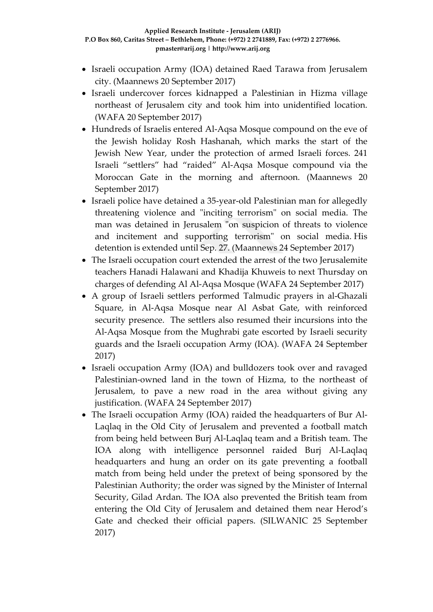- Israeli occupation Army (IOA) detained Raed Tarawa from Jerusalem city. (Maannews 20 September 2017)
- Israeli undercover forces kidnapped a Palestinian in Hizma village northeast of Jerusalem city and took him into unidentified location. (WAFA 20 September 2017)
- Hundreds of Israelis entered Al-Aqsa Mosque compound on the eve of the Jewish holiday Rosh Hashanah, which marks the start of the Jewish New Year, under the protection of armed Israeli forces. 241 Israeli "settlers" had "raided" Al-Aqsa Mosque compound via the Moroccan Gate in the morning and afternoon. (Maannews 20 September 2017)
- Israeli police have detained a 35-year-old Palestinian man for allegedly threatening violence and "inciting terrorism" on social media. The man was detained in Jerusalem "on suspicion of threats to violence and incitement and supporting terrorism" on social media. His detention is extended until Sep. 27. (Maannews 24 September 2017)
- The Israeli occupation court extended the arrest of the two Jerusalemite teachers Hanadi Halawani and Khadija Khuweis to next Thursday on charges of defending Al Al-Aqsa Mosque (WAFA 24 September 2017)
- A group of Israeli settlers performed Talmudic prayers in al-Ghazali Square, in Al-Aqsa Mosque near Al Asbat Gate, with reinforced security presence. The settlers also resumed their incursions into the Al-Aqsa Mosque from the Mughrabi gate escorted by Israeli security guards and the Israeli occupation Army (IOA). (WAFA 24 September 2017)
- Israeli occupation Army (IOA) and bulldozers took over and ravaged Palestinian-owned land in the town of Hizma, to the northeast of Jerusalem, to pave a new road in the area without giving any justification. (WAFA 24 September 2017)
- The Israeli occupation Army (IOA) raided the headquarters of Bur Al-Laqlaq in the Old City of Jerusalem and prevented a football match from being held between Burj Al-Laqlaq team and a British team. The IOA along with intelligence personnel raided Burj Al-Laqlaq headquarters and hung an order on its gate preventing a football match from being held under the pretext of being sponsored by the Palestinian Authority; the order was signed by the Minister of Internal Security, Gilad Ardan. The IOA also prevented the British team from entering the Old City of Jerusalem and detained them near Herod's Gate and checked their official papers. (SILWANIC 25 September 2017)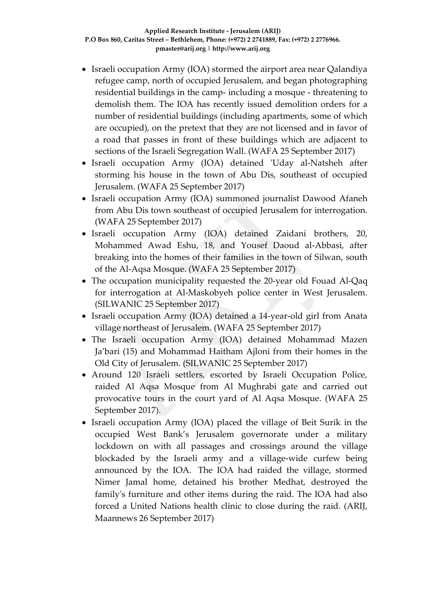- Israeli occupation Army (IOA) stormed the airport area near Qalandiya refugee camp, north of occupied Jerusalem, and began photographing residential buildings in the camp- including a mosque - threatening to demolish them. The IOA has recently issued demolition orders for a number of residential buildings (including apartments, some of which are occupied), on the pretext that they are not licensed and in favor of a road that passes in front of these buildings which are adjacent to sections of the Israeli Segregation Wall. (WAFA 25 September 2017)
- Israeli occupation Army (IOA) detained 'Uday al-Natsheh after storming his house in the town of Abu Dis, southeast of occupied Jerusalem. (WAFA 25 September 2017)
- Israeli occupation Army (IOA) summoned journalist Dawood Afaneh from Abu Dis town southeast of occupied Jerusalem for interrogation. (WAFA 25 September 2017)
- Israeli occupation Army (IOA) detained Zaidani brothers, 20, Mohammed Awad Eshu, 18, and Yousef Daoud al-Abbasi, after breaking into the homes of their families in the town of Silwan, south of the Al-Aqsa Mosque. (WAFA 25 September 2017)
- The occupation municipality requested the 20-year old Fouad Al-Qaq for interrogation at Al-Maskobyeh police center in West Jerusalem. (SILWANIC 25 September 2017)
- Israeli occupation Army (IOA) detained a 14-year-old girl from Anata village northeast of Jerusalem. (WAFA 25 September 2017)
- The Israeli occupation Army (IOA) detained Mohammad Mazen Ja'bari (15) and Mohammad Haitham Ajloni from their homes in the Old City of Jerusalem. (SILWANIC 25 September 2017)
- Around 120 Israeli settlers, escorted by Israeli Occupation Police, raided Al Aqsa Mosque from Al Mughrabi gate and carried out provocative tours in the court yard of Al Aqsa Mosque. (WAFA 25 September 2017).
- Israeli occupation Army (IOA) placed the village of Beit Surik in the occupied West Bank's Jerusalem governorate under a military lockdown on with all passages and crossings around the village blockaded by the Israeli army and a village-wide curfew being announced by the IOA. The IOA had raided the village, stormed Nimer Jamal home, detained his brother Medhat, destroyed the family's furniture and other items during the raid. The IOA had also forced a United Nations health clinic to close during the raid. (ARIJ, Maannews 26 September 2017)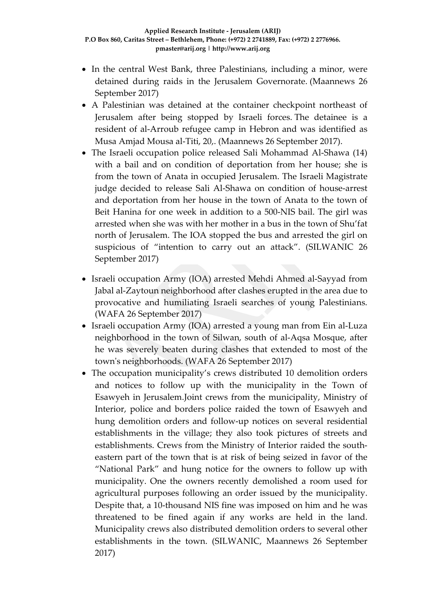- In the central West Bank, three Palestinians, including a minor, were detained during raids in the Jerusalem Governorate. (Maannews 26 September 2017)
- A Palestinian was detained at the container checkpoint northeast of Jerusalem after being stopped by Israeli forces. The detainee is a resident of al-Arroub refugee camp in Hebron and was identified as Musa Amjad Mousa al-Titi, 20,. (Maannews 26 September 2017).
- The Israeli occupation police released Sali Mohammad Al-Shawa (14) with a bail and on condition of deportation from her house; she is from the town of Anata in occupied Jerusalem. The Israeli Magistrate judge decided to release Sali Al-Shawa on condition of house-arrest and deportation from her house in the town of Anata to the town of Beit Hanina for one week in addition to a 500-NIS bail. The girl was arrested when she was with her mother in a bus in the town of Shu'fat north of Jerusalem. The IOA stopped the bus and arrested the girl on suspicious of "intention to carry out an attack". (SILWANIC 26 September 2017)
- Israeli occupation Army (IOA) arrested Mehdi Ahmed al-Sayyad from Jabal al-Zaytoun neighborhood after clashes erupted in the area due to provocative and humiliating Israeli searches of young Palestinians. (WAFA 26 September 2017)
- Israeli occupation Army (IOA) arrested a young man from Ein al-Luza neighborhood in the town of Silwan, south of al-Aqsa Mosque, after he was severely beaten during clashes that extended to most of the town's neighborhoods. (WAFA 26 September 2017)
- The occupation municipality's crews distributed 10 demolition orders and notices to follow up with the municipality in the Town of Esawyeh in Jerusalem.Joint crews from the municipality, Ministry of Interior, police and borders police raided the town of Esawyeh and hung demolition orders and follow-up notices on several residential establishments in the village; they also took pictures of streets and establishments. Crews from the Ministry of Interior raided the southeastern part of the town that is at risk of being seized in favor of the "National Park" and hung notice for the owners to follow up with municipality. One the owners recently demolished a room used for agricultural purposes following an order issued by the municipality. Despite that, a 10-thousand NIS fine was imposed on him and he was threatened to be fined again if any works are held in the land. Municipality crews also distributed demolition orders to several other establishments in the town. (SILWANIC, Maannews 26 September 2017)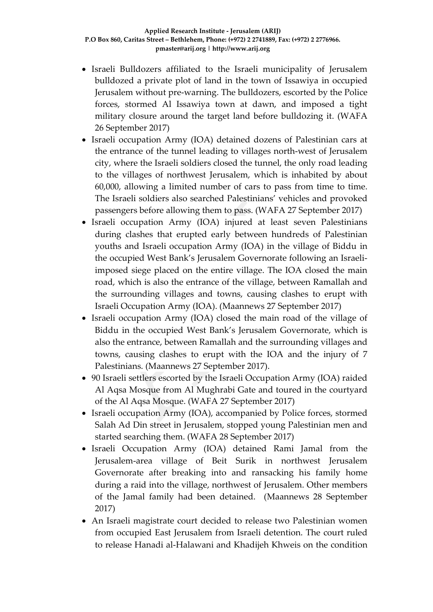- Israeli Bulldozers affiliated to the Israeli municipality of Jerusalem bulldozed a private plot of land in the town of Issawiya in occupied Jerusalem without pre-warning. The bulldozers, escorted by the Police forces, stormed Al Issawiya town at dawn, and imposed a tight military closure around the target land before bulldozing it. (WAFA 26 September 2017)
- Israeli occupation Army (IOA) detained dozens of Palestinian cars at the entrance of the tunnel leading to villages north-west of Jerusalem city, where the Israeli soldiers closed the tunnel, the only road leading to the villages of northwest Jerusalem, which is inhabited by about 60,000, allowing a limited number of cars to pass from time to time. The Israeli soldiers also searched Palestinians' vehicles and provoked passengers before allowing them to pass. (WAFA 27 September 2017)
- Israeli occupation Army (IOA) injured at least seven Palestinians during clashes that erupted early between hundreds of Palestinian youths and Israeli occupation Army (IOA) in the village of Biddu in the occupied West Bank's Jerusalem Governorate following an Israeliimposed siege placed on the entire village. The IOA closed the main road, which is also the entrance of the village, between Ramallah and the surrounding villages and towns, causing clashes to erupt with Israeli Occupation Army (IOA). (Maannews 27 September 2017)
- Israeli occupation Army (IOA) closed the main road of the village of Biddu in the occupied West Bank's Jerusalem Governorate, which is also the entrance, between Ramallah and the surrounding villages and towns, causing clashes to erupt with the IOA and the injury of 7 Palestinians. (Maannews 27 September 2017).
- 90 Israeli settlers escorted by the Israeli Occupation Army (IOA) raided Al Aqsa Mosque from Al Mughrabi Gate and toured in the courtyard of the Al Aqsa Mosque. (WAFA 27 September 2017)
- Israeli occupation Army (IOA), accompanied by Police forces, stormed Salah Ad Din street in Jerusalem, stopped young Palestinian men and started searching them. (WAFA 28 September 2017)
- Israeli Occupation Army (IOA) detained Rami Jamal from the Jerusalem-area village of Beit Surik in northwest Jerusalem Governorate after breaking into and ransacking his family home during a raid into the village, northwest of Jerusalem. Other members of the Jamal family had been detained. (Maannews 28 September 2017)
- An Israeli magistrate court decided to release two Palestinian women from occupied East Jerusalem from Israeli detention. The court ruled to release Hanadi al-Halawani and Khadijeh Khweis on the condition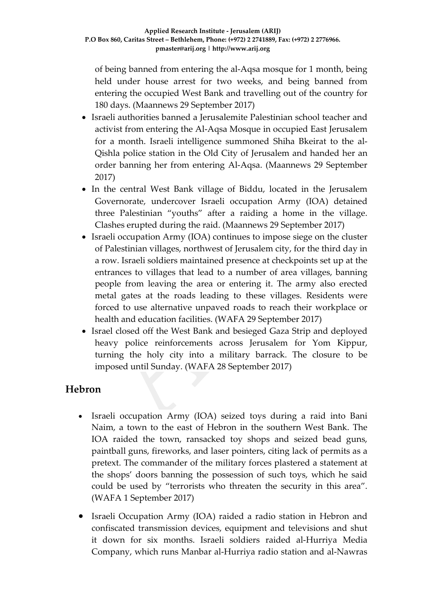of being banned from entering the al-Aqsa mosque for 1 month, being held under house arrest for two weeks, and being banned from entering the occupied West Bank and travelling out of the country for 180 days. (Maannews 29 September 2017)

- Israeli authorities banned a Jerusalemite Palestinian school teacher and activist from entering the Al-Aqsa Mosque in occupied East Jerusalem for a month. Israeli intelligence summoned Shiha Bkeirat to the al-Qishla police station in the Old City of Jerusalem and handed her an order banning her from entering Al-Aqsa. (Maannews 29 September 2017)
- In the central West Bank village of Biddu, located in the Jerusalem Governorate, undercover Israeli occupation Army (IOA) detained three Palestinian "youths" after a raiding a home in the village. Clashes erupted during the raid. (Maannews 29 September 2017)
- Israeli occupation Army (IOA) continues to impose siege on the cluster of Palestinian villages, northwest of Jerusalem city, for the third day in a row. Israeli soldiers maintained presence at checkpoints set up at the entrances to villages that lead to a number of area villages, banning people from leaving the area or entering it. The army also erected metal gates at the roads leading to these villages. Residents were forced to use alternative unpaved roads to reach their workplace or health and education facilities. (WAFA 29 September 2017)
- Israel closed off the West Bank and besieged Gaza Strip and deployed heavy police reinforcements across Jerusalem for Yom Kippur, turning the holy city into a military barrack. The closure to be imposed until Sunday. (WAFA 28 September 2017)

## **Hebron**

- Israeli occupation Army (IOA) seized toys during a raid into Bani Naim, a town to the east of Hebron in the southern West Bank. The IOA raided the town, ransacked toy shops and seized bead guns, paintball guns, fireworks, and laser pointers, citing lack of permits as a pretext. The commander of the military forces plastered a statement at the shops' doors banning the possession of such toys, which he said could be used by "terrorists who threaten the security in this area". (WAFA 1 September 2017)
- Israeli Occupation Army (IOA) raided a radio station in Hebron and confiscated transmission devices, equipment and televisions and shut it down for six months. Israeli soldiers raided al-Hurriya Media Company, which runs Manbar al-Hurriya radio station and al-Nawras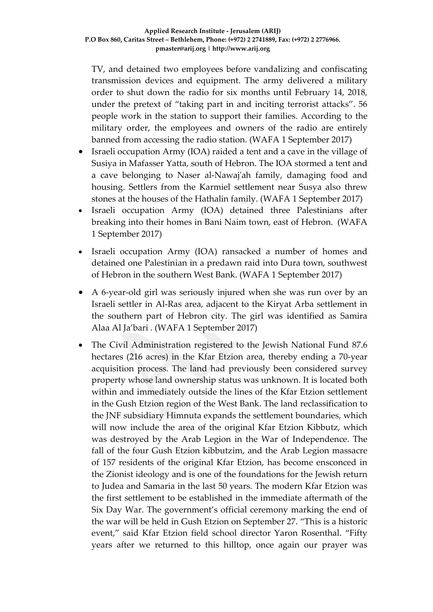TV, and detained two employees before vandalizing and confiscating transmission devices and equipment. The army delivered a military order to shut down the radio for six months until February 14, 2018, under the pretext of "taking part in and inciting terrorist attacks". 56 people work in the station to support their families. According to the military order, the employees and owners of the radio are entirely banned from accessing the radio station. (WAFA 1 September 2017)

- Israeli occupation Army (IOA) raided a tent and a cave in the village of Susiya in Mafasser Yatta, south of Hebron. The IOA stormed a tent and a cave belonging to Naser al-Nawaj'ah family, damaging food and housing. Settlers from the Karmiel settlement near Susya also threw stones at the houses of the Hathalin family. (WAFA 1 September 2017)
- Israeli occupation Army (IOA) detained three Palestinians after breaking into their homes in Bani Naim town, east of Hebron.(WAFA 1 September 2017)
- Israeli occupation Army (IOA) ransacked a number of homes and detained one Palestinian in a predawn raid into Dura town, southwest of Hebron in the southern West Bank. (WAFA 1 September 2017)
- A 6-year-old girl was seriously injured when she was run over by an Israeli settler in Al-Ras area, adjacent to the Kiryat Arba settlement in the southern part of Hebron city. The girl was identified as Samira Alaa Al Ja'bari . (WAFA 1 September 2017)
- The Civil Administration registered to the Jewish National Fund 87.6 hectares (216 acres) in the Kfar Etzion area, thereby ending a 70-year acquisition process. The land had previously been considered survey property whose land ownership status was unknown. It is located both within and immediately outside the lines of the Kfar Etzion settlement in the Gush Etzion region of the West Bank. The land reclassification to the JNF subsidiary Himnuta expands the settlement boundaries, which will now include the area of the original Kfar Etzion Kibbutz, which was destroyed by the Arab Legion in the War of Independence. The fall of the four Gush Etzion kibbutzim, and the Arab Legion massacre of 157 residents of the original Kfar Etzion, has become ensconced in the Zionist ideology and is one of the foundations for the Jewish return to Judea and Samaria in the last 50 years. The modern Kfar Etzion was the first settlement to be established in the immediate aftermath of the Six Day War. The government's official ceremony marking the end of the war will be held in Gush Etzion on September 27. "This is a historic event," said Kfar Etzion field school director Yaron Rosenthal. "Fifty years after we returned to this hilltop, once again our prayer was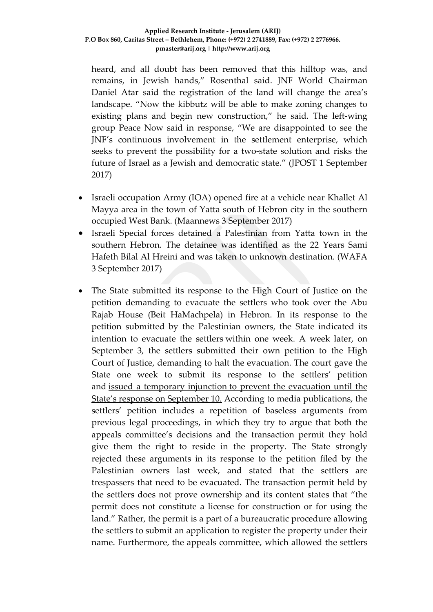heard, and all doubt has been removed that this hilltop was, and remains, in Jewish hands," Rosenthal said. JNF World Chairman Daniel Atar said the registration of the land will change the area's landscape. "Now the kibbutz will be able to make zoning changes to existing plans and begin new construction," he said. The left-wing group Peace Now said in response, "We are disappointed to see the JNF's continuous involvement in the settlement enterprise, which seeks to prevent the possibility for a two-state solution and risks the future of Israel as a Jewish and democratic state." [\(JPOST](http://www.jpost.com/Israel-News/IDF-registers-876-dunams-of-Jewish-land-in-the-West-Bank-503978) 1 September 2017)

- Israeli occupation Army (IOA) opened fire at a vehicle near Khallet Al Mayya area in the town of Yatta south of Hebron city in the southern occupied West Bank. (Maannews 3 September 2017)
- Israeli Special forces detained a Palestinian from Yatta town in the southern Hebron. The detainee was identified as the 22 Years Sami Hafeth Bilal Al Hreini and was taken to unknown destination. (WAFA 3 September 2017)
- The State submitted its response to the High Court of Justice on the petition demanding to evacuate the settlers who took over the Abu Rajab House (Beit HaMachpela) in Hebron. In its response to the petition submitted by the Palestinian owners, the State indicated its intention to evacuate the settlers within one week. A week later, on September 3, the settlers submitted their own petition to the High Court of Justice, demanding to halt the evacuation. The court gave the State one week to submit its response to the settlers' petition and issued a temporary injunction [to prevent the evacuation until the](http://elyon1.court.gov.il/files/17/010/068/Z01/17068010.Z01.pdf)  [State's response on](http://elyon1.court.gov.il/files/17/010/068/Z01/17068010.Z01.pdf) September 10. According to media publications, the settlers' petition includes a repetition of baseless arguments from previous legal proceedings, in which they try to argue that both the appeals committee's decisions and the transaction permit they hold give them the right to reside in the property. The State strongly rejected these arguments in its response to the petition filed by the Palestinian owners last week, and stated that the settlers are trespassers that need to be evacuated. The transaction permit held by the settlers does not prove ownership and its content states that "the permit does not constitute a license for construction or for using the land." Rather, the permit is a part of a bureaucratic procedure allowing the settlers to submit an application to register the property under their name. Furthermore, the appeals committee, which allowed the settlers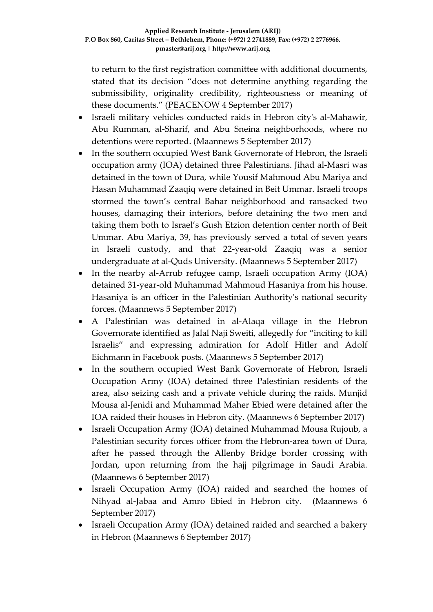to return to the first registration committee with additional documents, stated that its decision "does not determine anything regarding the submissibility, originality credibility, righteousness or meaning of these documents." [\(PEACENOW](http://peacenow.org.il/en/updates-developments-hebron) 4 September 2017)

- Israeli military vehicles conducted raids in Hebron city's al-Mahawir, Abu Rumman, al-Sharif, and Abu Sneina neighborhoods, where no detentions were reported. (Maannews 5 September 2017)
- In the southern occupied West Bank Governorate of Hebron, the Israeli occupation army (IOA) detained three Palestinians. Jihad al-Masri was detained in the town of Dura, while Yousif Mahmoud Abu Mariya and Hasan Muhammad Zaaqiq were detained in Beit Ummar. Israeli troops stormed the town's central Bahar neighborhood and ransacked two houses, damaging their interiors, before detaining the two men and taking them both to Israel's Gush Etzion detention center north of Beit Ummar. Abu Mariya, 39, has previously served a total of seven years in Israeli custody, and that 22-year-old Zaaqiq was a senior undergraduate at al-Quds University. (Maannews 5 September 2017)
- In the nearby al-Arrub refugee camp, Israeli occupation Army (IOA) detained 31-year-old Muhammad Mahmoud Hasaniya from his house. Hasaniya is an officer in the Palestinian Authority's national security forces. (Maannews 5 September 2017)
- A Palestinian was detained in al-Alaqa village in the Hebron Governorate identified as Jalal Naji Sweiti, allegedly for "inciting to kill Israelis" and expressing admiration for Adolf Hitler and Adolf Eichmann in Facebook posts. (Maannews 5 September 2017)
- In the southern occupied West Bank Governorate of Hebron, Israeli Occupation Army (IOA) detained three Palestinian residents of the area, also seizing cash and a private vehicle during the raids. Munjid Mousa al-Jenidi and Muhammad Maher Ebied were detained after the IOA raided their houses in Hebron city. (Maannews 6 September 2017)
- Israeli Occupation Army (IOA) detained Muhammad Mousa Rujoub, a Palestinian security forces officer from the Hebron-area town of Dura, after he passed through the Allenby Bridge border crossing with Jordan, upon returning from the hajj pilgrimage in Saudi Arabia. (Maannews 6 September 2017)
- Israeli Occupation Army (IOA) raided and searched the homes of Nihyad al-Jabaa and Amro Ebied in Hebron city. (Maannews 6 September 2017)
- Israeli Occupation Army (IOA) detained raided and searched a bakery in Hebron (Maannews 6 September 2017)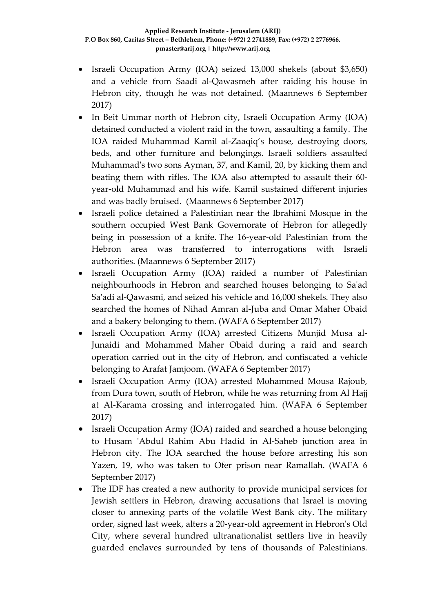- Israeli Occupation Army (IOA) seized 13,000 shekels (about \$3,650) and a vehicle from Saadi al-Qawasmeh after raiding his house in Hebron city, though he was not detained. (Maannews 6 September 2017)
- In Beit Ummar north of Hebron city, Israeli Occupation Army (IOA) detained conducted a violent raid in the town, assaulting a family. The IOA raided Muhammad Kamil al-Zaaqiq's house, destroying doors, beds, and other furniture and belongings. Israeli soldiers assaulted Muhammad's two sons Ayman, 37, and Kamil, 20, by kicking them and beating them with rifles. The IOA also attempted to assault their 60 year-old Muhammad and his wife. Kamil sustained different injuries and was badly bruised. (Maannews 6 September 2017)
- Israeli police detained a Palestinian near the Ibrahimi Mosque in the southern occupied West Bank Governorate of Hebron for allegedly being in possession of a knife. The 16-year-old Palestinian from the Hebron area was transferred to interrogations with Israeli authorities. (Maannews 6 September 2017)
- Israeli Occupation Army (IOA) raided a number of Palestinian neighbourhoods in Hebron and searched houses belonging to Sa'ad Sa'adi al-Qawasmi, and seized his vehicle and 16,000 shekels. They also searched the homes of Nihad Amran al-Juba and Omar Maher Obaid and a bakery belonging to them. (WAFA 6 September 2017)
- Israeli Occupation Army (IOA) arrested Citizens Munjid Musa al-Junaidi and Mohammed Maher Obaid during a raid and search operation carried out in the city of Hebron, and confiscated a vehicle belonging to Arafat Jamjoom. (WAFA 6 September 2017)
- Israeli Occupation Army (IOA) arrested Mohammed Mousa Rajoub, from Dura town, south of Hebron, while he was returning from Al Hajj at Al-Karama crossing and interrogated him. (WAFA 6 September 2017)
- Israeli Occupation Army (IOA) raided and searched a house belonging to Husam 'Abdul Rahim Abu Hadid in Al-Saheb junction area in Hebron city. The IOA searched the house before arresting his son Yazen, 19, who was taken to Ofer prison near Ramallah. (WAFA 6 September 2017)
- The IDF has created a new authority to provide municipal services for Jewish settlers in Hebron, drawing accusations that Israel is moving closer to annexing parts of the volatile West Bank city. The military order, signed last week, alters a 20-year-old agreement in Hebron's Old City, where several hundred ultranationalist settlers live in heavily guarded enclaves surrounded by tens of thousands of Palestinians.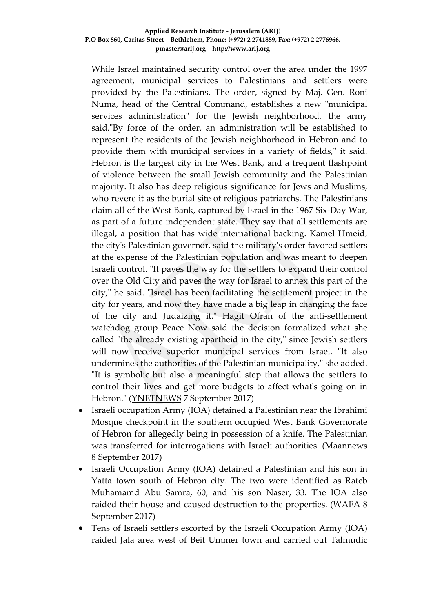#### **Applied Research Institute - Jerusalem (ARIJ) P.O Box 860, Caritas Street – Bethlehem, Phone: (+972) 2 2741889, Fax: (+972) 2 2776966. pmaster@arij.org | http://www.arij.org**

While Israel maintained security control over the area under the 1997 agreement, municipal services to Palestinians and settlers were provided by the Palestinians. The order, signed by Maj. Gen. Roni Numa, head of the Central Command, establishes a new "municipal services administration" for the Jewish neighborhood, the army said."By force of the order, an administration will be established to represent the residents of the Jewish neighborhood in Hebron and to provide them with municipal services in a variety of fields," it said. Hebron is the largest city in the West Bank, and a frequent flashpoint of violence between the small Jewish community and the Palestinian majority. It also has deep religious significance for Jews and Muslims, who revere it as the burial site of religious patriarchs. The Palestinians claim all of the West Bank, captured by Israel in the 1967 Six-Day War, as part of a future independent state. They say that all settlements are illegal, a position that has wide international backing. Kamel Hmeid, the city's Palestinian governor, said the military's order favored settlers at the expense of the Palestinian population and was meant to deepen Israeli control. "It paves the way for the settlers to expand their control over the Old City and paves the way for Israel to annex this part of the city," he said. "Israel has been facilitating the settlement project in the city for years, and now they have made a big leap in changing the face of the city and Judaizing it." Hagit Ofran of the anti-settlement watchdog group Peace Now said the decision formalized what she called "the already existing apartheid in the city," since Jewish settlers will now receive superior municipal services from Israel. "It also undermines the authorities of the Palestinian municipality," she added. "It is symbolic but also a meaningful step that allows the settlers to control their lives and get more budgets to affect what's going on in Hebron." [\(YNETNEWS](https://www.ynetnews.com/articles/0,7340,L-5013136,00.html) 7 September 2017)

- Israeli occupation Army (IOA) detained a Palestinian near the Ibrahimi Mosque checkpoint in the southern occupied West Bank Governorate of Hebron for allegedly being in possession of a knife. The Palestinian was transferred for interrogations with Israeli authorities. (Maannews 8 September 2017)
- Israeli Occupation Army (IOA) detained a Palestinian and his son in Yatta town south of Hebron city. The two were identified as Rateb Muhamamd Abu Samra, 60, and his son Naser, 33. The IOA also raided their house and caused destruction to the properties. (WAFA 8 September 2017)
- Tens of Israeli settlers escorted by the Israeli Occupation Army (IOA) raided Jala area west of Beit Ummer town and carried out Talmudic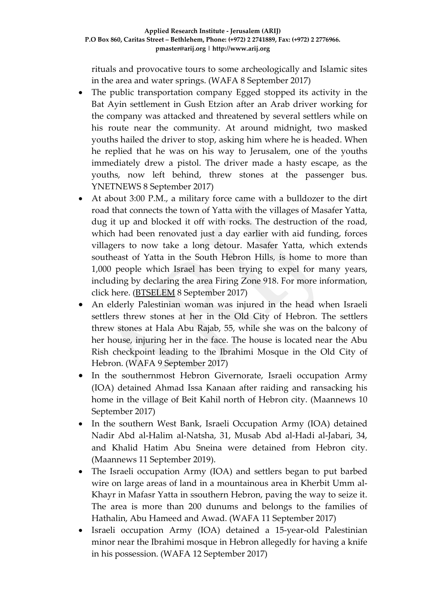rituals and provocative tours to some archeologically and Islamic sites in the area and water springs. (WAFA 8 September 2017)

- The public transportation company Egged stopped its activity in the Bat Ayin settlement in Gush Etzion after an Arab driver working for the company was attacked and threatened by several settlers while on his route near the community. At around midnight, two masked youths hailed the driver to stop, asking him where he is headed. When he replied that he was on his way to Jerusalem, one of the youths immediately drew a pistol. The driver made a hasty escape, as the youths, now left behind, threw stones at the passenger bus. YNETNEWS 8 September 2017)
- At about 3:00 P.M., a military force came with a bulldozer to the dirt road that connects the town of Yatta with the villages of Masafer Yatta, dug it up and blocked it off with rocks. The destruction of the road, which had been renovated just a day earlier with aid funding, forces villagers to now take a long detour. Masafer Yatta, which extends southeast of Yatta in the South Hebron Hills, is home to more than 1,000 people which Israel has been trying to expel for many years, including by declaring the area Firing Zone 918. For more information, click here. [\(BTSELEM](http://www.btselem.org/facing_expulsion_blog?nid=152633) 8 September 2017)
- An elderly Palestinian woman was injured in the head when Israeli settlers threw stones at her in the Old City of Hebron. The settlers threw stones at Hala Abu Rajab, 55, while she was on the balcony of her house, injuring her in the face. The house is located near the Abu Rish checkpoint leading to the Ibrahimi Mosque in the Old City of Hebron. (WAFA 9 September 2017)
- In the southernmost Hebron Givernorate, Israeli occupation Army (IOA) detained Ahmad Issa Kanaan after raiding and ransacking his home in the village of Beit Kahil north of Hebron city. (Maannews 10 September 2017)
- In the southern West Bank, Israeli Occupation Army (IOA) detained Nadir Abd al-Halim al-Natsha, 31, Musab Abd al-Hadi al-Jabari, 34, and Khalid Hatim Abu Sneina were detained from Hebron city. (Maannews 11 September 2019).
- The Israeli occupation Army (IOA) and settlers began to put barbed wire on large areas of land in a mountainous area in Kherbit Umm al-Khayr in Mafasr Yatta in ssouthern Hebron, paving the way to seize it. The area is more than 200 dunums and belongs to the families of Hathalin, Abu Hameed and Awad. (WAFA 11 September 2017)
- Israeli occupation Army (IOA) detained a 15-year-old Palestinian minor near the Ibrahimi mosque in Hebron allegedly for having a knife in his possession. (WAFA 12 September 2017)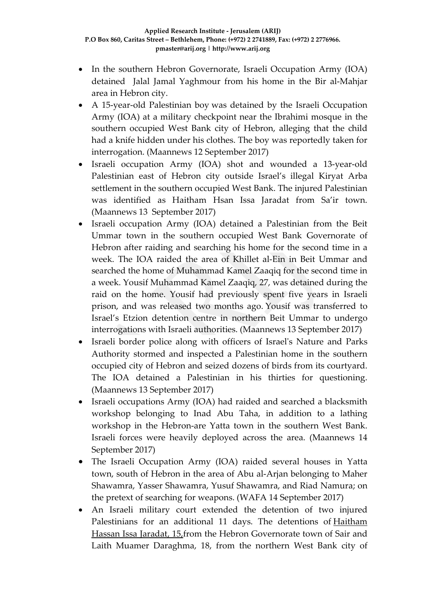- In the southern Hebron Governorate, Israeli Occupation Army (IOA) detained Jalal Jamal Yaghmour from his home in the Bir al-Mahjar area in Hebron city.
- A 15-year-old Palestinian boy was detained by the Israeli Occupation Army (IOA) at a military checkpoint near the Ibrahimi mosque in the southern occupied West Bank city of Hebron, alleging that the child had a knife hidden under his clothes. The boy was reportedly taken for interrogation. (Maannews 12 September 2017)
- Israeli occupation Army (IOA) shot and wounded a 13-year-old Palestinian east of Hebron city outside Israel's illegal Kiryat Arba settlement in the southern occupied West Bank. The injured Palestinian was identified as Haitham Hsan Issa Jaradat from Sa'ir town. (Maannews 13 September 2017)
- Israeli occupation Army (IOA) detained a Palestinian from the Beit Ummar town in the southern occupied West Bank Governorate of Hebron after raiding and searching his home for the second time in a week. The IOA raided the area of Khillet al-Ein in Beit Ummar and searched the home of Muhammad Kamel Zaaqiq for the second time in a week. Yousif Muhammad Kamel Zaaqiq, 27, was detained during the raid on the home. Yousif had previously spent five years in Israeli prison, and was released two months ago. Yousif was transferred to Israel's Etzion detention centre in northern Beit Ummar to undergo interrogations with Israeli authorities. (Maannews 13 September 2017)
- Israeli border police along with officers of Israel's Nature and Parks Authority stormed and inspected a Palestinian home in the southern occupied city of Hebron and seized dozens of birds from its courtyard. The IOA detained a Palestinian in his thirties for questioning. (Maannews 13 September 2017)
- Israeli occupations Army (IOA) had raided and searched a blacksmith workshop belonging to Inad Abu Taha, in addition to a lathing workshop in the Hebron-are Yatta town in the southern West Bank. Israeli forces were heavily deployed across the area. (Maannews 14 September 2017)
- The Israeli Occupation Army (IOA) raided several houses in Yatta town, south of Hebron in the area of Abu al-Arjan belonging to Maher Shawamra, Yasser Shawamra, Yusuf Shawamra, and Riad Namura; on the pretext of searching for weapons. (WAFA 14 September 2017)
- An Israeli military court extended the detention of two injured Palestinians for an additional 11 days. The detentions of [Haitham](http://www.maannews.com/Content.aspx?id=779096) Hassan Issa [Jaradat,](http://www.maannews.com/Content.aspx?id=779096) 15,from the Hebron Governorate town of Sair and Laith Muamer Daraghma, 18, from the northern West Bank city of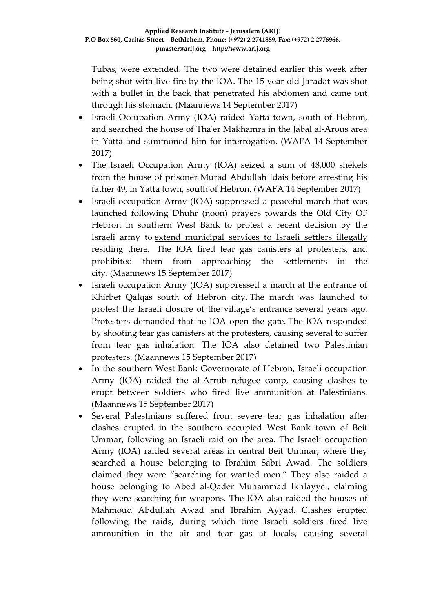Tubas, were extended. The two were detained earlier this week after being shot with live fire by the IOA. The 15 year-old Jaradat was shot with a bullet in the back that penetrated his abdomen and came out through his stomach. (Maannews 14 September 2017)

- Israeli Occupation Army (IOA) raided Yatta town, south of Hebron, and searched the house of Tha'er Makhamra in the Jabal al-Arous area in Yatta and summoned him for interrogation. (WAFA 14 September 2017)
- The Israeli Occupation Army (IOA) seized a sum of 48,000 shekels from the house of prisoner Murad Abdullah Idais before arresting his father 49, in Yatta town, south of Hebron. (WAFA 14 September 2017)
- Israeli occupation Army (IOA) suppressed a peaceful march that was launched following Dhuhr (noon) prayers towards the Old City OF Hebron in southern West Bank to protest a recent decision by the Israeli army to extend [municipal](http://www.maannews.com/Content.aspx?id=778940) services to Israeli settlers illegally [residing](http://www.maannews.com/Content.aspx?id=778940) there. The IOA fired tear gas canisters at protesters, and prohibited them from approaching the settlements in the city. (Maannews 15 September 2017)
- Israeli occupation Army (IOA) suppressed a march at the entrance of Khirbet Qalqas south of Hebron city. The march was launched to protest the Israeli closure of the village's entrance several years ago. Protesters demanded that he IOA open the gate. The IOA responded by shooting tear gas canisters at the protesters, causing several to suffer from tear gas inhalation. The IOA also detained two Palestinian protesters. (Maannews 15 September 2017)
- In the southern West Bank Governorate of Hebron, Israeli occupation Army (IOA) raided the al-Arrub refugee camp, causing clashes to erupt between soldiers who fired live ammunition at Palestinians. (Maannews 15 September 2017)
- Several Palestinians suffered from severe tear gas inhalation after clashes erupted in the southern occupied West Bank town of Beit Ummar, following an Israeli raid on the area. The Israeli occupation Army (IOA) raided several areas in central Beit Ummar, where they searched a house belonging to Ibrahim Sabri Awad. The soldiers claimed they were "searching for wanted men." They also raided a house belonging to Abed al-Qader Muhammad Ikhlayyel, claiming they were searching for weapons. The IOA also raided the houses of Mahmoud Abdullah Awad and Ibrahim Ayyad. Clashes erupted following the raids, during which time Israeli soldiers fired live ammunition in the air and tear gas at locals, causing several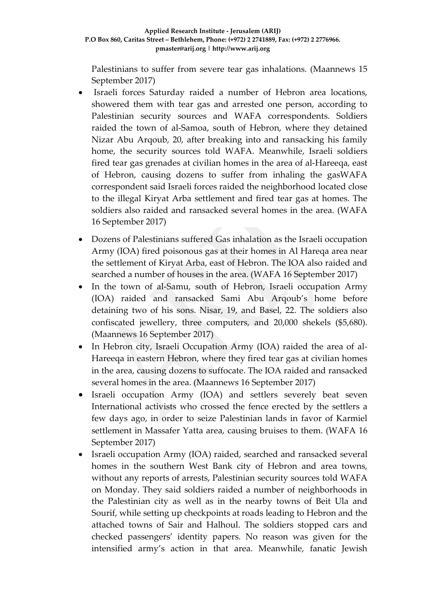Palestinians to suffer from severe tear gas inhalations. (Maannews 15 September 2017)

- Israeli forces Saturday raided a number of Hebron area locations, showered them with tear gas and arrested one person, according to Palestinian security sources and WAFA correspondents. Soldiers raided the town of al-Samoa, south of Hebron, where they detained Nizar Abu Arqoub, 20, after breaking into and ransacking his family home, the security sources told WAFA. Meanwhile, Israeli soldiers fired tear gas grenades at civilian homes in the area of al-Hareeqa, east of Hebron, causing dozens to suffer from inhaling the gasWAFA correspondent said Israeli forces raided the neighborhood located close to the illegal Kiryat Arba settlement and fired tear gas at homes. The soldiers also raided and ransacked several homes in the area. (WAFA 16 September 2017)
- Dozens of Palestinians suffered Gas inhalation as the Israeli occupation Army (IOA) fired poisonous gas at their homes in Al Hareqa area near the settlement of Kiryat Arba, east of Hebron. The IOA also raided and searched a number of houses in the area. (WAFA 16 September 2017)
- In the town of al-Samu, south of Hebron, Israeli occupation Army (IOA) raided and ransacked Sami Abu Arqoub's home before detaining two of his sons. Nisar, 19, and Basel, 22. The soldiers also confiscated jewellery, three computers, and 20,000 shekels (\$5,680). (Maannews 16 September 2017)
- In Hebron city, Israeli Occupation Army (IOA) raided the area of al-Hareeqa in eastern Hebron, where they fired tear gas at civilian homes in the area, causing dozens to suffocate. The IOA raided and ransacked several homes in the area. (Maannews 16 September 2017)
- Israeli occupation Army (IOA) and settlers severely beat seven International activists who crossed the fence erected by the settlers a few days ago, in order to seize Palestinian lands in favor of Karmiel settlement in Massafer Yatta area, causing bruises to them. (WAFA 16 September 2017)
- Israeli occupation Army (IOA) raided, searched and ransacked several homes in the southern West Bank city of Hebron and area towns, without any reports of arrests, Palestinian security sources told WAFA on Monday. They said soldiers raided a number of neighborhoods in the Palestinian city as well as in the nearby towns of Beit Ula and Sourif, while setting up checkpoints at roads leading to Hebron and the attached towns of Sair and Halhoul. The soldiers stopped cars and checked passengers' identity papers. No reason was given for the intensified army's action in that area. Meanwhile, fanatic Jewish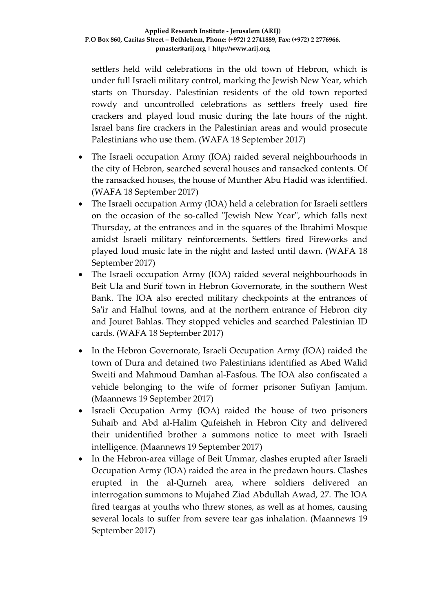settlers held wild celebrations in the old town of Hebron, which is under full Israeli military control, marking the Jewish New Year, which starts on Thursday. Palestinian residents of the old town reported rowdy and uncontrolled celebrations as settlers freely used fire crackers and played loud music during the late hours of the night. Israel bans fire crackers in the Palestinian areas and would prosecute Palestinians who use them. (WAFA 18 September 2017)

- The Israeli occupation Army (IOA) raided several neighbourhoods in the city of Hebron, searched several houses and ransacked contents. Of the ransacked houses, the house of Munther Abu Hadid was identified. (WAFA 18 September 2017)
- The Israeli occupation Army (IOA) held a celebration for Israeli settlers on the occasion of the so-called "Jewish New Year", which falls next Thursday, at the entrances and in the squares of the Ibrahimi Mosque amidst Israeli military reinforcements. Settlers fired Fireworks and played loud music late in the night and lasted until dawn. (WAFA 18 September 2017)
- The Israeli occupation Army (IOA) raided several neighbourhoods in Beit Ula and Surif town in Hebron Governorate, in the southern West Bank. The IOA also erected military checkpoints at the entrances of Sa'ir and Halhul towns, and at the northern entrance of Hebron city and Jouret Bahlas. They stopped vehicles and searched Palestinian ID cards. (WAFA 18 September 2017)
- In the Hebron Governorate, Israeli Occupation Army (IOA) raided the town of Dura and detained two Palestinians identified as Abed Walid Sweiti and Mahmoud Damhan al-Fasfous. The IOA also confiscated a vehicle belonging to the wife of former prisoner Sufiyan Jamjum. (Maannews 19 September 2017)
- Israeli Occupation Army (IOA) raided the house of two prisoners Suhaib and Abd al-Halim Qufeisheh in Hebron City and delivered their unidentified brother a summons notice to meet with Israeli intelligence. (Maannews 19 September 2017)
- In the Hebron-area village of Beit Ummar, clashes erupted after Israeli Occupation Army (IOA) raided the area in the predawn hours. Clashes erupted in the al-Qurneh area, where soldiers delivered an interrogation summons to Mujahed Ziad Abdullah Awad, 27. The IOA fired teargas at youths who threw stones, as well as at homes, causing several locals to suffer from severe tear gas inhalation. (Maannews 19 September 2017)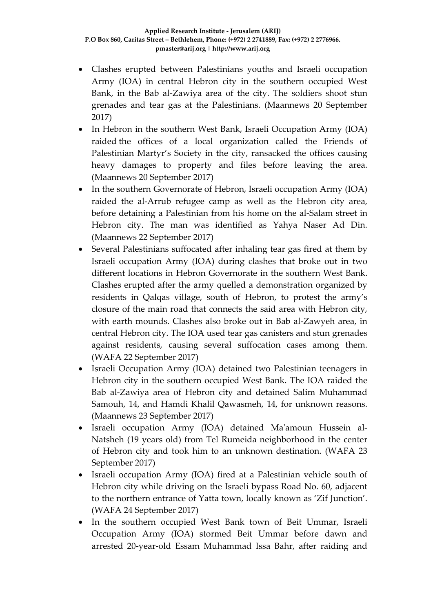- Clashes erupted between Palestinians youths and Israeli occupation Army (IOA) in central Hebron city in the southern occupied West Bank, in the Bab al-Zawiya area of the city. The soldiers shoot stun grenades and tear gas at the Palestinians. (Maannews 20 September 2017)
- In Hebron in the southern West Bank, Israeli Occupation Army (IOA) raided the offices of a local organization called the Friends of Palestinian Martyr's Society in the city, ransacked the offices causing heavy damages to property and files before leaving the area. (Maannews 20 September 2017)
- In the southern Governorate of Hebron, Israeli occupation Army (IOA) raided the al-Arrub refugee camp as well as the Hebron city area, before detaining a Palestinian from his home on the al-Salam street in Hebron city. The man was identified as Yahya Naser Ad Din. (Maannews 22 September 2017)
- Several Palestinians suffocated after inhaling tear gas fired at them by Israeli occupation Army (IOA) during clashes that broke out in two different locations in Hebron Governorate in the southern West Bank. Clashes erupted after the army quelled a demonstration organized by residents in Qalqas village, south of Hebron, to protest the army's closure of the main road that connects the said area with Hebron city, with earth mounds. Clashes also broke out in Bab al-Zawyeh area, in central Hebron city. The IOA used tear gas canisters and stun grenades against residents, causing several suffocation cases among them. (WAFA 22 September 2017)
- Israeli Occupation Army (IOA) detained two Palestinian teenagers in Hebron city in the southern occupied West Bank. The IOA raided the Bab al-Zawiya area of Hebron city and detained Salim Muhammad Samouh, 14, and Hamdi Khalil Qawasmeh, 14, for unknown reasons. (Maannews 23 September 2017)
- Israeli occupation Army (IOA) detained Ma'amoun Hussein al-Natsheh (19 years old) from Tel Rumeida neighborhood in the center of Hebron city and took him to an unknown destination. (WAFA 23 September 2017)
- Israeli occupation Army (IOA) fired at a Palestinian vehicle south of Hebron city while driving on the Israeli bypass Road No. 60, adjacent to the northern entrance of Yatta town, locally known as 'Zif Junction'. (WAFA 24 September 2017)
- In the southern occupied West Bank town of Beit Ummar, Israeli Occupation Army (IOA) stormed Beit Ummar before dawn and arrested 20-year-old Essam Muhammad Issa Bahr, after raiding and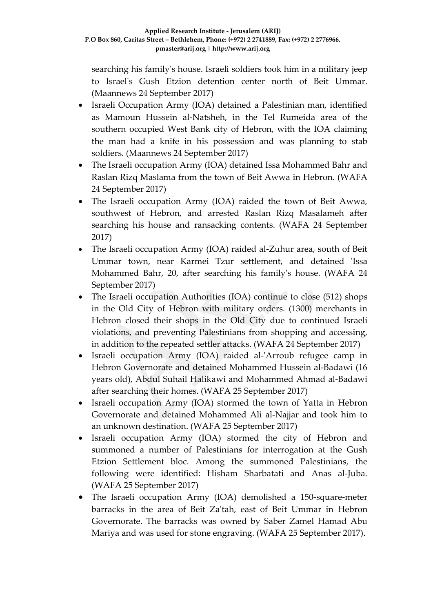searching his family's house. Israeli soldiers took him in a military jeep to Israel's Gush Etzion detention center north of Beit Ummar. (Maannews 24 September 2017)

- Israeli Occupation Army (IOA) detained a Palestinian man, identified as Mamoun Hussein al-Natsheh, in the Tel Rumeida area of the southern occupied West Bank city of Hebron, with the IOA claiming the man had a knife in his possession and was planning to stab soldiers. (Maannews 24 September 2017)
- The Israeli occupation Army (IOA) detained Issa Mohammed Bahr and Raslan Rizq Maslama from the town of Beit Awwa in Hebron. (WAFA 24 September 2017)
- The Israeli occupation Army (IOA) raided the town of Beit Awwa, southwest of Hebron, and arrested Raslan Rizq Masalameh after searching his house and ransacking contents. (WAFA 24 September 2017)
- The Israeli occupation Army (IOA) raided al-Zuhur area, south of Beit Ummar town, near Karmei Tzur settlement, and detained 'Issa Mohammed Bahr, 20, after searching his family's house. (WAFA 24 September 2017)
- The Israeli occupation Authorities (IOA) continue to close (512) shops in the Old City of Hebron with military orders. (1300) merchants in Hebron closed their shops in the Old City due to continued Israeli violations, and preventing Palestinians from shopping and accessing, in addition to the repeated settler attacks. (WAFA 24 September 2017)
- Israeli occupation Army (IOA) raided al-'Arroub refugee camp in Hebron Governorate and detained Mohammed Hussein al-Badawi (16 years old), Abdul Suhail Halikawi and Mohammed Ahmad al-Badawi after searching their homes. (WAFA 25 September 2017)
- Israeli occupation Army (IOA) stormed the town of Yatta in Hebron Governorate and detained Mohammed Ali al-Najjar and took him to an unknown destination. (WAFA 25 September 2017)
- Israeli occupation Army (IOA) stormed the city of Hebron and summoned a number of Palestinians for interrogation at the Gush Etzion Settlement bloc. Among the summoned Palestinians, the following were identified: Hisham Sharbatati and Anas al-Juba. (WAFA 25 September 2017)
- The Israeli occupation Army (IOA) demolished a 150-square-meter barracks in the area of Beit Za'tah, east of Beit Ummar in Hebron Governorate. The barracks was owned by Saber Zamel Hamad Abu Mariya and was used for stone engraving. (WAFA 25 September 2017).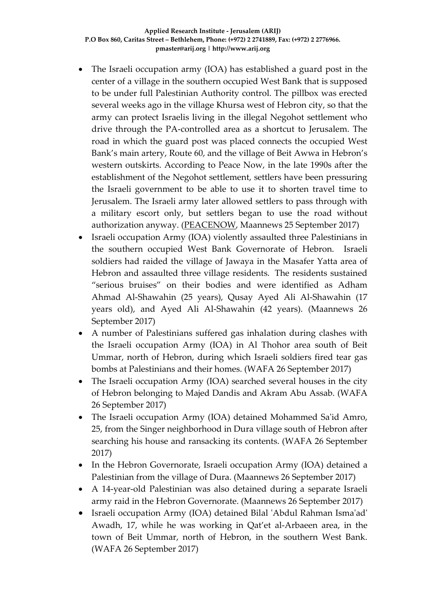- The Israeli occupation army (IOA) has established a guard post in the center of a village in the southern occupied West Bank that is supposed to be under full Palestinian Authority control. The pillbox was erected several weeks ago in the village Khursa west of Hebron city, so that the army can protect Israelis living in the illegal Negohot settlement who drive through the PA-controlled area as a shortcut to Jerusalem. The road in which the guard post was placed connects the occupied West Bank's main artery, Route 60, and the village of Beit Awwa in Hebron's western outskirts. According to Peace Now, in the late 1990s after the establishment of the Negohot settlement, settlers have been pressuring the Israeli government to be able to use it to shorten travel time to Jerusalem. The Israeli army later allowed settlers to pass through with a military escort only, but settlers began to use the road without authorization anyway. [\(PEACENOW,](http://peacenow.org.il/en/idf-guard-post-placed-area-protect-settlers-driving-illegally-palestinian-area) Maannews 25 September 2017)
- Israeli occupation Army (IOA) violently assaulted three Palestinians in the southern occupied West Bank Governorate of Hebron. Israeli soldiers had raided the village of Jawaya in the Masafer Yatta area of Hebron and assaulted three village residents. The residents sustained "serious bruises" on their bodies and were identified as Adham Ahmad Al-Shawahin (25 years), Qusay Ayed Ali Al-Shawahin (17 years old), and Ayed Ali Al-Shawahin (42 years). (Maannews 26 September 2017)
- A number of Palestinians suffered gas inhalation during clashes with the Israeli occupation Army (IOA) in Al Thohor area south of Beit Ummar, north of Hebron, during which Israeli soldiers fired tear gas bombs at Palestinians and their homes. (WAFA 26 September 2017)
- The Israeli occupation Army (IOA) searched several houses in the city of Hebron belonging to Majed Dandis and Akram Abu Assab. (WAFA 26 September 2017)
- The Israeli occupation Army (IOA) detained Mohammed Sa'id Amro, 25, from the Singer neighborhood in Dura village south of Hebron after searching his house and ransacking its contents. (WAFA 26 September 2017)
- In the Hebron Governorate, Israeli occupation Army (IOA) detained a Palestinian from the village of Dura. (Maannews 26 September 2017)
- A 14-year-old Palestinian was also detained during a separate Israeli army raid in the Hebron Governorate. (Maannews 26 September 2017)
- Israeli occupation Army (IOA) detained Bilal 'Abdul Rahman Isma'ad' Awadh, 17, while he was working in Qat'et al-Arbaeen area, in the town of Beit Ummar, north of Hebron, in the southern West Bank. (WAFA 26 September 2017)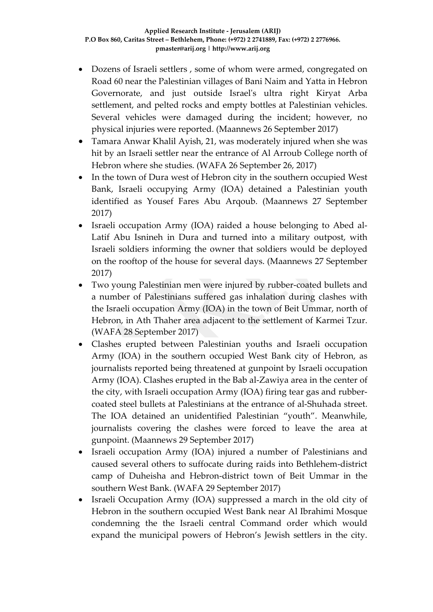- Dozens of Israeli settlers , some of whom were armed, congregated on Road 60 near the Palestinian villages of Bani Naim and Yatta in Hebron Governorate, and just outside Israel's ultra right Kiryat Arba settlement, and pelted rocks and empty bottles at Palestinian vehicles. Several vehicles were damaged during the incident; however, no physical injuries were reported. (Maannews 26 September 2017)
- Tamara Anwar Khalil Ayish, 21, was moderately injured when she was hit by an Israeli settler near the entrance of Al Arroub College north of Hebron where she studies. (WAFA 26 September 26, 2017)
- In the town of Dura west of Hebron city in the southern occupied West Bank, Israeli occupying Army (IOA) detained a Palestinian youth identified as Yousef Fares Abu Arqoub. (Maannews 27 September 2017)
- Israeli occupation Army (IOA) raided a house belonging to Abed al-Latif Abu Isnineh in Dura and turned into a military outpost, with Israeli soldiers informing the owner that soldiers would be deployed on the rooftop of the house for several days. (Maannews 27 September 2017)
- Two young Palestinian men were injured by rubber-coated bullets and a number of Palestinians suffered gas inhalation during clashes with the Israeli occupation Army (IOA) in the town of Beit Ummar, north of Hebron, in Ath Thaher area adjacent to the settlement of Karmei Tzur. (WAFA 28 September 2017)
- Clashes erupted between Palestinian youths and Israeli occupation Army (IOA) in the southern occupied West Bank city of Hebron, as journalists reported being threatened at gunpoint by Israeli occupation Army (IOA). Clashes erupted in the Bab al-Zawiya area in the center of the city, with Israeli occupation Army (IOA) firing tear gas and rubbercoated steel bullets at Palestinians at the entrance of al-Shuhada street. The IOA detained an unidentified Palestinian "youth". Meanwhile, journalists covering the clashes were forced to leave the area at gunpoint. (Maannews 29 September 2017)
- Israeli occupation Army (IOA) injured a number of Palestinians and caused several others to suffocate during raids into Bethlehem-district camp of Duheisha and Hebron-district town of Beit Ummar in the southern West Bank. (WAFA 29 September 2017)
- Israeli Occupation Army (IOA) suppressed a march in the old city of Hebron in the southern occupied West Bank near Al Ibrahimi Mosque condemning the the Israeli central Command order which would expand the municipal powers of Hebron's Jewish settlers in the city.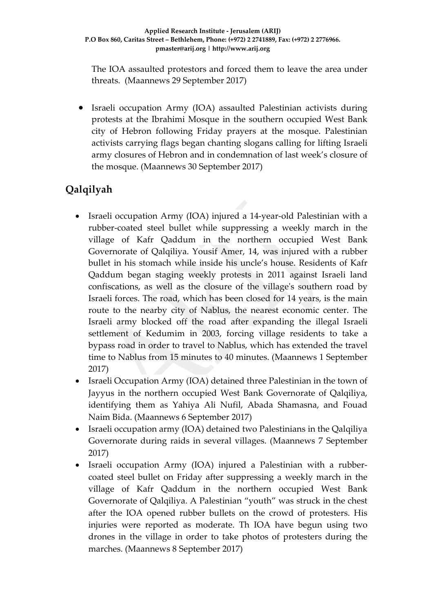The IOA assaulted protestors and forced them to leave the area under threats. (Maannews 29 September 2017)

• Israeli occupation Army (IOA) assaulted Palestinian activists during protests at the Ibrahimi Mosque in the southern occupied West Bank city of Hebron following Friday prayers at the mosque. Palestinian activists carrying flags began chanting slogans calling for lifting Israeli army closures of Hebron and in condemnation of last week's closure of the mosque. (Maannews 30 September 2017)

# **Qalqilyah**

- Israeli occupation Army (IOA) injured a 14-year-old Palestinian with a rubber-coated steel bullet while suppressing a weekly march in the village of Kafr Qaddum in the northern occupied West Bank Governorate of Qalqiliya. Yousif Amer, 14, was injured with a rubber bullet in his stomach while inside his uncle's house. Residents of Kafr Qaddum began staging weekly protests in 2011 against Israeli land confiscations, as well as the closure of the village's southern road by Israeli forces. The road, which has been closed for 14 years, is the main route to the nearby city of Nablus, the nearest economic center. The Israeli army blocked off the road after expanding the illegal Israeli settlement of Kedumim in 2003, forcing village residents to take a bypass road in order to travel to Nablus, which has extended the travel time to Nablus from 15 minutes to 40 minutes. (Maannews 1 September 2017)
- Israeli Occupation Army (IOA) detained three Palestinian in the town of Jayyus in the northern occupied West Bank Governorate of Qalqiliya, identifying them as Yahiya Ali Nufil, Abada Shamasna, and Fouad Naim Bida. (Maannews 6 September 2017)
- Israeli occupation army (IOA) detained two Palestinians in the Qalqiliya Governorate during raids in several villages. (Maannews 7 September 2017)
- Israeli occupation Army (IOA) injured a Palestinian with a rubbercoated steel bullet on Friday after suppressing a weekly march in the village of Kafr Qaddum in the northern occupied West Bank Governorate of Qalqiliya. A Palestinian "youth" was struck in the chest after the IOA opened rubber bullets on the crowd of protesters. His injuries were reported as moderate. Th IOA have begun using two drones in the village in order to take photos of protesters during the marches. (Maannews 8 September 2017)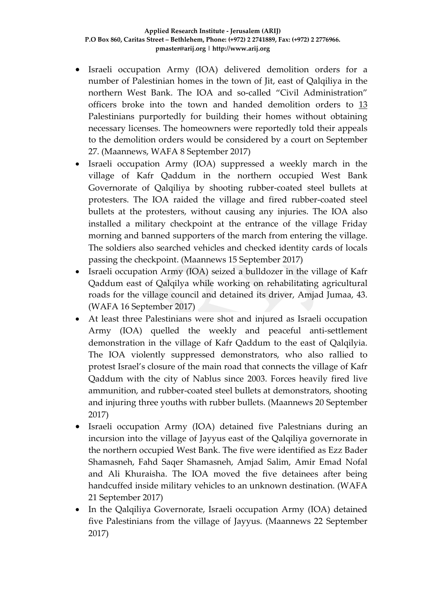- Israeli occupation Army (IOA) delivered demolition orders for a number of Palestinian homes in the town of Jit, east of Qalqiliya in the northern West Bank. The IOA and so-called "Civil Administration" officers broke into the town and handed demolition orders to [13](http://www.maannews.com/Content.aspx?id=779015) Palestinians purportedly for building their homes without obtaining necessary licenses. The homeowners were reportedly told their appeals to the demolition orders would be considered by a court on September 27. (Maannews, WAFA 8 September 2017)
- Israeli occupation Army (IOA) suppressed a weekly march in the village of Kafr Qaddum in the northern occupied West Bank Governorate of Qalqiliya by shooting rubber-coated steel bullets at protesters. The IOA raided the village and fired rubber-coated steel bullets at the protesters, without causing any injuries. The IOA also installed a military checkpoint at the entrance of the village Friday morning and banned supporters of the march from entering the village. The soldiers also searched vehicles and checked identity cards of locals passing the checkpoint. (Maannews 15 September 2017)
- Israeli occupation Army (IOA) seized a bulldozer in the village of Kafr Qaddum east of Qalqilya while working on rehabilitating agricultural roads for the village council and detained its driver, Amjad Jumaa, 43. (WAFA 16 September 2017)
- At least three Palestinians were shot and injured as Israeli occupation Army (IOA) quelled the weekly and peaceful anti-settlement demonstration in the village of Kafr Qaddum to the east of Qalqilyia. The IOA violently suppressed demonstrators, who also rallied to protest Israel's closure of the main road that connects the village of Kafr Qaddum with the city of Nablus since 2003. Forces heavily fired live ammunition, and rubber-coated steel bullets at demonstrators, shooting and injuring three youths with rubber bullets. (Maannews 20 September 2017)
- Israeli occupation Army (IOA) detained five Palestnians during an incursion into the village of Jayyus east of the Qalqiliya governorate in the northern occupied West Bank. The five were identified as Ezz Bader Shamasneh, Fahd Saqer Shamasneh, Amjad Salim, Amir Emad Nofal and Ali Khuraisha. The IOA moved the five detainees after being handcuffed inside military vehicles to an unknown destination. (WAFA 21 September 2017)
- In the Qalqiliya Governorate, Israeli occupation Army (IOA) detained five Palestinians from the village of Jayyus. (Maannews 22 September 2017)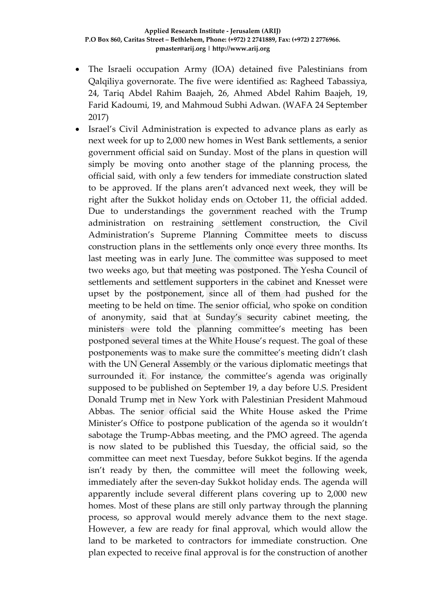- The Israeli occupation Army (IOA) detained five Palestinians from Qalqiliya governorate. The five were identified as: Ragheed Tabassiya, 24, Tariq Abdel Rahim Baajeh, 26, Ahmed Abdel Rahim Baajeh, 19, Farid Kadoumi, 19, and Mahmoud Subhi Adwan. (WAFA 24 September 2017)
- Israel's Civil Administration is expected to advance plans as early as next week for up to 2,000 new homes in West Bank settlements, a senior government official said on Sunday. Most of the plans in question will simply be moving onto another stage of the planning process, the official said, with only a few tenders for immediate construction slated to be approved. If the plans aren't advanced next week, they will be right after the Sukkot holiday ends on October 11, the official added. Due to understandings the government reached with the Trump administration on restraining settlement construction, the Civil Administration's Supreme Planning Committee meets to discuss construction plans in the settlements only once every three months. Its last meeting was in early June. The committee was supposed to meet two weeks ago, but that meeting was postponed. The Yesha Council of settlements and settlement supporters in the cabinet and Knesset were upset by the postponement, since all of them had pushed for the meeting to be held on time. The senior official, who spoke on condition of anonymity, said that at Sunday's security cabinet meeting, the ministers were told the planning committee's meeting has been postponed several times at the White House's request. The goal of these postponements was to make sure the committee's meeting didn't clash with the UN General Assembly or the various diplomatic meetings that surrounded it. For instance, the committee's agenda was originally supposed to be published on September 19, a day before U.S. President Donald Trump met in New York with Palestinian President Mahmoud Abbas. The senior official said the White House asked the Prime Minister's Office to postpone publication of the agenda so it wouldn't sabotage the Trump-Abbas meeting, and the PMO agreed. The agenda is now slated to be published this Tuesday, the official said, so the committee can meet next Tuesday, before Sukkot begins. If the agenda isn't ready by then, the committee will meet the following week, immediately after the seven-day Sukkot holiday ends. The agenda will apparently include several different plans covering up to 2,000 new homes. Most of these plans are still only partway through the planning process, so approval would merely advance them to the next stage. However, a few are ready for final approval, which would allow the land to be marketed to contractors for immediate construction. One plan expected to receive final approval is for the construction of another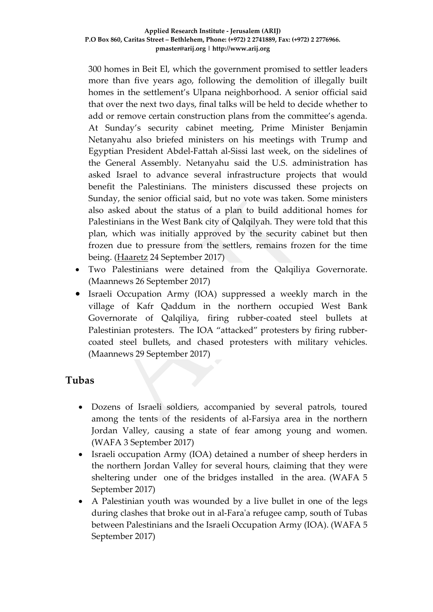300 homes in Beit El, which the government promised to settler leaders more than five years ago, following the demolition of illegally built homes in the settlement's Ulpana neighborhood. A senior official said that over the next two days, final talks will be held to decide whether to add or remove certain construction plans from the committee's agenda. At Sunday's security cabinet meeting, Prime Minister Benjamin Netanyahu also briefed ministers on his meetings with Trump and Egyptian President Abdel-Fattah al-Sissi last week, on the sidelines of the General Assembly. Netanyahu said the U.S. administration has asked Israel to advance several infrastructure projects that would benefit the Palestinians. The ministers discussed these projects on Sunday, the senior official said, but no vote was taken. Some ministers also asked about the status of a plan to build additional homes for Palestinians in the West Bank city of Qalqilyah. They were told that this plan, which was initially approved by the security cabinet but then frozen due to pressure from the settlers, remains frozen for the time being. [\(Haaretz](http://www.haaretz.com/israel-news/.premium-1.813966?=&ts=_1506324579310) 24 September 2017)

- Two Palestinians were detained from the Qalqiliya Governorate. (Maannews 26 September 2017)
- Israeli Occupation Army (IOA) suppressed a weekly march in the village of Kafr Qaddum in the northern occupied West Bank Governorate of Qalqiliya, firing rubber-coated steel bullets at Palestinian protesters. The IOA "attacked" protesters by firing rubbercoated steel bullets, and chased protesters with military vehicles. (Maannews 29 September 2017)

### **Tubas**

- Dozens of Israeli soldiers, accompanied by several patrols, toured among the tents of the residents of al-Farsiya area in the northern Jordan Valley, causing a state of fear among young and women. (WAFA 3 September 2017)
- Israeli occupation Army (IOA) detained a number of sheep herders in the northern Jordan Valley for several hours, claiming that they were sheltering under one of the bridges installed in the area. (WAFA 5 September 2017)
- A Palestinian youth was wounded by a live bullet in one of the legs during clashes that broke out in al-Fara'a refugee camp, south of Tubas between Palestinians and the Israeli Occupation Army (IOA). (WAFA 5 September 2017)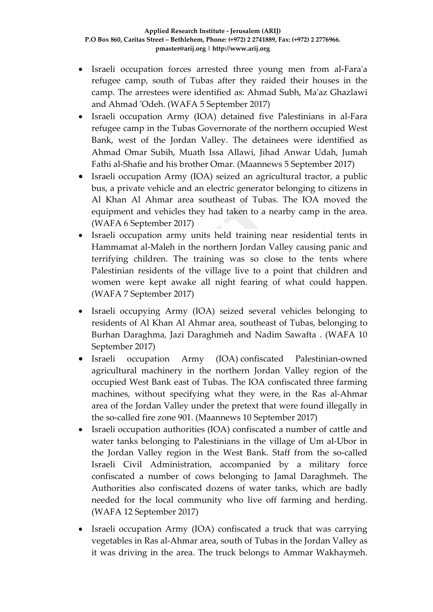- Israeli occupation forces arrested three young men from al-Fara'a refugee camp, south of Tubas after they raided their houses in the camp. The arrestees were identified as: Ahmad Subh, Ma'az Ghazlawi and Ahmad 'Odeh. (WAFA 5 September 2017)
- Israeli occupation Army (IOA) detained five Palestinians in al-Fara refugee camp in the Tubas Governorate of the northern occupied West Bank, west of the Jordan Valley. The detainees were identified as Ahmad Omar Subih, Muath Issa Allawi, Jihad Anwar Udah, Jumah Fathi al-Shafie and his brother Omar. (Maannews 5 September 2017)
- Israeli occupation Army (IOA) seized an agricultural tractor, a public bus, a private vehicle and an electric generator belonging to citizens in Al Khan Al Ahmar area southeast of Tubas. The IOA moved the equipment and vehicles they had taken to a nearby camp in the area. (WAFA 6 September 2017)
- Israeli occupation army units held training near residential tents in Hammamat al-Maleh in the northern Jordan Valley causing panic and terrifying children. The training was so close to the tents where Palestinian residents of the village live to a point that children and women were kept awake all night fearing of what could happen. (WAFA 7 September 2017)
- Israeli occupying Army (IOA) seized several vehicles belonging to residents of Al Khan Al Ahmar area, southeast of Tubas, belonging to Burhan Daraghma, Jazi Daraghmeh and Nadim Sawafta . (WAFA 10 September 2017)
- Israeli occupation Army (IOA) confiscated Palestinian-owned agricultural machinery in the northern Jordan Valley region of the occupied West Bank east of Tubas. The IOA confiscated three farming machines, without specifying what they were, in the Ras al-Ahmar area of the Jordan Valley under the pretext that were found illegally in the so-called fire zone 901. (Maannews 10 September 2017)
- Israeli occupation authorities (IOA) confiscated a number of cattle and water tanks belonging to Palestinians in the village of Um al-Ubor in the Jordan Valley region in the West Bank. Staff from the so-called Israeli Civil Administration, accompanied by a military force confiscated a number of cows belonging to Jamal Daraghmeh. The Authorities also confiscated dozens of water tanks, which are badly needed for the local community who live off farming and herding. (WAFA 12 September 2017)
- Israeli occupation Army (IOA) confiscated a truck that was carrying vegetables in Ras al-Ahmar area, south of Tubas in the Jordan Valley as it was driving in the area. The truck belongs to Ammar Wakhaymeh.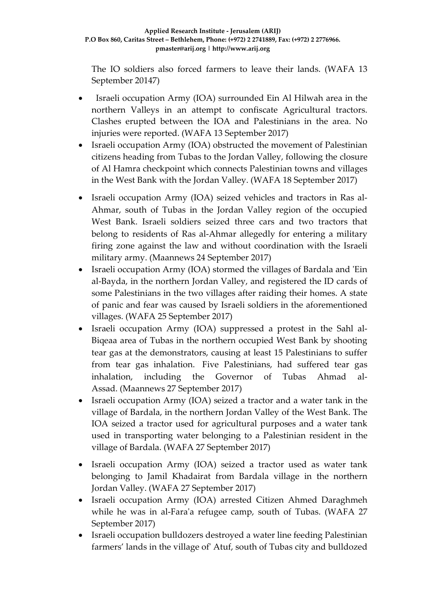The IO soldiers also forced farmers to leave their lands. (WAFA 13 September 20147)

- Israeli occupation Army (IOA) surrounded Ein Al Hilwah area in the northern Valleys in an attempt to confiscate Agricultural tractors. Clashes erupted between the IOA and Palestinians in the area. No injuries were reported. (WAFA 13 September 2017)
- Israeli occupation Army (IOA) obstructed the movement of Palestinian citizens heading from Tubas to the Jordan Valley, following the closure of Al Hamra checkpoint which connects Palestinian towns and villages in the West Bank with the Jordan Valley. (WAFA 18 September 2017)
- Israeli occupation Army (IOA) seized vehicles and tractors in Ras al-Ahmar, south of Tubas in the Jordan Valley region of the occupied West Bank. Israeli soldiers seized three cars and two tractors that belong to residents of Ras al-Ahmar allegedly for entering a military firing zone against the law and without coordination with the Israeli military army. (Maannews 24 September 2017)
- Israeli occupation Army (IOA) stormed the villages of Bardala and 'Ein al-Bayda, in the northern Jordan Valley, and registered the ID cards of some Palestinians in the two villages after raiding their homes. A state of panic and fear was caused by Israeli soldiers in the aforementioned villages. (WAFA 25 September 2017)
- Israeli occupation Army (IOA) suppressed a protest in the Sahl al-Biqeaa area of Tubas in the northern occupied West Bank by shooting tear gas at the demonstrators, causing at least 15 Palestinians to suffer from tear gas inhalation. Five Palestinians, had suffered tear gas inhalation, including the Governor of Tubas Ahmad al-Assad. (Maannews 27 September 2017)
- Israeli occupation Army (IOA) seized a tractor and a water tank in the village of Bardala, in the northern Jordan Valley of the West Bank. The IOA seized a tractor used for agricultural purposes and a water tank used in transporting water belonging to a Palestinian resident in the village of Bardala. (WAFA 27 September 2017)
- Israeli occupation Army (IOA) seized a tractor used as water tank belonging to Jamil Khadairat from Bardala village in the northern Jordan Valley. (WAFA 27 September 2017)
- Israeli occupation Army (IOA) arrested Citizen Ahmed Daraghmeh while he was in al-Fara'a refugee camp, south of Tubas. (WAFA 27 September 2017)
- Israeli occupation bulldozers destroyed a water line feeding Palestinian farmers' lands in the village of' Atuf, south of Tubas city and bulldozed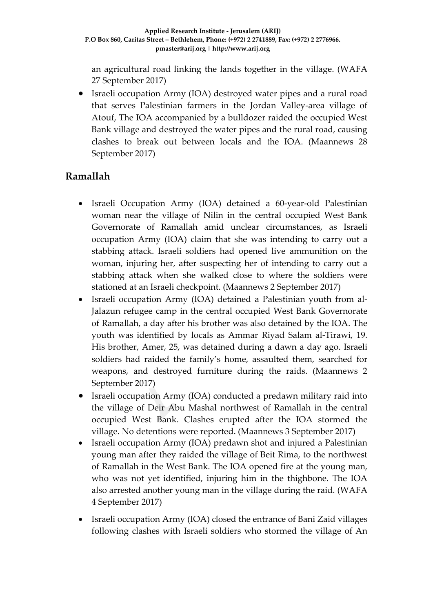an agricultural road linking the lands together in the village. (WAFA 27 September 2017)

• Israeli occupation Army (IOA) destroyed water pipes and a rural road that serves Palestinian farmers in the Jordan Valley-area village of Atouf, The IOA accompanied by a bulldozer raided the occupied West Bank village and destroyed the water pipes and the rural road, causing clashes to break out between locals and the IOA. (Maannews 28 September 2017)

# **Ramallah**

- Israeli Occupation Army (IOA) detained a 60-year-old Palestinian woman near the village of Nilin in the central occupied West Bank Governorate of Ramallah amid unclear circumstances, as Israeli occupation Army (IOA) claim that she was intending to carry out a stabbing attack. Israeli soldiers had opened live ammunition on the woman, injuring her, after suspecting her of intending to carry out a stabbing attack when she walked close to where the soldiers were stationed at an Israeli checkpoint. (Maannews 2 September 2017)
- Israeli occupation Army (IOA) detained a Palestinian youth from al-Jalazun refugee camp in the central occupied West Bank Governorate of Ramallah, a day after his brother was also detained by the IOA. The youth was identified by locals as Ammar Riyad Salam al-Tirawi, 19. His brother, Amer, 25, was detained during a dawn a day ago. Israeli soldiers had raided the family's home, assaulted them, searched for weapons, and destroyed furniture during the raids. (Maannews 2 September 2017)
- Israeli occupation Army (IOA) conducted a predawn military raid into the village of Deir Abu Mashal northwest of Ramallah in the central occupied West Bank. Clashes erupted after the IOA stormed the village. No detentions were reported. (Maannews 3 September 2017)
- Israeli occupation Army (IOA) predawn shot and injured a Palestinian young man after they raided the village of Beit Rima, to the northwest of Ramallah in the West Bank. The IOA opened fire at the young man, who was not yet identified, injuring him in the thighbone. The IOA also arrested another young man in the village during the raid. (WAFA 4 September 2017)
- Israeli occupation Army (IOA) closed the entrance of Bani Zaid villages following clashes with Israeli soldiers who stormed the village of An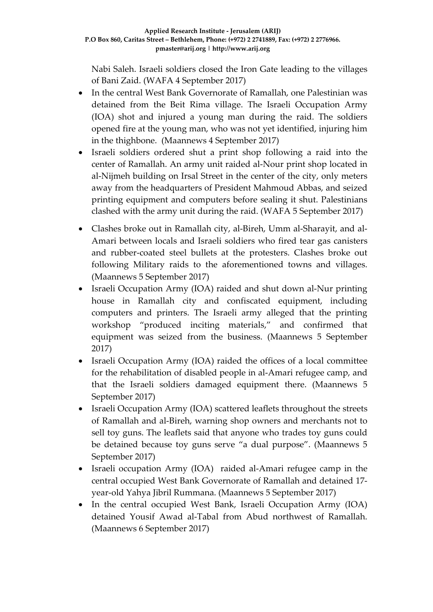Nabi Saleh. Israeli soldiers closed the Iron Gate leading to the villages of Bani Zaid. (WAFA 4 September 2017)

- In the central West Bank Governorate of Ramallah, one Palestinian was detained from the Beit Rima village. The Israeli Occupation Army (IOA) shot and injured a young man during the raid. The soldiers opened fire at the young man, who was not yet identified, injuring him in the thighbone. (Maannews 4 September 2017)
- Israeli soldiers ordered shut a print shop following a raid into the center of Ramallah. An army unit raided al-Nour print shop located in al-Nijmeh building on Irsal Street in the center of the city, only meters away from the headquarters of President Mahmoud Abbas, and seized printing equipment and computers before sealing it shut. Palestinians clashed with the army unit during the raid. (WAFA 5 September 2017)
- Clashes broke out in Ramallah city, al-Bireh, Umm al-Sharayit, and al-Amari between locals and Israeli soldiers who fired tear gas canisters and rubber-coated steel bullets at the protesters. Clashes broke out following Military raids to the aforementioned towns and villages. (Maannews 5 September 2017)
- Israeli Occupation Army (IOA) raided and shut down al-Nur printing house in Ramallah city and confiscated equipment, including computers and printers. The Israeli army alleged that the printing workshop "produced inciting materials," and confirmed that equipment was seized from the business. (Maannews 5 September 2017)
- Israeli Occupation Army (IOA) raided the offices of a local committee for the rehabilitation of disabled people in al-Amari refugee camp, and that the Israeli soldiers damaged equipment there. (Maannews 5 September 2017)
- Israeli Occupation Army (IOA) scattered leaflets throughout the streets of Ramallah and al-Bireh, warning shop owners and merchants not to sell toy guns. The leaflets said that anyone who trades toy guns could be detained because toy guns serve "a dual purpose". (Maannews 5 September 2017)
- Israeli occupation Army (IOA) raided al-Amari refugee camp in the central occupied West Bank Governorate of Ramallah and detained 17 year-old Yahya Jibril Rummana. (Maannews 5 September 2017)
- In the central occupied West Bank, Israeli Occupation Army (IOA) detained Yousif Awad al-Tabal from Abud northwest of Ramallah. (Maannews 6 September 2017)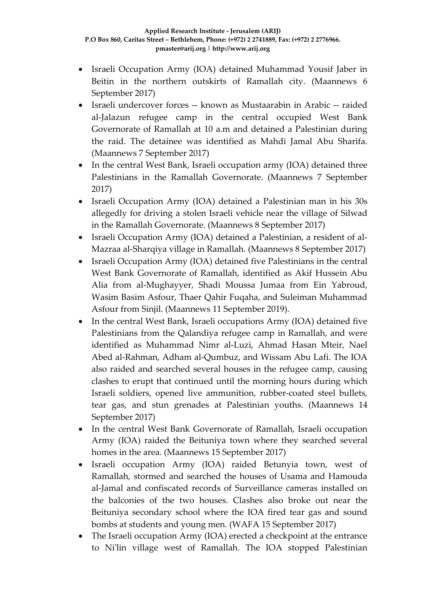- Israeli Occupation Army (IOA) detained Muhammad Yousif Jaber in Beitin in the northern outskirts of Ramallah city. (Maannews 6 September 2017)
- Israeli undercover forces -- known as Mustaarabin in Arabic -- raided al-Jalazun refugee camp in the central occupied West Bank Governorate of Ramallah at 10 a.m and detained a Palestinian during the raid. The detainee was identified as Mahdi Jamal Abu Sharifa. (Maannews 7 September 2017)
- In the central West Bank, Israeli occupation army (IOA) detained three Palestinians in the Ramallah Governorate. (Maannews 7 September 2017)
- Israeli Occupation Army (IOA) detained a Palestinian man in his 30s allegedly for driving a stolen Israeli vehicle near the village of Silwad in the Ramallah Governorate. (Maannews 8 September 2017)
- Israeli Occupation Army (IOA) detained a Palestinian, a resident of al-Mazraa al-Sharqiya village in Ramallah. (Maannews 8 September 2017)
- Israeli Occupation Army (IOA) detained five Palestinians in the central West Bank Governorate of Ramallah, identified as Akif Hussein Abu Alia from al-Mughayyer, Shadi Moussa Jumaa from Ein Yabroud, Wasim Basim Asfour, Thaer Qahir Fuqaha, and Suleiman Muhammad Asfour from Sinjil. (Maannews 11 September 2019).
- In the central West Bank, Israeli occupations Army (IOA) detained five Palestinians from the Qalandiya refugee camp in Ramallah, and were identified as Muhammad Nimr al-Luzi, Ahmad Hasan Mteir, Nael Abed al-Rahman, Adham al-Qumbuz, and Wissam Abu Lafi. The IOA also raided and searched several houses in the refugee camp, causing clashes to erupt that continued until the morning hours during which Israeli soldiers, opened live ammunition, rubber-coated steel bullets, tear gas, and stun grenades at Palestinian youths. (Maannews 14 September 2017)
- In the central West Bank Governorate of Ramallah, Israeli occupation Army (IOA) raided the Beituniya town where they searched several homes in the area. (Maannews 15 September 2017)
- Israeli occupation Army (IOA) raided Betunyia town, west of Ramallah, stormed and searched the houses of Usama and Hamouda al-Jamal and confiscated records of Surveillance cameras installed on the balconies of the two houses. Clashes also broke out near the Beituniya secondary school where the IOA fired tear gas and sound bombs at students and young men. (WAFA 15 September 2017)
- The Israeli occupation Army (IOA) erected a checkpoint at the entrance to Ni'lin village west of Ramallah. The IOA stopped Palestinian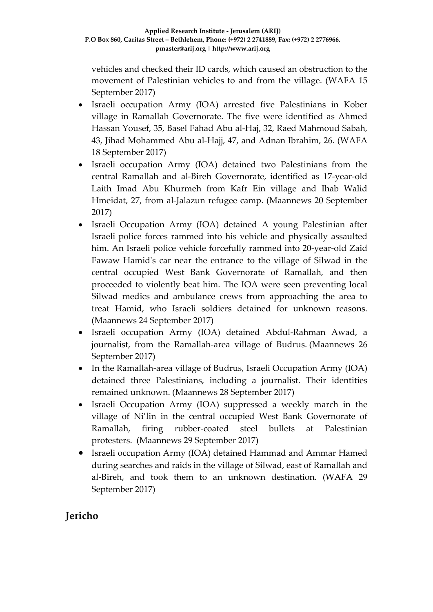vehicles and checked their ID cards, which caused an obstruction to the movement of Palestinian vehicles to and from the village. (WAFA 15 September 2017)

- Israeli occupation Army (IOA) arrested five Palestinians in Kober village in Ramallah Governorate. The five were identified as Ahmed Hassan Yousef, 35, Basel Fahad Abu al-Haj, 32, Raed Mahmoud Sabah, 43, Jihad Mohammed Abu al-Hajj, 47, and Adnan Ibrahim, 26. (WAFA 18 September 2017)
- Israeli occupation Army (IOA) detained two Palestinians from the central Ramallah and al-Bireh Governorate, identified as 17-year-old Laith Imad Abu Khurmeh from Kafr Ein village and Ihab Walid Hmeidat, 27, from al-Jalazun refugee camp. (Maannews 20 September 2017)
- Israeli Occupation Army (IOA) detained A young Palestinian after Israeli police forces rammed into his vehicle and physically assaulted him. An Israeli police vehicle forcefully rammed into 20-year-old Zaid Fawaw Hamid's car near the entrance to the village of Silwad in the central occupied West Bank Governorate of Ramallah, and then proceeded to violently beat him. The IOA were seen preventing local Silwad medics and ambulance crews from approaching the area to treat Hamid, who Israeli soldiers detained for unknown reasons. (Maannews 24 September 2017)
- Israeli occupation Army (IOA) detained Abdul-Rahman Awad, a journalist, from the Ramallah-area village of Budrus. (Maannews 26 September 2017)
- In the Ramallah-area village of Budrus, Israeli Occupation Army (IOA) detained three Palestinians, including a journalist. Their identities remained unknown. (Maannews 28 September 2017)
- Israeli Occupation Army (IOA) suppressed a weekly march in the village of Ni'lin in the central occupied West Bank Governorate of Ramallah, firing rubber-coated steel bullets at Palestinian protesters. (Maannews 29 September 2017)
- Israeli occupation Army (IOA) detained Hammad and Ammar Hamed during searches and raids in the village of Silwad, east of Ramallah and al-Bireh, and took them to an unknown destination. (WAFA 29 September 2017)

# **Jericho**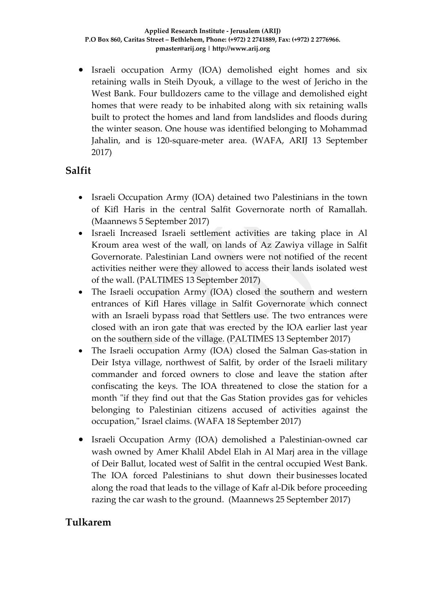• Israeli occupation Army (IOA) demolished eight homes and six retaining walls in Steih Dyouk, a village to the west of Jericho in the West Bank. Four bulldozers came to the village and demolished eight homes that were ready to be inhabited along with six retaining walls built to protect the homes and land from landslides and floods during the winter season. One house was identified belonging to Mohammad Jahalin, and is 120-square-meter area. (WAFA, ARIJ 13 September 2017)

## **Salfit**

- Israeli Occupation Army (IOA) detained two Palestinians in the town of Kifl Haris in the central Salfit Governorate north of Ramallah. (Maannews 5 September 2017)
- Israeli Increased Israeli settlement activities are taking place in Al Kroum area west of the wall, on lands of Az Zawiya village in Salfit Governorate. Palestinian Land owners were not notified of the recent activities neither were they allowed to access their lands isolated west of the wall. (PALTIMES 13 September 2017)
- The Israeli occupation Army (IOA) closed the southern and western entrances of Kifl Hares village in Salfit Governorate which connect with an Israeli bypass road that Settlers use. The two entrances were closed with an iron gate that was erected by the IOA earlier last year on the southern side of the village. (PALTIMES 13 September 2017)
- The Israeli occupation Army (IOA) closed the Salman Gas-station in Deir Istya village, northwest of Salfit, by order of the Israeli military commander and forced owners to close and leave the station after confiscating the keys. The IOA threatened to close the station for a month "if they find out that the Gas Station provides gas for vehicles belonging to Palestinian citizens accused of activities against the occupation," Israel claims. (WAFA 18 September 2017)
- Israeli Occupation Army (IOA) demolished a Palestinian-owned car wash owned by Amer Khalil Abdel Elah in Al Marj area in the village of Deir Ballut, located west of Salfit in the central occupied West Bank. The IOA forced Palestinians to shut down their businesses located along the road that leads to the village of Kafr al-Dik before proceeding razing the car wash to the ground. (Maannews 25 September 2017)

# **Tulkarem**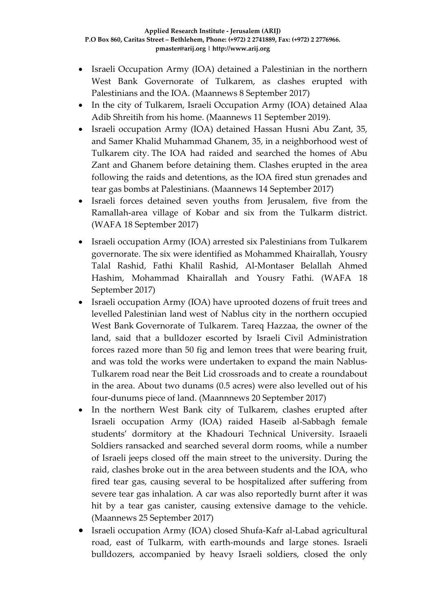- Israeli Occupation Army (IOA) detained a Palestinian in the northern West Bank Governorate of Tulkarem, as clashes erupted with Palestinians and the IOA. (Maannews 8 September 2017)
- In the city of Tulkarem, Israeli Occupation Army (IOA) detained Alaa Adib Shreitih from his home. (Maannews 11 September 2019).
- Israeli occupation Army (IOA) detained Hassan Husni Abu Zant, 35, and Samer Khalid Muhammad Ghanem, 35, in a neighborhood west of Tulkarem city. The IOA had raided and searched the homes of Abu Zant and Ghanem before detaining them. Clashes erupted in the area following the raids and detentions, as the IOA fired stun grenades and tear gas bombs at Palestinians. (Maannews 14 September 2017)
- Israeli forces detained seven youths from Jerusalem, five from the Ramallah-area village of Kobar and six from the Tulkarm district. (WAFA 18 September 2017)
- Israeli occupation Army (IOA) arrested six Palestinians from Tulkarem governorate. The six were identified as Mohammed Khairallah, Yousry Talal Rashid, Fathi Khalil Rashid, Al-Montaser Belallah Ahmed Hashim, Mohammad Khairallah and Yousry Fathi. (WAFA 18 September 2017)
- Israeli occupation Army (IOA) have uprooted dozens of fruit trees and levelled Palestinian land west of Nablus city in the northern occupied West Bank Governorate of Tulkarem. Tareq Hazzaa, the owner of the land, said that a bulldozer escorted by Israeli Civil Administration forces razed more than 50 fig and lemon trees that were bearing fruit, and was told the works were undertaken to expand the main Nablus-Tulkarem road near the Beit Lid crossroads and to create a roundabout in the area. About two dunams (0.5 acres) were also levelled out of his four-dunums piece of land. (Maannnews 20 September 2017)
- In the northern West Bank city of Tulkarem, clashes erupted after Israeli occupation Army (IOA) raided Haseib al-Sabbagh female students' dormitory at the Khadouri Technical University. Israaeli Soldiers ransacked and searched several dorm rooms, while a number of Israeli jeeps closed off the main street to the university. During the raid, clashes broke out in the area between students and the IOA, who fired tear gas, causing several to be hospitalized after suffering from severe tear gas inhalation. A car was also reportedly burnt after it was hit by a tear gas canister, causing extensive damage to the vehicle. (Maannews 25 September 2017)
- Israeli occupation Army (IOA) closed Shufa-Kafr al-Labad agricultural road, east of Tulkarm, with earth-mounds and large stones. Israeli bulldozers, accompanied by heavy Israeli soldiers, closed the only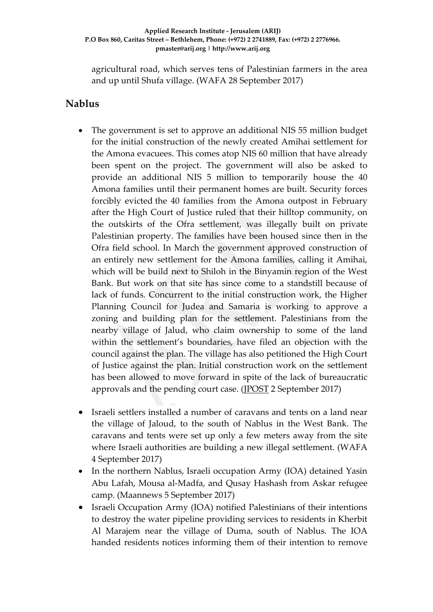agricultural road, which serves tens of Palestinian farmers in the area and up until Shufa village. (WAFA 28 September 2017)

# **Nablus**

- The government is set to approve an additional NIS 55 million budget for the initial construction of the newly created Amihai settlement for the Amona evacuees. This comes atop NIS 60 million that have already been spent on the project. The government will also be asked to provide an additional NIS 5 million to temporarily house the 40 Amona families until their permanent homes are built. [Security](http://www.jpost.com/Israel-News/IN-PICTURES-Bracing-for-evacuation-of-illegal-West-Bank-outpost-480214) forces [forcibly](http://www.jpost.com/Israel-News/IN-PICTURES-Bracing-for-evacuation-of-illegal-West-Bank-outpost-480214) evicted the 40 families from the Amona outpost in February after the High Court of Justice ruled that their hilltop community, on the outskirts of the Ofra settlement, was illegally built on private Palestinian property. The families have been housed since then in the Ofra field school. In March the government approved construction of an entirely new settlement for the Amona families, calling it Amihai, which will be build next to Shiloh in the Binyamin region of the West Bank. But work on that site has since come to a standstill because of lack of funds. Concurrent to the initial construction work, the Higher Planning Council for Judea and Samaria is working to approve a zoning and building plan for the settlement. Palestinians from the nearby village of Jalud, who claim ownership to some of the land within the settlement's boundaries, have filed an objection with the council against the plan. The village has also petitioned the High Court of Justice against the plan. Initial construction work on the settlement has been allowed to move forward in spite of the lack of bureaucratic approvals and the pending court case. [\(JPOST](http://www.jpost.com/Arab-Israeli-Conflict/Israel-set-to-approve-NIS-55-million-budget-for-new-settlement-503996) 2 September 2017)
- Israeli settlers installed a number of caravans and tents on a land near the village of Jaloud, to the south of Nablus in the West Bank. The caravans and tents were set up only a few meters away from the site where Israeli authorities are building a new illegal settlement. (WAFA 4 September 2017)
- In the northern Nablus, Israeli occupation Army (IOA) detained Yasin Abu Lafah, Mousa al-Madfa, and Qusay Hashash from Askar refugee camp. (Maannews 5 September 2017)
- Israeli Occupation Army (IOA) notified Palestinians of their intentions to destroy the water pipeline providing services to residents in Kherbit Al Marajem near the village of Duma, south of Nablus. The IOA handed residents notices informing them of their intention to remove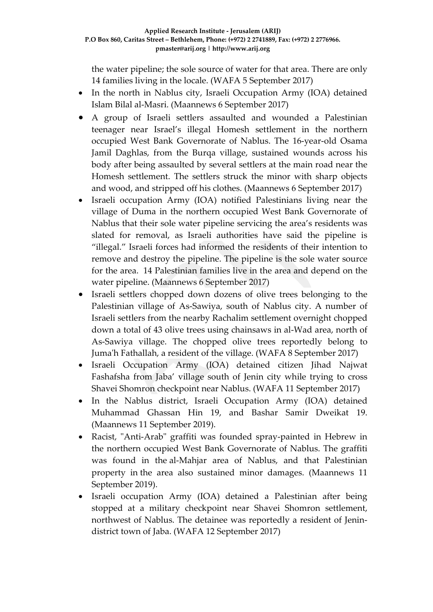the water pipeline; the sole source of water for that area. There are only 14 families living in the locale. (WAFA 5 September 2017)

- In the north in Nablus city, Israeli Occupation Army (IOA) detained Islam Bilal al-Masri. (Maannews 6 September 2017)
- A group of Israeli settlers assaulted and wounded a Palestinian teenager near Israel's illegal Homesh settlement in the northern occupied West Bank Governorate of Nablus. The 16-year-old Osama Jamil Daghlas, from the Burqa village, sustained wounds across his body after being assaulted by several settlers at the main road near the Homesh settlement. The settlers struck the minor with sharp objects and wood, and stripped off his clothes. (Maannews 6 September 2017)
- Israeli occupation Army (IOA) notified Palestinians living near the village of Duma in the northern occupied West Bank Governorate of Nablus that their sole water pipeline servicing the area's residents was slated for removal, as Israeli authorities have said the pipeline is "illegal." Israeli forces had informed the residents of their intention to remove and destroy the pipeline. The pipeline is the sole water source for the area. 14 Palestinian families live in the area and depend on the water pipeline. (Maannews 6 September 2017)
- Israeli settlers chopped down dozens of olive trees belonging to the Palestinian village of As-Sawiya, south of Nablus city. A number of Israeli settlers from the nearby Rachalim settlement overnight chopped down a total of 43 olive trees using chainsaws in al-Wad area, north of As-Sawiya village. The chopped olive trees reportedly belong to Juma'h Fathallah, a resident of the village. (WAFA 8 September 2017)
- Israeli Occupation Army (IOA) detained citizen Jihad Najwat Fashafsha from Jaba' village south of Jenin city while trying to cross Shavei Shomron checkpoint near Nablus. (WAFA 11 September 2017)
- In the Nablus district, Israeli Occupation Army (IOA) detained Muhammad Ghassan Hin 19, and Bashar Samir Dweikat 19. (Maannews 11 September 2019).
- Racist, "Anti-Arab" graffiti was founded spray-painted in Hebrew in the northern occupied West Bank Governorate of Nablus. The graffiti was found in the al-Mahjar area of Nablus, and that Palestinian property in the area also sustained minor damages. (Maannews 11 September 2019).
- Israeli occupation Army (IOA) detained a Palestinian after being stopped at a military checkpoint near Shavei Shomron settlement, northwest of Nablus. The detainee was reportedly a resident of Jenindistrict town of Jaba. (WAFA 12 September 2017)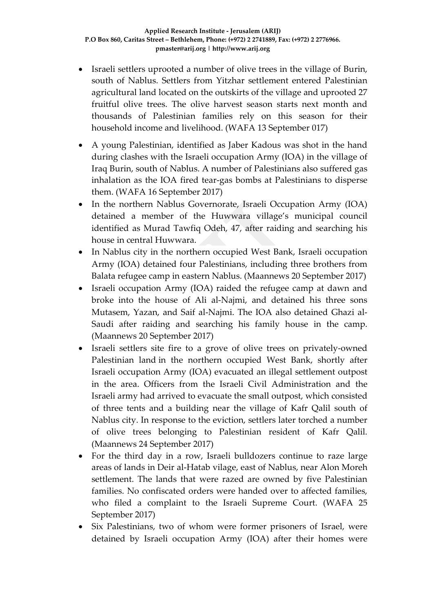- Israeli settlers uprooted a number of olive trees in the village of Burin, south of Nablus. Settlers from Yitzhar settlement entered Palestinian agricultural land located on the outskirts of the village and uprooted 27 fruitful olive trees. The olive harvest season starts next month and thousands of Palestinian families rely on this season for their household income and livelihood. (WAFA 13 September 017)
- A young Palestinian, identified as Jaber Kadous was shot in the hand during clashes with the Israeli occupation Army (IOA) in the village of Iraq Burin, south of Nablus. A number of Palestinians also suffered gas inhalation as the IOA fired tear-gas bombs at Palestinians to disperse them. (WAFA 16 September 2017)
- In the northern Nablus Governorate, Israeli Occupation Army (IOA) detained a member of the Huwwara village's municipal council identified as Murad Tawfiq Odeh, 47, after raiding and searching his house in central Huwwara.
- In Nablus city in the northern occupied West Bank, Israeli occupation Army (IOA) detained four Palestinians, including three brothers from Balata refugee camp in eastern Nablus. (Maannews 20 September 2017)
- Israeli occupation Army (IOA) raided the refugee camp at dawn and broke into the house of Ali al-Najmi, and detained his three sons Mutasem, Yazan, and Saif al-Najmi. The IOA also detained Ghazi al-Saudi after raiding and searching his family house in the camp. (Maannews 20 September 2017)
- Israeli settlers site fire to a grove of olive trees on privately-owned Palestinian land in the northern occupied West Bank, shortly after Israeli occupation Army (IOA) evacuated an illegal settlement outpost in the area. Officers from the Israeli Civil Administration and the Israeli army had arrived to evacuate the small outpost, which consisted of three tents and a building near the village of Kafr Qalil south of Nablus city. In response to the eviction, settlers later torched a number of olive trees belonging to Palestinian resident of Kafr Qalil. (Maannews 24 September 2017)
- For the third day in a row, Israeli bulldozers continue to raze large areas of lands in Deir al-Hatab vilage, east of Nablus, near Alon Moreh settlement. The lands that were razed are owned by five Palestinian families. No confiscated orders were handed over to affected families, who filed a complaint to the Israeli Supreme Court. (WAFA 25 September 2017)
- Six Palestinians, two of whom were former prisoners of Israel, were detained by Israeli occupation Army (IOA) after their homes were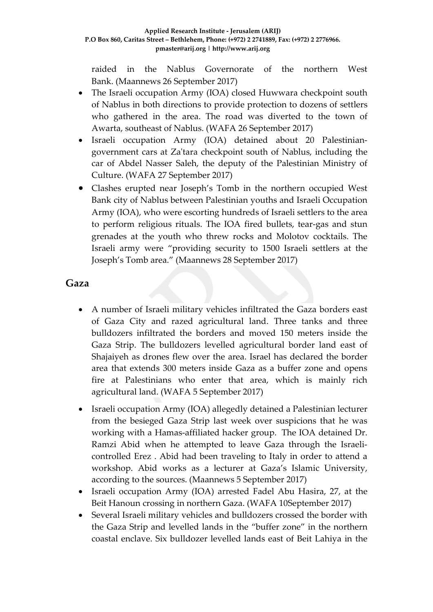raided in the Nablus Governorate of the northern West Bank. (Maannews 26 September 2017)

- The Israeli occupation Army (IOA) closed Huwwara checkpoint south of Nablus in both directions to provide protection to dozens of settlers who gathered in the area. The road was diverted to the town of Awarta, southeast of Nablus. (WAFA 26 September 2017)
- Israeli occupation Army (IOA) detained about 20 Palestiniangovernment cars at Za'tara checkpoint south of Nablus, including the car of Abdel Nasser Saleh, the deputy of the Palestinian Ministry of Culture. (WAFA 27 September 2017)
- Clashes erupted near Joseph's Tomb in the northern occupied West Bank city of Nablus between Palestinian youths and Israeli Occupation Army (IOA), who were escorting hundreds of Israeli settlers to the area to perform religious rituals. The IOA fired bullets, tear-gas and stun grenades at the youth who threw rocks and Molotov cocktails. The Israeli army were "providing security to 1500 Israeli settlers at the Joseph's Tomb area." (Maannews 28 September 2017)

### **Gaza**

- A number of Israeli military vehicles infiltrated the Gaza borders east of Gaza City and razed agricultural land. Three tanks and three bulldozers infiltrated the borders and moved 150 meters inside the Gaza Strip. The bulldozers levelled agricultural border land east of Shajaiyeh as drones flew over the area. Israel has declared the border area that extends 300 meters inside Gaza as a buffer zone and opens fire at Palestinians who enter that area, which is mainly rich agricultural land. (WAFA 5 September 2017)
- Israeli occupation Army (IOA) allegedly detained a Palestinian lecturer from the besieged Gaza Strip last week over suspicions that he was working with a Hamas-affiliated hacker group. The IOA detained Dr. Ramzi Abid when he attempted to leave Gaza through the Israelicontrolled Erez . Abid had been traveling to Italy in order to attend a workshop. Abid works as a lecturer at Gaza's Islamic University, according to the sources. (Maannews 5 September 2017)
- Israeli occupation Army (IOA) arrested Fadel Abu Hasira, 27, at the Beit Hanoun crossing in northern Gaza. (WAFA 10September 2017)
- Several Israeli military vehicles and bulldozers crossed the border with the Gaza Strip and levelled lands in the "buffer zone" in the northern coastal enclave. Six bulldozer levelled lands east of Beit Lahiya in the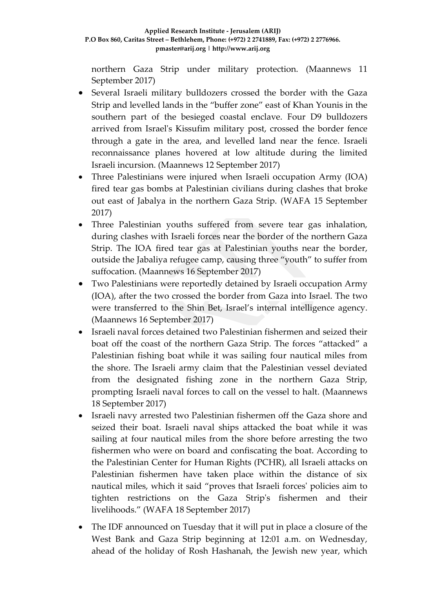northern Gaza Strip under military protection. (Maannews 11 September 2017)

- Several Israeli military bulldozers crossed the border with the Gaza Strip and levelled lands in the "buffer zone" east of Khan Younis in the southern part of the besieged coastal enclave. Four D9 bulldozers arrived from Israel's Kissufim military post, crossed the border fence through a gate in the area, and levelled land near the fence. Israeli reconnaissance planes hovered at low altitude during the limited Israeli incursion. (Maannews 12 September 2017)
- Three Palestinians were injured when Israeli occupation Army (IOA) fired tear gas bombs at Palestinian civilians during clashes that broke out east of Jabalya in the northern Gaza Strip. (WAFA 15 September 2017)
- Three Palestinian youths suffered from severe tear gas inhalation, during clashes with Israeli forces near the border of the northern Gaza Strip. The IOA fired tear gas at Palestinian youths near the border, outside the Jabaliya refugee camp, causing three "youth" to suffer from suffocation. (Maannews 16 September 2017)
- Two Palestinians were reportedly detained by Israeli occupation Army (IOA), after the two crossed the border from Gaza into Israel. The two were transferred to the Shin Bet, Israel's internal intelligence agency. (Maannews 16 September 2017)
- Israeli naval forces detained two Palestinian fishermen and seized their boat off the coast of the northern Gaza Strip. The forces "attacked" a Palestinian fishing boat while it was sailing four nautical miles from the shore. The Israeli army claim that the Palestinian vessel deviated from the designated fishing zone in the northern Gaza Strip, prompting Israeli naval forces to call on the vessel to halt. (Maannews 18 September 2017)
- Israeli navy arrested two Palestinian fishermen off the Gaza shore and seized their boat. Israeli naval ships attacked the boat while it was sailing at four nautical miles from the shore before arresting the two fishermen who were on board and confiscating the boat. According to the Palestinian Center for Human Rights (PCHR), all Israeli attacks on Palestinian fishermen have taken place within the distance of six nautical miles, which it said "proves that Israeli forces' policies aim to tighten restrictions on the Gaza Strip's fishermen and their livelihoods." (WAFA 18 September 2017)
- The IDF announced on Tuesday that it will put in place a closure of the West Bank and Gaza Strip beginning at 12:01 a.m. on Wednesday, ahead of the holiday of Rosh Hashanah, the Jewish new year, which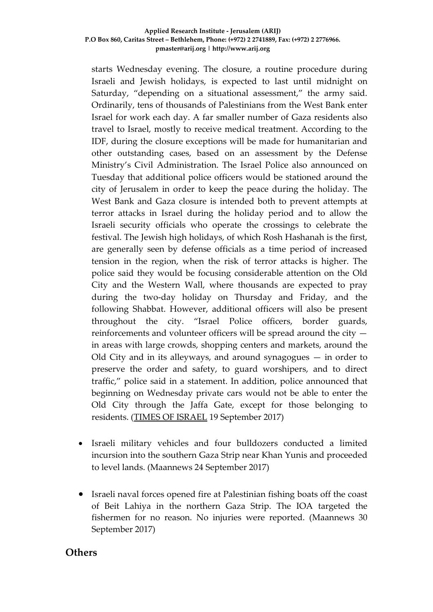starts Wednesday evening. The closure, a routine procedure during Israeli and Jewish holidays, is expected to last until midnight on Saturday, "depending on a situational assessment," the army said. Ordinarily, tens of thousands of Palestinians from the West Bank enter Israel for work each day. A far smaller number of Gaza residents also travel to Israel, mostly to receive medical treatment. According to the IDF, during the closure exceptions will be made for humanitarian and other outstanding cases, based on an assessment by the Defense Ministry's Civil Administration. The Israel Police also announced on Tuesday that additional police officers would be stationed around the city of Jerusalem in order to keep the peace during the holiday. The West Bank and Gaza closure is intended both to prevent attempts at terror attacks in Israel during the holiday period and to allow the Israeli security officials who operate the crossings to celebrate the festival. The Jewish high holidays, of which Rosh Hashanah is the first, are generally seen by defense officials as a time period of increased tension in the region, when the risk of terror attacks is higher. The police said they would be focusing considerable attention on the Old City and the Western Wall, where thousands are expected to pray during the two-day holiday on Thursday and Friday, and the following Shabbat. However, additional officers will also be present throughout the city. "Israel Police officers, border guards, reinforcements and volunteer officers will be spread around the city in areas with large crowds, shopping centers and markets, around the Old City and in its alleyways, and around synagogues  $-$  in order to preserve the order and safety, to guard worshipers, and to direct traffic," police said in a statement. In addition, police announced that beginning on Wednesday private cars would not be able to enter the Old City through the Jaffa Gate, except for those belonging to residents. [\(TIMES OF ISRAEL](https://www.timesofisrael.com/israel-announces-west-bank-gaza-closure-for-rosh-hashanah/) 19 September 2017)

- Israeli military vehicles and four bulldozers conducted a limited incursion into the southern Gaza Strip near Khan Yunis and proceeded to level lands. (Maannews 24 September 2017)
- Israeli naval forces opened fire at Palestinian fishing boats off the coast of Beit Lahiya in the northern Gaza Strip. The IOA targeted the fishermen for no reason. No injuries were reported. (Maannews 30 September 2017)

### **Others**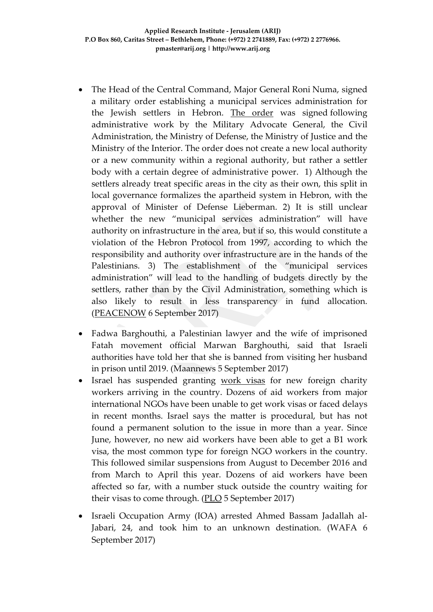- The Head of the Central Command, Major General Roni Numa, signed a military order establishing a municipal services administration for the Jewish settlers in Hebron. [The order](http://www.israelnationalnews.com/News/News.aspx/234826) was signed following administrative work by the Military Advocate General, the Civil Administration, the Ministry of Defense, the Ministry of Justice and the Ministry of the Interior. The order does not create a new local authority or a new community within a regional authority, but rather a settler body with a certain degree of administrative power. 1) Although the settlers already treat specific areas in the city as their own, this split in local governance formalizes the apartheid system in Hebron, with the approval of Minister of Defense Lieberman. 2) It is still unclear whether the new "municipal services administration" will have authority on infrastructure in the area, but if so, this would constitute a violation of the Hebron Protocol from 1997, according to which the responsibility and authority over infrastructure are in the hands of the Palestinians. 3) The establishment of the "municipal services administration" will lead to the handling of budgets directly by the settlers, rather than by the Civil Administration, something which is also likely to result in less transparency in fund allocation. [\(PEACENOW](http://peacenow.org.il/en/official-status-granted-hebron-settlers-civil-administration) 6 September 2017)
- Fadwa Barghouthi, a Palestinian lawyer and the wife of imprisoned Fatah movement official Marwan Barghouthi, said that Israeli authorities have told her that she is banned from visiting her husband in prison until 2019. (Maannews 5 September 2017)
- Israel has suspended granting [work visas](https://www.ynetnews.com/articles/0,7340,L-5012942,00.html) for new foreign charity workers arriving in the country. Dozens of aid workers from major international NGOs have been unable to get work visas or faced delays in recent months. Israel says the matter is procedural, but has not found a permanent solution to the issue in more than a year. Since June, however, no new aid workers have been able to get a B1 work visa, the most common type for foreign NGO workers in the country. This followed similar suspensions from August to December 2016 and from March to April this year. Dozens of aid workers have been affected so far, with a number stuck outside the country waiting for their visas to come through. [\(PLO](http://www.dci.plo.ps/en/article/6440/September-5,-2017---AFP-Aid-workers-fear-fallout-from-Israel-visa-suspension) 5 September 2017)
- Israeli Occupation Army (IOA) arrested Ahmed Bassam Jadallah al-Jabari, 24, and took him to an unknown destination. (WAFA 6 September 2017)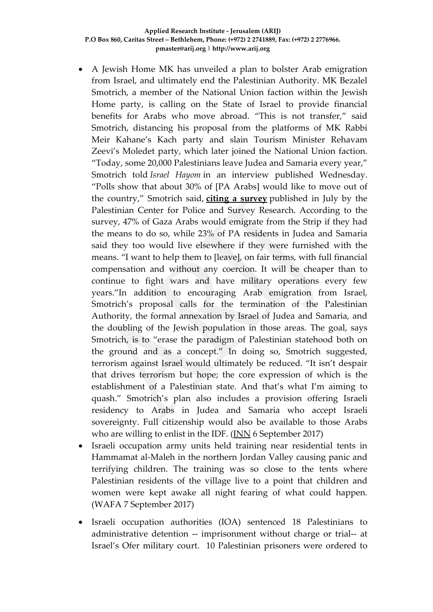- A Jewish Home MK has unveiled a plan to bolster Arab emigration from Israel, and ultimately end the Palestinian Authority. MK Bezalel Smotrich, a member of the National Union faction within the Jewish Home party, is calling on the State of Israel to provide financial benefits for Arabs who move abroad. "This is not transfer," said Smotrich, distancing his proposal from the platforms of MK Rabbi Meir Kahane's Kach party and slain Tourism Minister Rehavam Zeevi's Moledet party, which later joined the National Union faction. "Today, some 20,000 Palestinians leave Judea and Samaria every year," Smotrich told *Israel Hayom* in an interview published Wednesday. "Polls show that about 30% of [PA Arabs] would like to move out of the country," Smotrich said, **[citing a survey](http://www.israelnationalnews.com/News/News.aspx/232453)** published in July by the Palestinian Center for Police and Survey Research. According to the survey, 47% of Gaza Arabs would emigrate from the Strip if they had the means to do so, while 23% of PA residents in Judea and Samaria said they too would live elsewhere if they were furnished with the means. "I want to help them to [leave], on fair terms, with full financial compensation and without any coercion. It will be cheaper than to continue to fight wars and have military operations every few years."In addition to encouraging Arab emigration from Israel, Smotrich's proposal calls for the termination of the Palestinian Authority, the formal annexation by Israel of Judea and Samaria, and the doubling of the Jewish population in those areas. The goal, says Smotrich, is to "erase the paradigm of Palestinian statehood both on the ground and as a concept." In doing so, Smotrich suggested, terrorism against Israel would ultimately be reduced. "It isn't despair that drives terrorism but hope; the core expression of which is the establishment of a Palestinian state. And that's what I'm aiming to quash." Smotrich's plan also includes a provision offering Israeli residency to Arabs in Judea and Samaria who accept Israeli sovereignty. Full citizenship would also be available to those Arabs who are willing to enlist in the IDF. [\(INN](http://www.israelnationalnews.com/News/News.aspx/235111) 6 September 2017)
- Israeli occupation army units held training near residential tents in Hammamat al-Maleh in the northern Jordan Valley causing panic and terrifying children. The training was so close to the tents where Palestinian residents of the village live to a point that children and women were kept awake all night fearing of what could happen. (WAFA 7 September 2017)
- Israeli occupation authorities (IOA) sentenced 18 Palestinians to administrative detention -- imprisonment without charge or trial-- at Israel's Ofer military court. 10 Palestinian prisoners were ordered to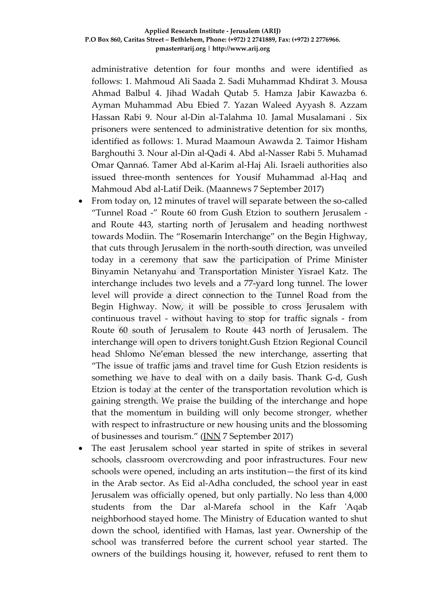administrative detention for four months and were identified as follows: 1. Mahmoud Ali Saada 2. Sadi Muhammad Khdirat 3. Mousa Ahmad Balbul 4. Jihad Wadah Qutab 5. Hamza Jabir Kawazba 6. Ayman Muhammad Abu Ebied 7. Yazan Waleed Ayyash 8. Azzam Hassan Rabi 9. Nour al-Din al-Talahma 10. Jamal Musalamani . Six prisoners were sentenced to administrative detention for six months, identified as follows: 1. Murad Maamoun Awawda 2. Taimor Hisham Barghouthi 3. Nour al-Din al-Qadi 4. Abd al-Nasser Rabi 5. Muhamad Omar Qanna6. Tamer Abd al-Karim al-Haj Ali. Israeli authorities also issued three-month sentences for Yousif Muhammad al-Haq and Mahmoud Abd al-Latif Deik. (Maannews 7 September 2017)

- From today on, 12 minutes of travel will separate between the so-called "Tunnel Road -" Route 60 from Gush Etzion to southern Jerusalem and Route 443, starting north of Jerusalem and heading northwest towards Modiin. The "Rosemarin Interchange" on the Begin Highway, that cuts through Jerusalem in the north-south direction, was unveiled today in a ceremony that saw the participation of Prime Minister Binyamin Netanyahu and Transportation Minister Yisrael Katz. The interchange includes two levels and a 77-yard long tunnel. The lower level will provide a direct connection to the Tunnel Road from the Begin Highway. Now, it will be possible to cross Jerusalem with continuous travel - without having to stop for traffic signals - from Route 60 south of Jerusalem to Route 443 north of Jerusalem. The interchange will open to drivers tonight.Gush Etzion Regional Council head Shlomo Ne'eman blessed the new interchange, asserting that "The issue of traffic jams and travel time for Gush Etzion residents is something we have to deal with on a daily basis. Thank G-d, Gush Etzion is today at the center of the transportation revolution which is gaining strength. We praise the building of the interchange and hope that the momentum in building will only become stronger, whether with respect to infrastructure or new housing units and the blossoming of businesses and tourism." [\(INN](http://www.israelnationalnews.com/News/News.aspx/235192) 7 September 2017)
- The east Jerusalem school year started in spite of strikes in several schools, classroom overcrowding and poor infrastructures. Four new schools were opened, including an arts institution—the first of its kind in the Arab sector. As Eid al-Adha concluded, the school year in east Jerusalem was officially opened, but only partially. No less than 4,000 students from the Dar al-Marefa school in the Kafr 'Aqab neighborhood stayed home. The Ministry of Education wanted to shut down the school, identified with Hamas, last year. Ownership of the school was transferred before the current school year started. The owners of the buildings housing it, however, refused to rent them to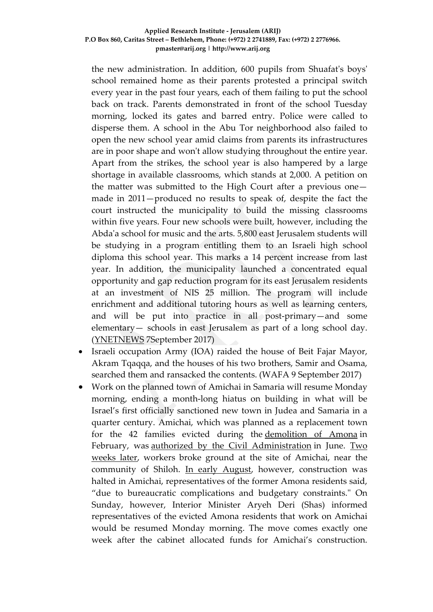the new administration. In addition, 600 pupils from Shuafat's boys' school remained home as their parents protested a principal switch every year in the past four years, each of them failing to put the school back on track. Parents demonstrated in front of the school Tuesday morning, locked its gates and barred entry. Police were called to disperse them. A school in the Abu Tor neighborhood also failed to open the new school year amid claims from parents its infrastructures are in poor shape and won't allow studying throughout the entire year. Apart from the strikes, the school year is also hampered by a large shortage in available classrooms, which stands at 2,000. A petition on the matter was submitted to the High Court after a previous one made in 2011—produced no results to speak of, despite the fact the court instructed the municipality to build the missing classrooms within five years. Four new schools were built, however, including the Abda'a school for music and the arts. 5,800 east Jerusalem students will be studying in a program entitling them to an Israeli high school diploma this school year. This marks a 14 percent increase from last year. In addition, the municipality launched a concentrated equal opportunity and gap reduction program for its east Jerusalem residents at an investment of NIS 25 million. The program will include enrichment and additional tutoring hours as well as learning centers, and will be put into practice in all post-primary—and some elementary— schools in east Jerusalem as part of a long school day. [\(YNETNEWS](https://www.ynetnews.com/articles/0,7340,L-5012912,00.html) 7September 2017)

- Israeli occupation Army (IOA) raided the house of Beit Fajar Mayor, Akram Tqaqqa, and the houses of his two brothers, Samir and Osama, searched them and ransacked the contents. (WAFA 9 September 2017)
- Work on the planned town of Amichai in Samaria will resume Monday morning, ending a month-long hiatus on building in what will be Israel's first officially sanctioned new town in Judea and Samaria in a quarter century. Amichai, which was planned as a replacement town for the 42 families evicted during the [demolition of Amona](http://www.israelnationalnews.com/News/News.aspx/224209) in February, was [authorized by the Civil Administration](http://www.israelnationalnews.com/News/News.aspx/230629) in June. Two [weeks later,](http://www.israelnationalnews.com/News/News.aspx/231301) workers broke ground at the site of Amichai, near the community of Shiloh. [In early August,](http://www.israelnationalnews.com/News/News.aspx/233410) however, construction was halted in Amichai, representatives of the former Amona residents said, "due to bureaucratic complications and budgetary constraints." On Sunday, however, Interior Minister Aryeh Deri (Shas) informed representatives of the evicted Amona residents that work on Amichai would be resumed Monday morning. The move comes exactly one week after the cabinet allocated funds for Amichai's construction.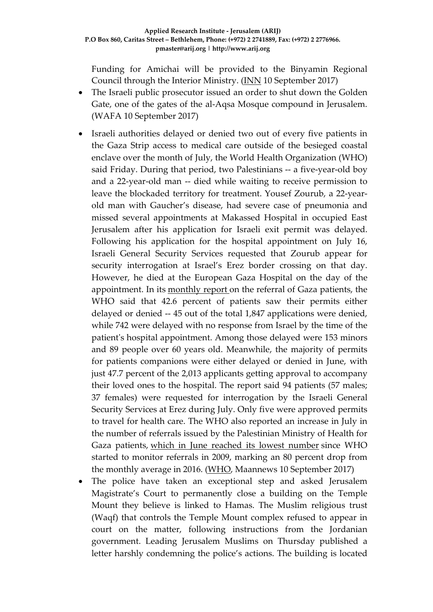Funding for Amichai will be provided to the Binyamin Regional Council through the Interior Ministry. [\(INN](http://www.israelnationalnews.com/News/News.aspx/235315) 10 September 2017)

- The Israeli public prosecutor issued an order to shut down the Golden Gate, one of the gates of the al-Aqsa Mosque compound in Jerusalem. (WAFA 10 September 2017)
- Israeli authorities delayed or denied two out of every five patients in the Gaza Strip access to medical care outside of the besieged coastal enclave over the month of July, the World Health Organization (WHO) said Friday. During that period, two Palestinians -- a five-year-old boy and a 22-year-old man -- died while waiting to receive permission to leave the blockaded territory for treatment. Yousef Zourub, a 22-yearold man with Gaucher's disease, had severe case of pneumonia and missed several appointments at Makassed Hospital in occupied East Jerusalem after his application for Israeli exit permit was delayed. Following his application for the hospital appointment on July 16, Israeli General Security Services requested that Zourub appear for security interrogation at Israel's Erez border crossing on that day. However, he died at the European Gaza Hospital on the day of the appointment. In its [monthly](http://www.emro.who.int/images/stories/palestine/WHO_monthly_Gaza_access_report_July_2017.pdf?ua=1) report on the referral of Gaza patients, the WHO said that 42.6 percent of patients saw their permits either delayed or denied -- 45 out of the total 1,847 applications were denied, while 742 were delayed with no response from Israel by the time of the patient's hospital appointment. Among those delayed were 153 minors and 89 people over 60 years old. Meanwhile, the majority of permits for patients companions were either delayed or denied in June, with just 47.7 percent of the 2,013 applicants getting approval to accompany their loved ones to the hospital. The report said 94 patients (57 males; 37 females) were requested for interrogation by the Israeli General Security Services at Erez during July. Only five were approved permits to travel for health care. The WHO also reported an increase in July in the number of referrals issued by the Palestinian Ministry of Health for Gaza patients, which in June reached its lowest [number](http://www.emro.who.int/images/stories/palestine/documents/WHO_monthly_Gaza_access_report_June-2017-Final.pdf?ua=1) since WHO started to monitor referrals in 2009, marking an 80 percent drop from the monthly average in 2016. [\(WHO,](http://www.emro.who.int/images/stories/palestine/WHO_monthly_Gaza_access_report_July_2017.pdf?ua=1) Maannews 10 September 2017)
- The police have taken an exceptional step and asked Jerusalem Magistrate's Court to permanently close a building on the Temple Mount they believe is linked to Hamas. The Muslim religious trust (Waqf) that controls the Temple Mount complex refused to appear in court on the matter, following instructions from the Jordanian government. Leading Jerusalem Muslims on Thursday published a letter harshly condemning the police's actions. The building is located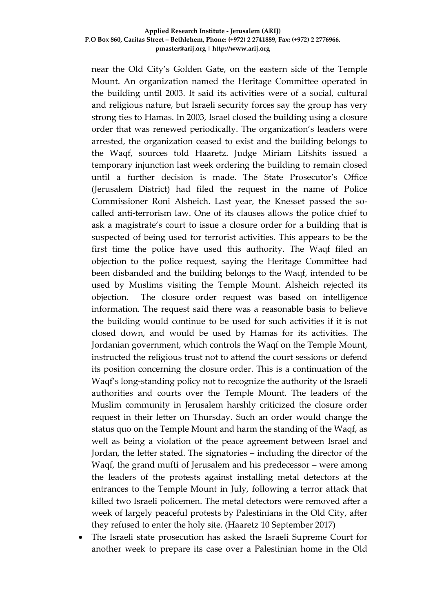near the Old City's Golden Gate, on the eastern side of the Temple Mount. An organization named the Heritage Committee operated in the building until 2003. It said its activities were of a social, cultural and religious nature, but Israeli security forces say the group has very strong ties to Hamas. In 2003, Israel closed the building using a closure order that was renewed periodically. The organization's leaders were arrested, the organization ceased to exist and the building belongs to the Waqf, sources told Haaretz. Judge Miriam Lifshits issued a temporary injunction last week ordering the building to remain closed until a further decision is made. The State Prosecutor's Office (Jerusalem District) had filed the request in the name of Police Commissioner Roni Alsheich. Last year, the Knesset passed the socalled anti-terrorism law. One of its clauses allows the police chief to ask a magistrate's court to issue a closure order for a building that is suspected of being used for terrorist activities. This appears to be the first time the police have used this authority. The Waqf filed an objection to the police request, saying the Heritage Committee had been disbanded and the building belongs to the Waqf, intended to be used by Muslims visiting the Temple Mount. Alsheich rejected its objection. The closure order request was based on intelligence information. The request said there was a reasonable basis to believe the building would continue to be used for such activities if it is not closed down, and would be used by Hamas for its activities. The Jordanian government, which controls the Waqf on the Temple Mount, instructed the religious trust not to attend the court sessions or defend its position concerning the closure order. This is a continuation of the Waqf's long-standing policy not to recognize the authority of the Israeli authorities and courts over the Temple Mount. The leaders of the Muslim community in Jerusalem harshly criticized the closure order request in their letter on Thursday. Such an order would change the status quo on the Temple Mount and harm the standing of the Waqf, as well as being a violation of the peace agreement between Israel and Jordan, the letter stated. The signatories – including the director of the Waqf, the grand mufti of Jerusalem and his predecessor – were among the leaders of the protests against installing metal detectors at the entrances to the Temple Mount in July, following a terror attack that killed two Israeli policemen. The metal detectors were removed after a week of largely peaceful protests by Palestinians in the Old City, after they refused to enter the holy site. (Haaretz 10 September 2017)

• The Israeli state prosecution has asked the Israeli Supreme Court for another week to prepare its case over a Palestinian home in the Old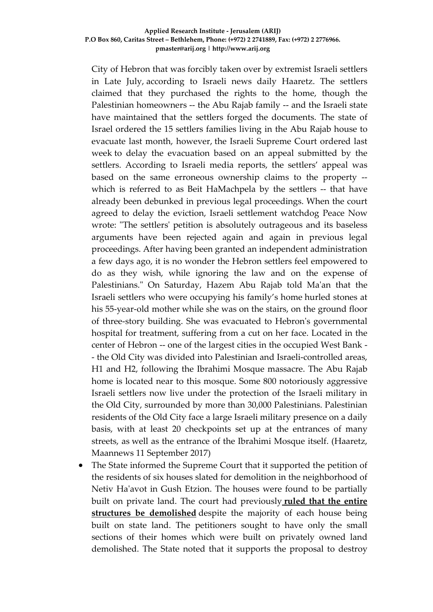City of Hebron that was forcibly taken over by [extremist](http://www.maannews.com/Content.aspx?id=778457) Israeli settlers in Late [July,](http://www.maannews.com/Content.aspx?id=778457) according to Israeli news daily Haaretz. The settlers claimed that they purchased the rights to the home, though the Palestinian homeowners -- the Abu Rajab family -- and the Israeli state have maintained that the settlers forged the documents. The state of Israel ordered the 15 settlers families living in the Abu Rajab house to evacuate last month, however, the Israeli [Supreme](http://www.maannews.com/Content.aspx?id=778961) Court ordered last [week](http://www.maannews.com/Content.aspx?id=778961) to delay the evacuation based on an appeal submitted by the settlers. According to Israeli media reports, the settlers' appeal was based on the same erroneous ownership claims to the property - which is referred to as Beit HaMachpela by the settlers -- that have already been debunked in previous legal proceedings. When the court agreed to delay the eviction, Israeli settlement watchdog Peace Now wrote: "The settlers' petition is absolutely outrageous and its baseless arguments have been rejected again and again in previous legal proceedings. After having been granted an independent administration a few days ago, it is no wonder the Hebron settlers feel empowered to do as they wish, while ignoring the law and on the expense of Palestinians." On Saturday, Hazem Abu Rajab told Ma'an that the Israeli settlers who were occupying his family's home [hurled](http://www.maannews.com/Content.aspx?id=779042) stones at his [55-year-old](http://www.maannews.com/Content.aspx?id=779042) mother while she was on the stairs, on the ground floor of three-story building. She was evacuated to Hebron's governmental hospital for treatment, suffering from a cut on her face. Located in the center of Hebron -- one of the largest cities in the occupied West Bank - - the Old City was divided into Palestinian and Israeli-controlled areas, H1 and H2, following the Ibrahimi Mosque massacre. The Abu Rajab home is located near to this mosque. Some 800 notoriously aggressive Israeli settlers now live under the protection of the Israeli military in the Old City, surrounded by more than 30,000 Palestinians. Palestinian residents of the Old City face a large Israeli military presence on a daily basis, with at least 20 checkpoints set up at the entrances of many streets, as well as the entrance of the Ibrahimi Mosque itself. (Haaretz, Maannews 11 September 2017)

The State informed the Supreme Court that it supported the petition of the residents of six houses slated for demolition in the neighborhood of Netiv Ha'avot in Gush Etzion. The houses were found to be partially built on private land. The court had previously **[ruled that the entire](http://www.israelnationalnews.com/News/News.aspx/217245)  [structures be demolished](http://www.israelnationalnews.com/News/News.aspx/217245)** despite the majority of each house being built on state land. The petitioners sought to have only the small sections of their homes which were built on privately owned land demolished. The State noted that it supports the proposal to destroy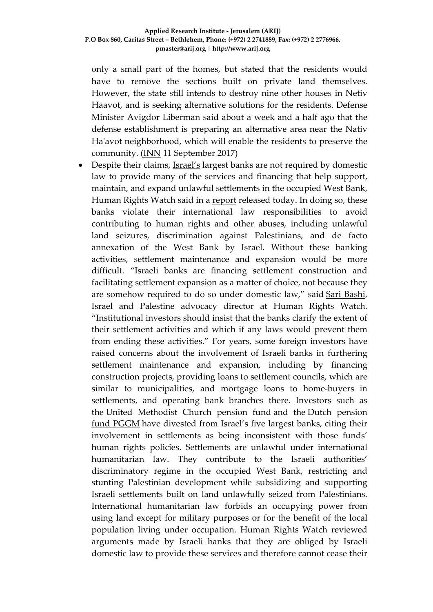only a small part of the homes, but stated that the residents would have to remove the sections built on private land themselves. However, the state still intends to destroy nine other houses in Netiv Haavot, and is seeking alternative solutions for the residents. Defense Minister Avigdor Liberman said about a week and a half ago that the defense establishment is preparing an alternative area near the Nativ Ha'avot neighborhood, which will enable the residents to preserve the community. [\(INN](http://www.israelnationalnews.com/News/News.aspx/235383) 11 September 2017)

Despite their claims, [Israel's](https://www.hrw.org/middle-east/n-africa/israel/palestine) largest banks are not required by domestic law to provide many of the services and financing that help support, maintain, and expand unlawful settlements in the occupied West Bank, Human Rights Watch said in a [report](https://www.hrw.org/news/2017/09/13/israeli-law-and-banking-west-bank-settlements) released today. In doing so, these banks violate their international law responsibilities to avoid contributing to human rights and other abuses, including unlawful land seizures, discrimination against Palestinians, and de facto annexation of the West Bank by Israel. Without these banking activities, settlement maintenance and expansion would be more difficult. "Israeli banks are financing settlement construction and facilitating settlement expansion as a matter of choice, not because they are somehow required to do so under domestic law," said [Sari Bashi,](https://www.hrw.org/about/people/sari-bashi) Israel and Palestine advocacy director at Human Rights Watch. "Institutional investors should insist that the banks clarify the extent of their settlement activities and which if any laws would prevent them from ending these activities." For years, some foreign investors have raised concerns about the involvement of Israeli banks in furthering settlement maintenance and expansion, including by financing construction projects, providing loans to settlement councils, which are similar to municipalities, and mortgage loans to home-buyers in settlements, and operating bank branches there. Investors such as the [United Methodist Church pension fund](http://www.umc.org/news-and-media/israeli-banks-on-ineligible-list-for-pensions-agency) and the [Dutch pension](https://www.pggm.nl/english/who-we-are/press/Pages/Statement-regarding-exclusion-of-Israeli-banks.aspx)  [fund PGGM](https://www.pggm.nl/english/who-we-are/press/Pages/Statement-regarding-exclusion-of-Israeli-banks.aspx) have divested from Israel's five largest banks, citing their involvement in settlements as being inconsistent with those funds' human rights policies. Settlements are unlawful under international humanitarian law. They contribute to the Israeli authorities' discriminatory regime in the occupied West Bank, restricting and stunting Palestinian development while subsidizing and supporting Israeli settlements built on land unlawfully seized from Palestinians. International humanitarian law forbids an occupying power from using land except for military purposes or for the benefit of the local population living under occupation. Human Rights Watch reviewed arguments made by Israeli banks that they are obliged by Israeli domestic law to provide these services and therefore cannot cease their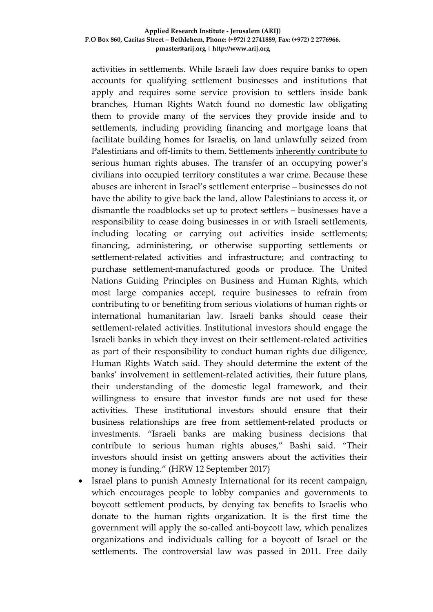activities in settlements. While Israeli law does require banks to open accounts for qualifying settlement businesses and institutions that apply and requires some service provision to settlers inside bank branches, Human Rights Watch found no domestic law obligating them to provide many of the services they provide inside and to settlements, including providing financing and mortgage loans that facilitate building homes for Israelis, on land unlawfully seized from Palestinians and off-limits to them. Settlements [inherently contribute to](https://www.hrw.org/report/2016/01/19/occupation-inc/how-settlement-businesses-contribute-israels-violations-palestinian)  [serious human rights abuses.](https://www.hrw.org/report/2016/01/19/occupation-inc/how-settlement-businesses-contribute-israels-violations-palestinian) The transfer of an occupying power's civilians into occupied territory constitutes a war crime. Because these abuses are inherent in Israel's settlement enterprise – businesses do not have the ability to give back the land, allow Palestinians to access it, or dismantle the roadblocks set up to protect settlers – businesses have a responsibility to cease doing businesses in or with Israeli settlements, including locating or carrying out activities inside settlements; financing, administering, or otherwise supporting settlements or settlement-related activities and infrastructure; and contracting to purchase settlement-manufactured goods or produce. The United Nations Guiding Principles on Business and Human Rights, which most large companies accept, require businesses to refrain from contributing to or benefiting from serious violations of human rights or international humanitarian law. Israeli banks should cease their settlement-related activities. Institutional investors should engage the Israeli banks in which they invest on their settlement-related activities as part of their responsibility to conduct human rights due diligence, Human Rights Watch said. They should determine the extent of the banks' involvement in settlement-related activities, their future plans, their understanding of the domestic legal framework, and their willingness to ensure that investor funds are not used for these activities. These institutional investors should ensure that their business relationships are free from settlement-related products or investments. "Israeli banks are making business decisions that contribute to serious human rights abuses," Bashi said. "Their investors should insist on getting answers about the activities their money is funding." [\(HRW](https://www.hrw.org/news/2017/09/12/israel/palestine-israeli-banks-supporting-settlements) 12 September 2017)

• Israel plans to punish Amnesty International for its recent campaign, which encourages people to lobby companies and governments to boycott settlement products, by denying tax benefits to Israelis who donate to the human rights organization. It is the first time the government will apply the so-called anti-boycott law, which penalizes organizations and individuals calling for a boycott of Israel or the settlements. The controversial law was passed in 2011. Free daily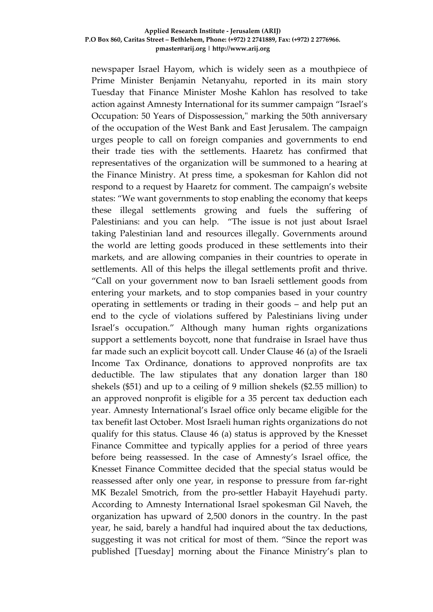newspaper Israel Hayom, which is widely seen as a mouthpiece of Prime Minister Benjamin Netanyahu, reported in its main story Tuesday that Finance Minister Moshe Kahlon has resolved to take action against Amnesty International for its summer campaign "Israel's Occupation: 50 Years of Dispossession," marking the 50th anniversary of the occupation of the West Bank and East Jerusalem. The campaign urges people to call on foreign companies and governments to end their trade ties with the settlements. Haaretz has confirmed that representatives of the organization will be summoned to a hearing at the Finance Ministry. At press time, a spokesman for Kahlon did not respond to a request by Haaretz for comment. The campaign's website states: "We want governments to stop enabling the economy that keeps these illegal settlements growing and fuels the suffering of Palestinians: and you can help. "The issue is not just about Israel taking Palestinian land and resources illegally. Governments around the world are letting goods produced in these settlements into their markets, and are allowing companies in their countries to operate in settlements. All of this helps the illegal settlements profit and thrive. "Call on your government now to ban Israeli settlement goods from entering your markets, and to stop companies based in your country operating in settlements or trading in their goods – and help put an end to the cycle of violations suffered by Palestinians living under Israel's occupation." Although many human rights organizations support a settlements boycott, none that fundraise in Israel have thus far made such an explicit boycott call. Under Clause 46 (a) of the Israeli Income Tax Ordinance, donations to approved nonprofits are tax deductible. The law stipulates that any donation larger than 180 shekels (\$51) and up to a ceiling of 9 million shekels (\$2.55 million) to an approved nonprofit is eligible for a 35 percent tax deduction each year. Amnesty International's Israel office only became eligible for the tax benefit last October. Most Israeli human rights organizations do not qualify for this status. Clause 46 (a) status is approved by the Knesset Finance Committee and typically applies for a period of three years before being reassessed. In the case of Amnesty's Israel office, the Knesset Finance Committee decided that the special status would be reassessed after only one year, in response to pressure from far-right MK Bezalel Smotrich, from the pro-settler Habayit Hayehudi party. According to Amnesty International Israel spokesman Gil Naveh, the organization has upward of 2,500 donors in the country. In the past year, he said, barely a handful had inquired about the tax deductions, suggesting it was not critical for most of them. "Since the report was published [Tuesday] morning about the Finance Ministry's plan to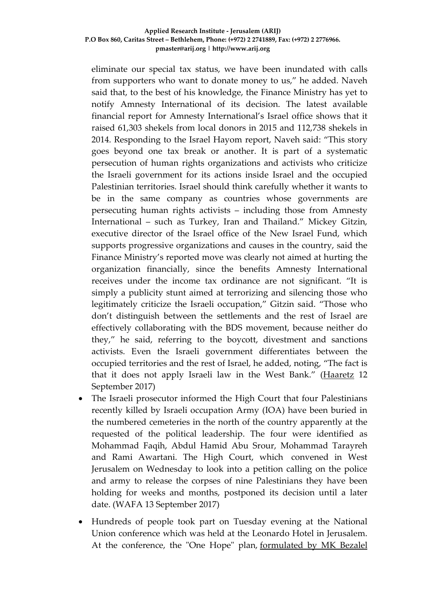eliminate our special tax status, we have been inundated with calls from supporters who want to donate money to us," he added. Naveh said that, to the best of his knowledge, the Finance Ministry has yet to notify Amnesty International of its decision. The latest available financial report for Amnesty International's Israel office shows that it raised 61,303 shekels from local donors in 2015 and 112,738 shekels in 2014. Responding to the Israel Hayom report, Naveh said: "This story goes beyond one tax break or another. It is part of a systematic persecution of human rights organizations and activists who criticize the Israeli government for its actions inside Israel and the occupied Palestinian territories. Israel should think carefully whether it wants to be in the same company as countries whose governments are persecuting human rights activists – including those from Amnesty International – such as Turkey, Iran and Thailand." Mickey Gitzin, executive director of the Israel office of the New Israel Fund, which supports progressive organizations and causes in the country, said the Finance Ministry's reported move was clearly not aimed at hurting the organization financially, since the benefits Amnesty International receives under the income tax ordinance are not significant. "It is simply a publicity stunt aimed at terrorizing and silencing those who legitimately criticize the Israeli occupation," Gitzin said. "Those who don't distinguish between the settlements and the rest of Israel are effectively collaborating with the BDS movement, because neither do they," he said, referring to the boycott, divestment and sanctions activists. Even the Israeli government differentiates between the occupied territories and the rest of Israel, he added, noting, "The fact is that it does not apply Israeli law in the West Bank." [\(Haaretz](http://www.haaretz.com/israel-news/.premium-1.811892?utm_source=dlvr.it&utm_medium=twitter) 12 September 2017)

- The Israeli prosecutor informed the High Court that four Palestinians recently killed by Israeli occupation Army (IOA) have been buried in the numbered cemeteries in the north of the country apparently at the requested of the political leadership. The four were identified as Mohammad Faqih, Abdul Hamid Abu Srour, Mohammad Tarayreh and Rami Awartani. The High Court, which convened in West Jerusalem on Wednesday to look into a petition calling on the police and army to release the corpses of nine Palestinians they have been holding for weeks and months, postponed its decision until a later date. (WAFA 13 September 2017)
- Hundreds of people took part on Tuesday evening at the National Union conference which was held at the Leonardo Hotel in Jerusalem. At the conference, the "One Hope" plan, [formulated by MK Bezalel](http://www.israelnationalnews.com/News/News.aspx/235311)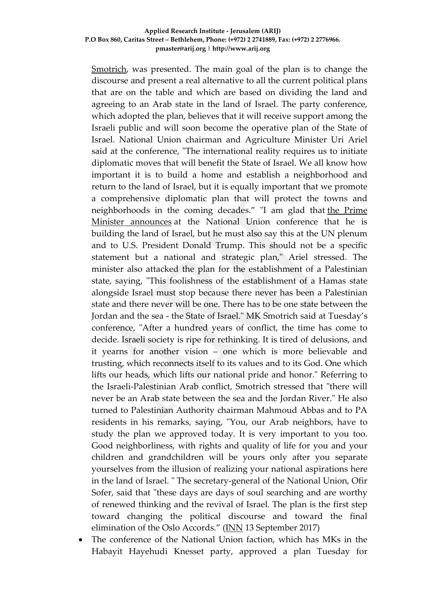[Smotrich,](http://www.israelnationalnews.com/News/News.aspx/235311) was presented. The main goal of the plan is to change the discourse and present a real alternative to all the current political plans that are on the table and which are based on dividing the land and agreeing to an Arab state in the land of Israel. The party conference, which adopted the plan, believes that it will receive support among the Israeli public and will soon become the operative plan of the State of Israel. National Union chairman and Agriculture Minister Uri Ariel said at the conference, "The international reality requires us to initiate diplomatic moves that will benefit the State of Israel. We all know how important it is to build a home and establish a neighborhood and return to the land of Israel, but it is equally important that we promote a comprehensive diplomatic plan that will protect the towns and neighborhoods in the coming decades." "I am glad that [the Prime](http://www.israelnationalnews.com/News/News.aspx/235409)  [Minister announces](http://www.israelnationalnews.com/News/News.aspx/235409) at the National Union conference that he is building the land of Israel, but he must also say this at the UN plenum and to U.S. President Donald Trump. This should not be a specific statement but a national and strategic plan," Ariel stressed. The minister also attacked the plan for the establishment of a Palestinian state, saying, "This foolishness of the establishment of a Hamas state alongside Israel must stop because there never has been a Palestinian state and there never will be one. There has to be one state between the Jordan and the sea - the State of Israel." MK Smotrich said at Tuesday's conference, "After a hundred years of conflict, the time has come to decide. Israeli society is ripe for rethinking. It is tired of delusions, and it yearns for another vision – one which is more believable and trusting, which reconnects itself to its values and to its God. One which lifts our heads, which lifts our national pride and honor." Referring to the Israeli-Palestinian Arab conflict, Smotrich stressed that "there will never be an Arab state between the sea and the Jordan River." He also turned to Palestinian Authority chairman Mahmoud Abbas and to PA residents in his remarks, saying, "You, our Arab neighbors, have to study the plan we approved today. It is very important to you too. Good neighborliness, with rights and quality of life for you and your children and grandchildren will be yours only after you separate yourselves from the illusion of realizing your national aspirations here in the land of Israel. " The secretary-general of the National Union, Ofir Sofer, said that "these days are days of soul searching and are worthy of renewed thinking and the revival of Israel. The plan is the first step toward changing the political discourse and toward the final elimination of the Oslo Accords." [\(INN](http://www.israelnationalnews.com/News/News.aspx/235438) 13 September 2017)

The conference of the National Union faction, which has MKs in the Habayit Hayehudi Knesset party, approved a plan Tuesday for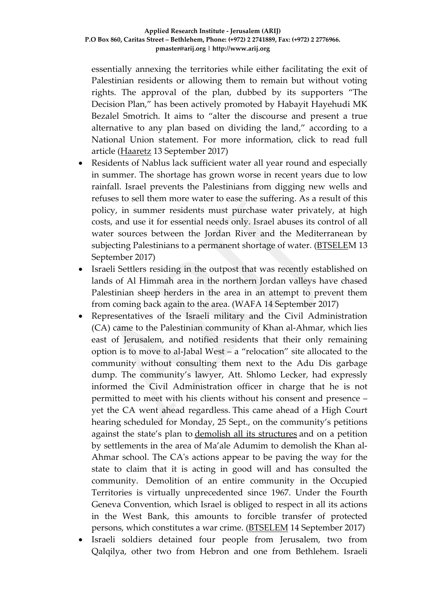essentially annexing the territories while either facilitating the exit of Palestinian residents or allowing them to remain but without voting rights. The approval of the plan, dubbed by its supporters "The Decision Plan," has been actively promoted by Habayit Hayehudi MK Bezalel Smotrich. It aims to "alter the discourse and present a true alternative to any plan based on dividing the land," according to a National Union statement. For more information, click to read full article [\(Haaretz](http://www.haaretz.com/israel-news/.premium-1.812011) 13 September 2017)

- Residents of Nablus lack sufficient water all year round and especially in summer. The shortage has grown worse in recent years due to low rainfall. Israel prevents the Palestinians from digging new wells and refuses to sell them more water to ease the suffering. As a result of this policy, in summer residents must purchase water privately, at high costs, and use it for essential needs only. Israel abuses its control of all water sources between the Jordan River and the Mediterranean by subjecting Palestinians to a permanent shortage of water. [\(BTSELEM](http://www.btselem.org/water/20170913_acute_water_shortage_in_nablus) 13 September 2017)
- Israeli Settlers residing in the outpost that was recently established on lands of Al Himmah area in the northern Jordan valleys have chased Palestinian sheep herders in the area in an attempt to prevent them from coming back again to the area. (WAFA 14 September 2017)
- Representatives of the Israeli military and the Civil Administration (CA) came to the Palestinian community of Khan al-Ahmar, which lies east of Jerusalem, and notified residents that their only remaining option is to move to al-Jabal West – a "relocation" site allocated to the community without consulting them next to the Adu Dis garbage dump. The community's lawyer, Att. Shlomo Lecker, had expressly informed the Civil Administration officer in charge that he is not permitted to meet with his clients without his consent and presence – yet the CA went ahead regardless. This came ahead of a High Court hearing scheduled for Monday, 25 Sept., on the community's petitions against the state's plan to [demolish all its structures](http://www.btselem.org/video/20170219_stop_work_orders_served_in_khan_al_ahmar) and on a petition by settlements in the area of Ma'ale Adumim to demolish the Khan al-Ahmar school. The CA's actions appear to be paving the way for the state to claim that it is acting in good will and has consulted the community. Demolition of an entire community in the Occupied Territories is virtually unprecedented since 1967. Under the Fourth Geneva Convention, which Israel is obliged to respect in all its actions in the West Bank, this amounts to forcible transfer of protected persons, which constitutes a war crime. [\(BTSELEM](http://www.btselem.org/press_releases/201700914_khan_al_ahmar) 14 September 2017)
- Israeli soldiers detained four people from Jerusalem, two from Qalqilya, other two from Hebron and one from Bethlehem. Israeli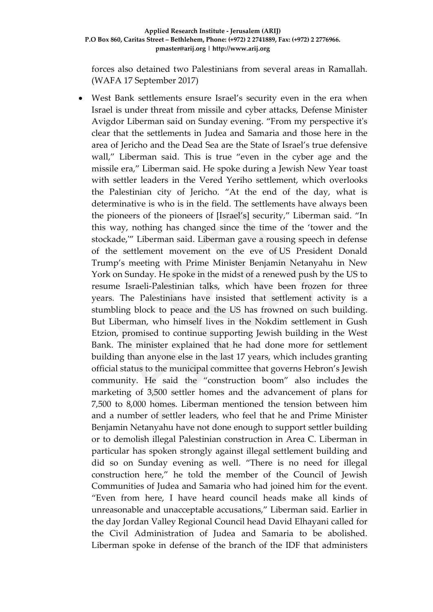forces also detained two Palestinians from several areas in Ramallah. (WAFA 17 September 2017)

• West Bank settlements ensure Israel's security even in the era when Israel is under threat from missile and cyber attacks, Defense Minister Avigdor Liberman said on Sunday evening. "From my perspective it's clear that the settlements in Judea and Samaria and those here in the area of Jericho and the Dead Sea are the State of Israel's true defensive wall," Liberman said. This is true "even in the cyber age and the missile era," Liberman said. He spoke during a Jewish New Year toast with settler leaders in the Vered Yeriho settlement, which overlooks the Palestinian city of Jericho. "At the end of the day, what is determinative is who is in the field. The settlements have always been the pioneers of the pioneers of [Israel's] security," Liberman said. "In this way, nothing has changed since the time of the 'tower and the stockade,'" Liberman said. Liberman gave a rousing speech in defense of the settlement movement on the eve of US [President](http://www.jpost.com/Israel-News/Politics-And-Diplomacy/Netanyahu-to-give-Trump-concrete-ideas-on-Iran-505367) Donald Trump's meeting with Prime Minister Benjamin [Netanyahu](http://www.jpost.com/Israel-News/Politics-And-Diplomacy/Netanyahu-to-give-Trump-concrete-ideas-on-Iran-505367) in New [York](http://www.jpost.com/Israel-News/Politics-And-Diplomacy/Netanyahu-to-give-Trump-concrete-ideas-on-Iran-505367) on Sunday. He spoke in the midst of a renewed push by the US to resume Israeli-Palestinian talks, which have been frozen for three years. The Palestinians have insisted that settlement activity is a stumbling block to peace and the US has frowned on such building. But Liberman, who himself lives in the Nokdim settlement in Gush Etzion, promised to continue supporting Jewish building in the West Bank. The minister explained that he had done more for settlement building than anyone else in the last 17 years, which includes [granting](http://www.jpost.com/Israel-News/Israel-declares-Hebron-an-official-Jewish-settlement-503705) official status to the municipal [committee](http://www.jpost.com/Israel-News/Israel-declares-Hebron-an-official-Jewish-settlement-503705) that governs Hebron's Jewish community. He said the "construction boom" also includes the marketing of 3,500 settler homes and the advancement of plans for 7,500 to 8,000 homes. Liberman mentioned the tension between him and a number of settler leaders, who feel that he and Prime Minister Benjamin Netanyahu have not done enough to support settler building or to demolish illegal Palestinian construction in Area C. Liberman in particular has spoken strongly against illegal settlement building and did so on Sunday evening as well. "There is no need for illegal construction here," he told the member of the Council of Jewish Communities of Judea and Samaria who had joined him for the event. "Even from here, I have heard council heads make all kinds of unreasonable and unacceptable accusations," Liberman said. Earlier in the day Jordan Valley Regional Council head David Elhayani called for the Civil Administration of Judea and Samaria to be abolished. Liberman spoke in defense of the branch of the IDF that administers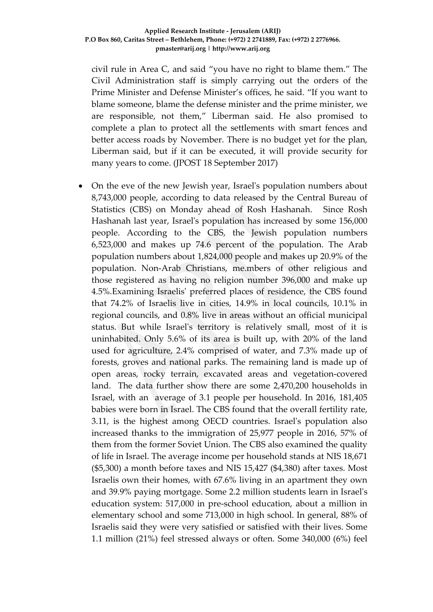civil rule in Area C, and said "you have no right to blame them." The Civil Administration staff is simply carrying out the orders of the Prime Minister and Defense Minister's offices, he said. "If you want to blame someone, blame the defense minister and the prime minister, we are responsible, not them," Liberman said. He also promised to complete a plan to protect all the settlements with smart fences and better access roads by November. There is no budget yet for the plan, Liberman said, but if it can be executed, it will provide security for many years to come. (JPOST 18 September 2017)

• On the eve of the new Jewish year, Israel's population numbers about 8,743,000 people, according to data released by the Central Bureau of Statistics (CBS) on Monday ahead of Rosh Hashanah. Since Rosh Hashanah last year, Israel's population has increased by some 156,000 people. According to the CBS, the Jewish population numbers 6,523,000 and makes up 74.6 percent of the population. The Arab population numbers about 1,824,000 people and makes up 20.9% of the population. Non-Arab Christians, me.mbers of other religious and those registered as having no religion number 396,000 and make up 4.5%.Examining Israelis' preferred places of residence, the CBS found that 74.2% of Israelis live in cities, 14.9% in local councils, 10.1% in regional councils, and 0.8% live in areas without an official municipal status. But while Israel's territory is relatively small, most of it is uninhabited. Only 5.6% of its area is built up, with 20% of the land used for agriculture, 2.4% comprised of water, and 7.3% made up of forests, groves and national parks. The remaining land is made up of open areas, rocky terrain, excavated areas and vegetation-covered land. The data further show there are some 2,470,200 households in Israel, with an average of 3.1 people per household. In 2016, 181,405 babies were born in Israel. The CBS found that the overall fertility rate, 3.11, is the highest among OECD countries. Israel's population also increased thanks to the immigration of 25,977 people in 2016, 57% of them from the former Soviet Union. The CBS also examined the quality of life in Israel. The average income per household stands at NIS 18,671 (\$5,300) a month before taxes and NIS 15,427 (\$4,380) after taxes. Most Israelis own their homes, with 67.6% living in an apartment they own and 39.9% paying mortgage. Some 2.2 million students learn in Israel's education system: 517,000 in pre-school education, about a million in elementary school and some 713,000 in high school. In general, 88% of Israelis said they were very satisfied or satisfied with their lives. Some 1.1 million (21%) feel stressed always or often. Some 340,000 (6%) feel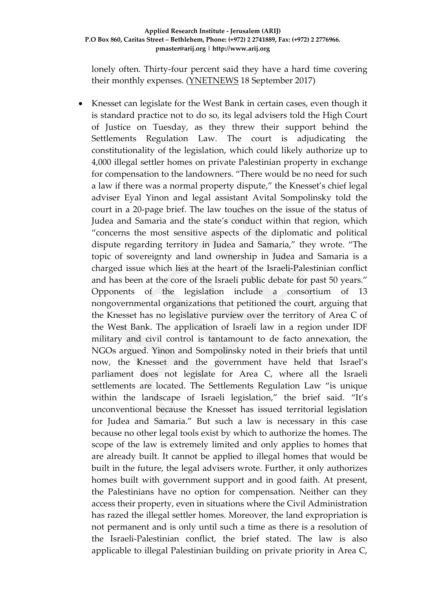lonely often. Thirty-four percent said they have a hard time covering their monthly expenses. [\(YNETNEWS](https://www.ynetnews.com/articles/0,7340,L-5018246,00.html) 18 September 2017)

• Knesset can legislate for the West Bank in certain cases, even though it is standard practice not to do so, its legal advisers told the High Court of Justice on Tuesday, as they threw their support behind the Settlements Regulation Law. The court is adjudicating the constitutionality of the legislation, which could likely authorize up to 4,000 illegal settler homes on private Palestinian property in exchange for compensation to the landowners. "There would be no need for such a law if there was a normal property dispute," the Knesset's chief legal adviser Eyal Yinon and legal assistant Avital Sompolinsky told the court in a 20-page brief. The law touches on the issue of the status of Judea and Samaria and the state's conduct within that region, which "concerns the most sensitive aspects of the diplomatic and political dispute regarding territory in Judea and Samaria," they wrote. "The topic of sovereignty and land ownership in Judea and Samaria is a charged issue which lies at the heart of the Israeli-Palestinian conflict and has been at the core of the Israeli public debate for past 50 years." Opponents of the legislation include a consortium of 13 nongovernmental organizations that petitioned the court, arguing that the Knesset has no legislative purview over the territory of Area C of the West Bank. The application of Israeli law in a region under IDF military and civil control is tantamount to de facto annexation, the NGOs argued. Yinon and Sompolinsky noted in their briefs that until now, the Knesset and the government have held that Israel's parliament does not legislate for Area C, where all the Israeli settlements are located. The Settlements Regulation Law "is unique within the landscape of Israeli legislation," the brief said. "It's unconventional because the Knesset has issued territorial legislation for Judea and Samaria." But such a law is necessary in this case because no other legal tools exist by which to authorize the homes. The scope of the law is extremely limited and only applies to homes that are already built. It cannot be applied to illegal homes that would be built in the future, the legal advisers wrote. Further, it only authorizes homes built with government support and in good faith. At present, the Palestinians have no option for compensation. Neither can they access their property, even in situations where the Civil Administration has razed the illegal settler homes. Moreover, the land expropriation is not permanent and is only until such a time as there is a resolution of the Israeli-Palestinian conflict, the brief stated. The law is also applicable to illegal Palestinian building on private priority in Area C,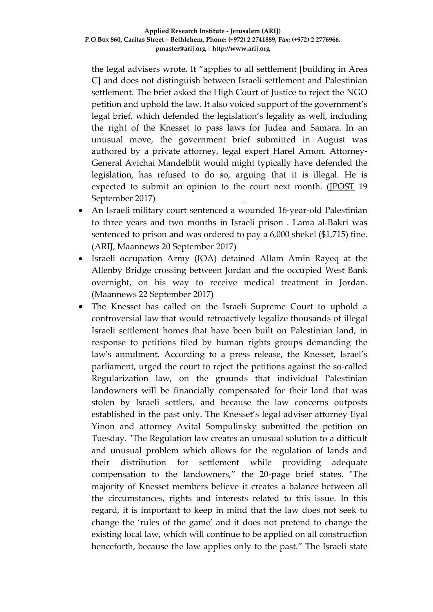the legal advisers wrote. It "applies to all settlement [building in Area C] and does not distinguish between Israeli settlement and Palestinian settlement. The brief asked the High Court of Justice to reject the NGO petition and uphold the law. It also voiced support of the government's legal brief, which defended the legislation's legality as well, including the right of the Knesset to pass laws for Judea and Samara. In an unusual move, the government brief submitted in August was authored by a private attorney, legal expert Harel Arnon. Attorney-General Avichai Mandelblit would might typically have defended the legislation, has refused to do so, arguing that it is illegal. He is expected to submit an opinion to the court next month. [\(JPOST](http://www.jpost.com/Israel-News/Knesset-can-legislate-for-West-Bank-legal-team-tells-High-Court-505551) 19 September 2017)

- An Israeli military court sentenced a wounded 16-year-old Palestinian to three years and two months in Israeli prison . Lama al-Bakri was sentenced to prison and was ordered to pay a 6,000 shekel (\$1,715) fine. (ARIJ, Maannews 20 September 2017)
- Israeli occupation Army (IOA) detained Allam Amin Rayeq at the Allenby Bridge crossing between Jordan and the occupied West Bank overnight, on his way to receive medical treatment in Jordan. (Maannews 22 September 2017)
- The Knesset has called on the Israeli Supreme Court to uphold a controversial law that would retroactively legalize thousands of illegal Israeli settlement homes that have been built on Palestinian land, in response to petitions filed by human rights groups demanding the law's annulment. According to a press release, the Knesset, Israel's parliament, urged the court to reject the petitions against the so-called Regularization law, on the grounds that individual Palestinian landowners will be financially compensated for their land that was stolen by Israeli settlers, and because the law concerns outposts established in the past only. The Knesset's legal adviser attorney Eyal Yinon and attorney Avital Sompulinsky submitted the petition on Tuesday. "The Regulation law creates an unusual solution to a difficult and unusual problem which allows for the regulation of lands and their distribution for settlement while providing adequate compensation to the landowners," the 20-page brief states. "The majority of Knesset members believe it creates a balance between all the circumstances, rights and interests related to this issue. In this regard, it is important to keep in mind that the law does not seek to change the 'rules of the game' and it does not pretend to change the existing local law, which will continue to be applied on all construction henceforth, because the law applies only to the past." The Israeli state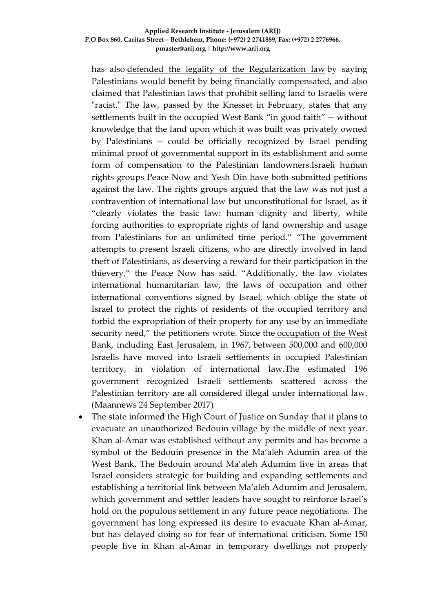has also defended the legality of the [Regularization](http://www.maannews.com/Content.aspx?id=778791) law by saying Palestinians would benefit by being financially compensated, and also claimed that Palestinian laws that prohibit selling land to Israelis were "racist." The law, passed by the Knesset in February, states that any settlements built in the occupied West Bank "in good faith" -- without knowledge that the land upon which it was built was privately owned by Palestinians -- could be officially recognized by Israel pending minimal proof of governmental support in its establishment and some form of compensation to the Palestinian landowners.Israeli human rights groups Peace Now and Yesh Din have both submitted petitions against the law. The rights groups argued that the law was not just a contravention of international law but unconstitutional for Israel, as it "clearly violates the basic law: human dignity and liberty, while forcing authorities to expropriate rights of land ownership and usage from Palestinians for an unlimited time period." "The government attempts to present Israeli citizens, who are directly involved in land theft of Palestinians, as deserving a reward for their participation in the thievery," the Peace Now has said. "Additionally, the law violates international humanitarian law, the laws of occupation and other international conventions signed by Israel, which oblige the state of Israel to protect the rights of residents of the occupied territory and forbid the expropriation of their property for any use by an immediate security need," the petitioners wrote. Since the [occupation](http://www.maannews.com/Content.aspx?id=777489) of the West Bank, including East [Jerusalem,](http://www.maannews.com/Content.aspx?id=777489) in 1967, between 500,000 and 600,000 Israelis have moved into Israeli settlements in occupied Palestinian territory, in violation of international law.The estimated 196 government recognized Israeli settlements scattered across the Palestinian territory are all considered illegal under international law. (Maannews 24 September 2017)

The state informed the High Court of Justice on Sunday that it plans to evacuate an unauthorized Bedouin village by the middle of next year. Khan al-Amar was established without any permits and has become a symbol of the Bedouin presence in the Ma'aleh Adumin area of the West Bank. The Bedouin around Ma'aleh Adumim live in areas that Israel considers strategic for building and expanding settlements and establishing a territorial link between Ma'aleh Adumim and Jerusalem, which government and settler leaders have sought to reinforce Israel's hold on the populous settlement in any future peace negotiations. The government has long expressed its desire to evacuate Khan al-Amar, but has delayed doing so for fear of international criticism. Some 150 people live in Khan al-Amar in temporary dwellings not properly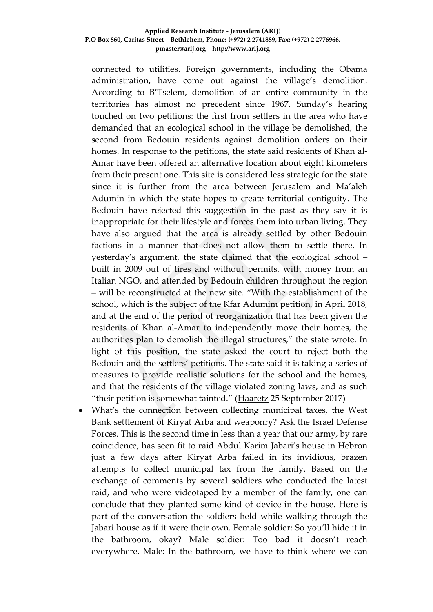connected to utilities. Foreign governments, including the Obama administration, have come out against the village's demolition. According to B'Tselem, demolition of an entire community in the territories has almost no precedent since 1967. Sunday's hearing touched on two petitions: the first from settlers in the area who have demanded that an ecological school in the village be demolished, the second from Bedouin residents against demolition orders on their homes. In response to the petitions, the state said residents of Khan al-Amar have been offered an alternative location about eight kilometers from their present one. This site is considered less strategic for the state since it is further from the area between Jerusalem and Ma'aleh Adumin in which the state hopes to create territorial contiguity. The Bedouin have rejected this suggestion in the past as they say it is inappropriate for their lifestyle and forces them into urban living. They have also argued that the area is already settled by other Bedouin factions in a manner that does not allow them to settle there. In yesterday's argument, the state claimed that the ecological school – built in 2009 out of tires and without permits, with money from an Italian NGO, and attended by Bedouin children throughout the region – will be reconstructed at the new site. "With the establishment of the school, which is the subject of the Kfar Adumim petition, in April 2018, and at the end of the period of reorganization that has been given the residents of Khan al-Amar to independently move their homes, the authorities plan to demolish the illegal structures," the state wrote. In light of this position, the state asked the court to reject both the Bedouin and the settlers' petitions. The state said it is taking a series of measures to provide realistic solutions for the school and the homes, and that the residents of the village violated zoning laws, and as such "their petition is somewhat tainted." [\(Haaretz](http://www.haaretz.com/israel-news/.premium-1.813996) 25 September 2017)

• What's the connection between collecting municipal taxes, the West Bank settlement of Kiryat Arba and weaponry? Ask the Israel Defense Forces. This is the second time in less than a year that our army, by rare coincidence, has seen fit to raid Abdul Karim Jabari's house in Hebron just a few days after Kiryat Arba failed in its invidious, brazen attempts to collect municipal tax from the family. Based on the exchange of comments by several soldiers who conducted the latest raid, and who were videotaped by a member of the family, one can conclude that they planted some kind of device in the house. Here is part of the conversation the soldiers held while walking through the Jabari house as if it were their own. Female soldier: So you'll hide it in the bathroom, okay? Male soldier: Too bad it doesn't reach everywhere. Male: In the bathroom, we have to think where we can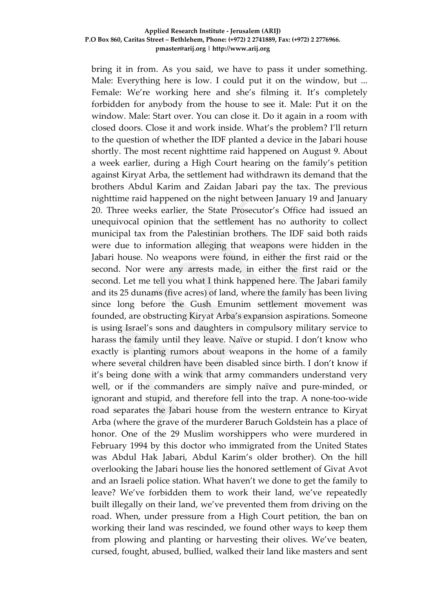bring it in from. As you said, we have to pass it under something. Male: Everything here is low. I could put it on the window, but ... Female: We're working here and she's filming it. It's completely forbidden for anybody from the house to see it. Male: Put it on the window. Male: Start over. You can close it. Do it again in a room with closed doors. Close it and work inside. What's the problem? I'll return to the question of whether the IDF planted a device in the Jabari house shortly. The most recent nighttime raid happened on August 9. About a week earlier, during a High Court hearing on the family's petition against Kiryat Arba, the settlement had withdrawn its demand that the brothers Abdul Karim and Zaidan Jabari pay the tax. The previous nighttime raid happened on the night between January 19 and January 20. Three weeks earlier, the State Prosecutor's Office had issued an unequivocal opinion that the settlement has no authority to collect municipal tax from the Palestinian brothers. The IDF said both raids were due to information alleging that weapons were hidden in the Jabari house. No weapons were found, in either the first raid or the second. Nor were any arrests made, in either the first raid or the second. Let me tell you what I think happened here. The Jabari family and its 25 dunams (five acres) of land, where the family has been living since long before the Gush Emunim settlement movement was founded, are obstructing Kiryat Arba's expansion aspirations. Someone is using Israel's sons and daughters in compulsory military service to harass the family until they leave. Naïve or stupid. I don't know who exactly is planting rumors about weapons in the home of a family where several children have been disabled since birth. I don't know if it's being done with a wink that army commanders understand very well, or if the commanders are simply naïve and pure-minded, or ignorant and stupid, and therefore fell into the trap. A none-too-wide road separates the Jabari house from the western entrance to Kiryat Arba (where the grave of the murderer Baruch Goldstein has a place of honor. One of the 29 Muslim worshippers who were murdered in February 1994 by this doctor who immigrated from the United States was Abdul Hak Jabari, Abdul Karim's older brother). On the hill overlooking the Jabari house lies the honored settlement of Givat Avot and an Israeli police station. What haven't we done to get the family to leave? We've forbidden them to work their land, we've repeatedly built illegally on their land, we've prevented them from driving on the road. When, under pressure from a High Court petition, the ban on working their land was rescinded, we found other ways to keep them from plowing and planting or harvesting their olives. We've beaten, cursed, fought, abused, bullied, walked their land like masters and sent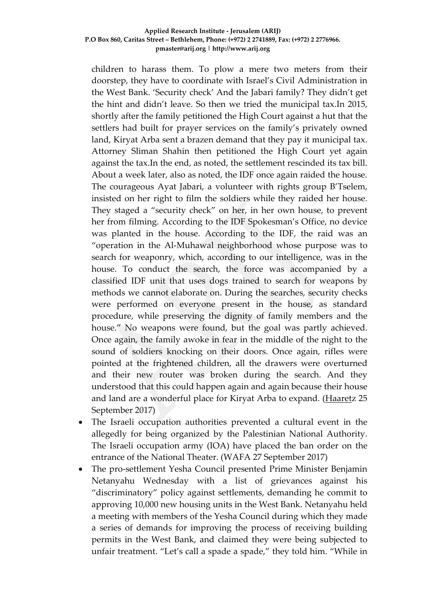children to harass them. To plow a mere two meters from their doorstep, they have to coordinate with Israel's Civil Administration in the West Bank. 'Security check' And the Jabari family? They didn't get the hint and didn't leave. So then we tried the municipal tax.In 2015, shortly after the family petitioned the High Court against a hut that the settlers had built for prayer services on the family's privately owned land, Kiryat Arba sent a brazen demand that they pay it municipal tax. Attorney Sliman Shahin then petitioned the High Court yet again against the tax.In the end, as noted, the settlement rescinded its tax bill. About a week later, also as noted, the IDF once again raided the house. The courageous Ayat Jabari, a volunteer with rights group B'Tselem, insisted on her right to film the soldiers while they raided her house. They staged a "security check" on her, in her own house, to prevent her from filming. According to the IDF Spokesman's Office, no device was planted in the house. According to the IDF, the raid was an "operation in the Al-Muhawal neighborhood whose purpose was to search for weaponry, which, according to our intelligence, was in the house. To conduct the search, the force was accompanied by a classified IDF unit that uses dogs trained to search for weapons by methods we cannot elaborate on. During the searches, security checks were performed on everyone present in the house, as standard procedure, while preserving the dignity of family members and the house." No weapons were found, but the goal was partly achieved. Once again, the family awoke in fear in the middle of the night to the sound of soldiers knocking on their doors. Once again, rifles were pointed at the frightened children, all the drawers were overturned and their new router was broken during the search. And they understood that this could happen again and again because their house and land are a wonderful place for Kiryat Arba to expand. [\(Haaretz](http://www.haaretz.com/opinion/.premium-1.813934) 25 September 2017)

- The Israeli occupation authorities prevented a cultural event in the allegedly for being organized by the Palestinian National Authority. The Israeli occupation army (IOA) have placed the ban order on the entrance of the National Theater. (WAFA 27 September 2017)
- The pro-settlement Yesha Council presented Prime Minister Benjamin Netanyahu Wednesday with a list of grievances against his "discriminatory" policy against settlements, demanding he commit to approving 10,000 new housing units in the West Bank. Netanyahu held a meeting with members of the Yesha Council during which they made a series of demands for improving the process of receiving building permits in the West Bank, and claimed they were being subjected to unfair treatment. "Let's call a spade a spade," they told him. "While in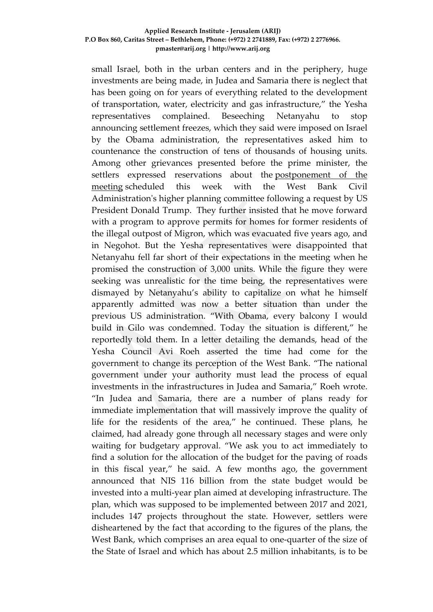small Israel, both in the urban centers and in the periphery, huge investments are being made, in Judea and Samaria there is neglect that has been going on for years of everything related to the development of transportation, water, electricity and gas infrastructure," the Yesha representatives complained. Beseeching Netanyahu to stop announcing settlement freezes, which they said were imposed on Israel by the Obama administration, the representatives asked him to countenance the construction of tens of thousands of housing units. Among other grievances presented before the prime minister, the settlers expressed reservations about the [postponement](https://www.ynetnews.com/articles/0,7340,L-5020487,00.html) of the [meeting](https://www.ynetnews.com/articles/0,7340,L-5020487,00.html) scheduled this week with the West Bank Civil Administration's higher planning committee following a request by US President Donald Trump. They further insisted that he move forward with a program to approve permits for homes for former residents of the illegal outpost of Migron, which was evacuated five years ago, and in Negohot. But the Yesha representatives were disappointed that Netanyahu fell far short of their expectations in the meeting when he promised the construction of 3,000 units. While the figure they were seeking was unrealistic for the time being, the representatives were dismayed by Netanyahu's ability to capitalize on what he himself apparently admitted was now a better situation than under the previous US administration. "With Obama, every balcony I would build in Gilo was condemned. Today the situation is different," he reportedly told them. In a letter detailing the demands, head of the Yesha Council Avi Roeh asserted the time had come for the government to change its perception of the West Bank. "The national government under your authority must lead the process of equal investments in the infrastructures in Judea and Samaria," Roeh wrote. "In Judea and Samaria, there are a number of plans ready for immediate implementation that will massively improve the quality of life for the residents of the area," he continued. These plans, he claimed, had already gone through all necessary stages and were only waiting for budgetary approval. "We ask you to act immediately to find a solution for the allocation of the budget for the paving of roads in this fiscal year," he said. A few months ago, the government announced that NIS 116 billion from the state budget would be invested into a multi-year plan aimed at developing infrastructure. The plan, which was supposed to be implemented between 2017 and 2021, includes 147 projects throughout the state. However, settlers were disheartened by the fact that according to the figures of the plans, the West Bank, which comprises an area equal to one-quarter of the size of the State of Israel and which has about 2.5 million inhabitants, is to be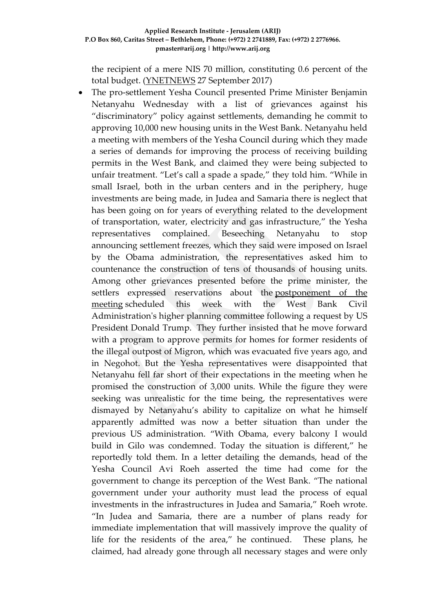the recipient of a mere NIS 70 million, constituting 0.6 percent of the total budget. [\(YNETNEWS](https://www.ynetnews.com/articles/0,7340,L-5021967,00.html) 27 September 2017)

• The pro-settlement Yesha Council presented Prime Minister Benjamin Netanyahu Wednesday with a list of grievances against his "discriminatory" policy against settlements, demanding he commit to approving 10,000 new housing units in the West Bank. Netanyahu held a meeting with members of the Yesha Council during which they made a series of demands for improving the process of receiving building permits in the West Bank, and claimed they were being subjected to unfair treatment. "Let's call a spade a spade," they told him. "While in small Israel, both in the urban centers and in the periphery, huge investments are being made, in Judea and Samaria there is neglect that has been going on for years of everything related to the development of transportation, water, electricity and gas infrastructure," the Yesha representatives complained. Beseeching Netanyahu to stop announcing settlement freezes, which they said were imposed on Israel by the Obama administration, the representatives asked him to countenance the construction of tens of thousands of housing units. Among other grievances presented before the prime minister, the settlers expressed reservations about the [postponement](https://www.ynetnews.com/articles/0,7340,L-5020487,00.html) of the [meeting](https://www.ynetnews.com/articles/0,7340,L-5020487,00.html) scheduled this week with the West Bank Civil Administration's higher planning committee following a request by US President Donald Trump. They further insisted that he move forward with a program to approve permits for homes for former residents of the illegal outpost of Migron, which was evacuated five years ago, and in Negohot. But the Yesha representatives were disappointed that Netanyahu fell far short of their expectations in the meeting when he promised the construction of 3,000 units. While the figure they were seeking was unrealistic for the time being, the representatives were dismayed by Netanyahu's ability to capitalize on what he himself apparently admitted was now a better situation than under the previous US administration. "With Obama, every balcony I would build in Gilo was condemned. Today the situation is different," he reportedly told them. In a letter detailing the demands, head of the Yesha Council Avi Roeh asserted the time had come for the government to change its perception of the West Bank. "The national government under your authority must lead the process of equal investments in the infrastructures in Judea and Samaria," Roeh wrote. "In Judea and Samaria, there are a number of plans ready for immediate implementation that will massively improve the quality of life for the residents of the area," he continued. These plans, he claimed, had already gone through all necessary stages and were only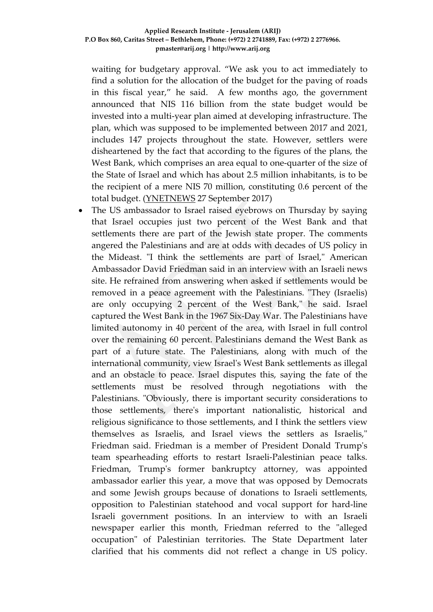waiting for budgetary approval. "We ask you to act immediately to find a solution for the allocation of the budget for the paving of roads in this fiscal year," he said. A few months ago, the government announced that NIS 116 billion from the state budget would be invested into a multi-year plan aimed at developing infrastructure. The plan, which was supposed to be implemented between 2017 and 2021, includes 147 projects throughout the state. However, settlers were disheartened by the fact that according to the figures of the plans, the West Bank, which comprises an area equal to one-quarter of the size of the State of Israel and which has about 2.5 million inhabitants, is to be the recipient of a mere NIS 70 million, constituting 0.6 percent of the total budget. [\(YNETNEWS](https://www.ynetnews.com/articles/0,7340,L-5021967,00.html) 27 September 2017)

• The US ambassador to Israel raised eyebrows on Thursday by saying that Israel occupies just two percent of the West Bank and that settlements there are part of the Jewish state proper. The comments angered the Palestinians and are at odds with decades of US policy in the Mideast. "I think the settlements are part of Israel," American Ambassador David Friedman said in an interview with an Israeli news site. He refrained from answering when asked if settlements would be removed in a peace agreement with the Palestinians. "They (Israelis) are only occupying 2 percent of the West Bank," he said. Israel captured the West Bank in the 1967 Six-Day War. The Palestinians have limited autonomy in 40 percent of the area, with Israel in full control over the remaining 60 percent. Palestinians demand the West Bank as part of a future state. The Palestinians, along with much of the international community, view Israel's West Bank settlements as illegal and an obstacle to peace. Israel disputes this, saying the fate of the settlements must be resolved through negotiations with the Palestinians. "Obviously, there is important security considerations to those settlements, there's important nationalistic, historical and religious significance to those settlements, and I think the settlers view themselves as Israelis, and Israel views the settlers as Israelis," Friedman said. Friedman is a member of President Donald Trump's team spearheading efforts to restart Israeli-Palestinian peace talks. Friedman, Trump's former bankruptcy attorney, was appointed ambassador earlier this year, a move that was opposed by Democrats and some Jewish groups because of donations to Israeli settlements, opposition to Palestinian statehood and vocal support for hard-line Israeli government positions. In an interview to with an Israeli newspaper earlier this month, Friedman referred to the "alleged occupation" of Palestinian territories. The State Department later clarified that his comments did not reflect a change in US policy.